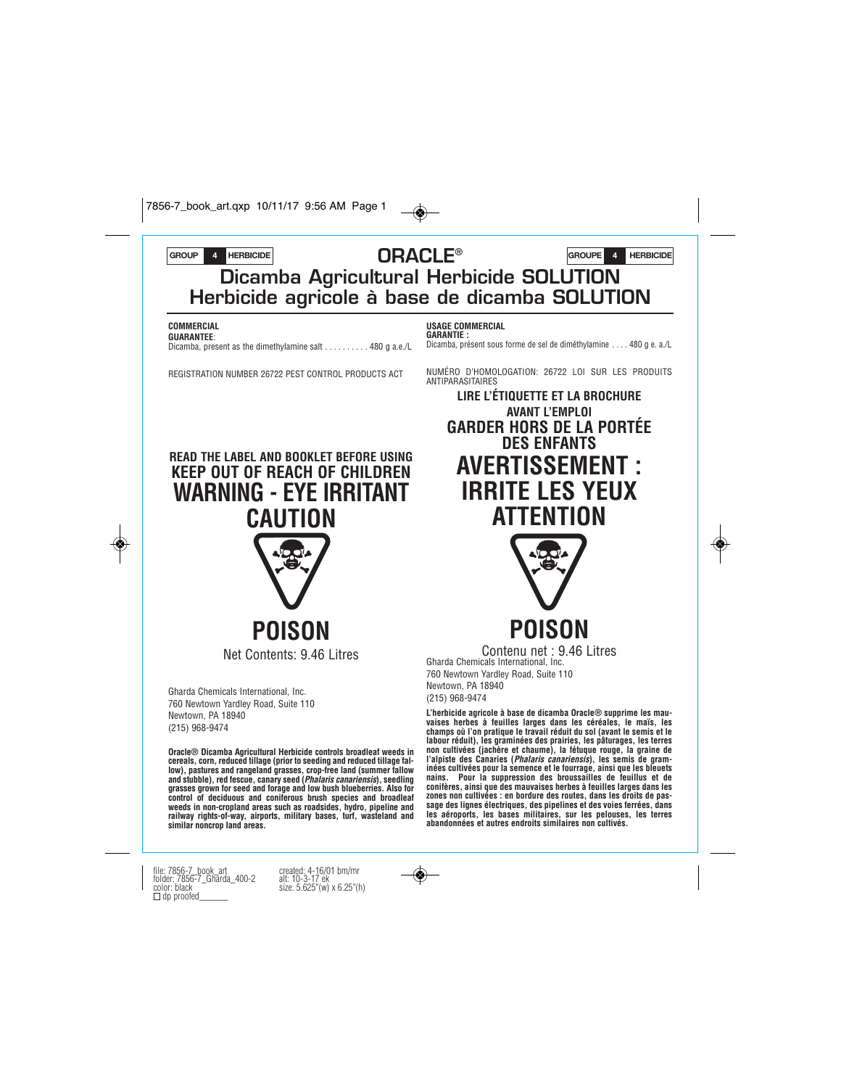7856-7\_book\_art.qxp 10/11/17 9:56 AM Page 1



file: 7856-7\_book\_art created: 4-16/01 bm/mr folder: 7856-7\_Gharda\_400-2 alt: 10-3-17 ek color: black size: 5.625"(w) x 6.25"(h) dp proofed\_\_\_\_\_\_

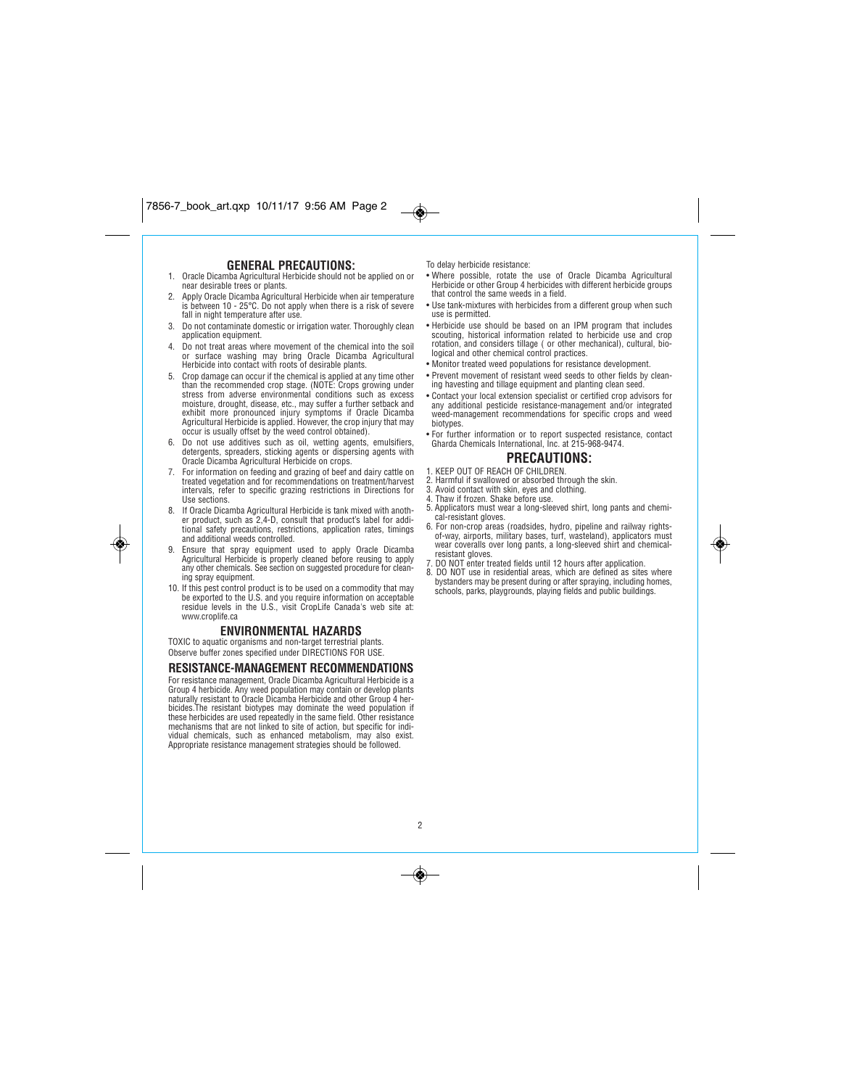# **GENERAL PRECAUTIONS:**

- *1. Oracle Dicamba Agricultural Herbicide should not be applied on or near desirable trees or plants.*
- *2. Apply Oracle Dicamba Agricultural Herbicide when air temperature is between 10 - 25°C. Do not apply when there is a risk of severe fall in night temperature after use.*
- *3. Do not contaminate domestic or irrigation water. Thoroughly clean application equipment.*
- *4. Do not treat areas where movement of the chemical into the soil or surface washing may bring Oracle Dicamba Agricultural Herbicide into contact with roots of desirable plants.*
- *5. Crop damage can occur if the chemical is applied at any time other than the recommended crop stage. (NOTE: Crops growing under stress from adverse environmental conditions such as excess moisture, drought, disease, etc., may suffer a further setback and exhibit more pronounced injury symptoms if Oracle Dicamba Agricultural Herbicide is applied. However, the crop injury that may occur is usually offset by the weed control obtained).*
- *6. Do not use additives such as oil, wetting agents, emulsifiers, detergents, spreaders, sticking agents or dispersing agents with Oracle Dicamba Agricultural Herbicide on crops.*
- *7. For information on feeding and grazing of beef and dairy cattle on treated vegetation and for recommendations on treatment/harvest intervals, refer to specific grazing restrictions in Directions for Use sections.*
- *8. If Oracle Dicamba Agricultural Herbicide is tank mixed with anoth-er product, such as 2,4-D, consult that product's label for additional safety precautions, restrictions, application rates, timings and additional weeds controlled.*

◈

- *9. Ensure that spray equipment used to apply Oracle Dicamba Agricultural Herbicide is properly cleaned before reusing to apply any other chemicals. See section on suggested procedure for cleaning spray equipment.*
- *10. If this pest control product is to be used on a commodity that may be exported to the U.S. and you require information on acceptable residue levels in the U.S., visit CropLife Canada's web site at: www.croplife.ca*

### **ENVIRONMENTAL HAZARDS**

*TOXIC to aquatic organisms and non-target terrestrial plants. Observe buffer zones specified under DIRECTIONS FOR USE.*

### **RESISTANCE-MANAGEMENT RECOMMENDATIONS**

*For resistance management, Oracle Dicamba Agricultural Herbicide is a* Group 4 herbicide. Any weed population may contain or develop plants<br>naturally resistant to Oracle Dicamba Herbicide and other Group 4 her-<br>bicides.The resistant biotypes may dominate the weed population if *these herbicides are used repeatedly in the same field. Other resistance mechanisms that are not linked to site of action, but specific for individual chemicals, such as enhanced metabolism, may also exist. Appropriate resistance management strategies should be followed.*

*To delay herbicide resistance:*

 $\overline{\bullet}$ 

- *Where possible, rotate the use of Oracle Dicamba Agricultural Herbicide or other Group 4 herbicides with different herbicide groups that control the same weeds in a field.*
- *Use tank-mixtures with herbicides from a different group when such use is permitted.*
- *Herbicide use should be based on an IPM program that includes scouting, historical information related to herbicide use and crop rotation, and considers tillage ( or other mechanical), cultural, biological and other chemical control practices.*
- *Monitor treated weed populations for resistance development.*
- *Prevent movement of resistant weed seeds to other fields by cleaning havesting and tillage equipment and planting clean seed.*
- *Contact your local extension specialist or certified crop advisors for any additional pesticide resistance-management and/or integrated weed-management recommendations for specific crops and weed biotypes.*
- *For further information or to report suspected resistance, contact Gharda Chemicals International, Inc. at 215-968-9474.*

# **PRECAUTIONS:**

- *1. KEEP OUT OF REACH OF CHILDREN.*
- *2. Harmful if swallowed or absorbed through the skin. 3. Avoid contact with skin, eyes and clothing.*
- *4. Thaw if frozen. Shake before use.*
- *5. Applicators must wear a long-sleeved shirt, long pants and chemi-*
- *cal-resistant gloves. 6. For non-crop areas (roadsides, hydro, pipeline and railway rightsof-way, airports, military bases, turf, wasteland), applicators must wear coveralls over long pants, a long-sleeved shirt and chemical-*
- *resistant gloves. 7. DO NOT enter treated fields until 12 hours after application.*
- *8. DO NOT use in residential areas, which are defined as sites where bystanders may be present during or after spraying, including homes, schools, parks, playgrounds, playing fields and public buildings.*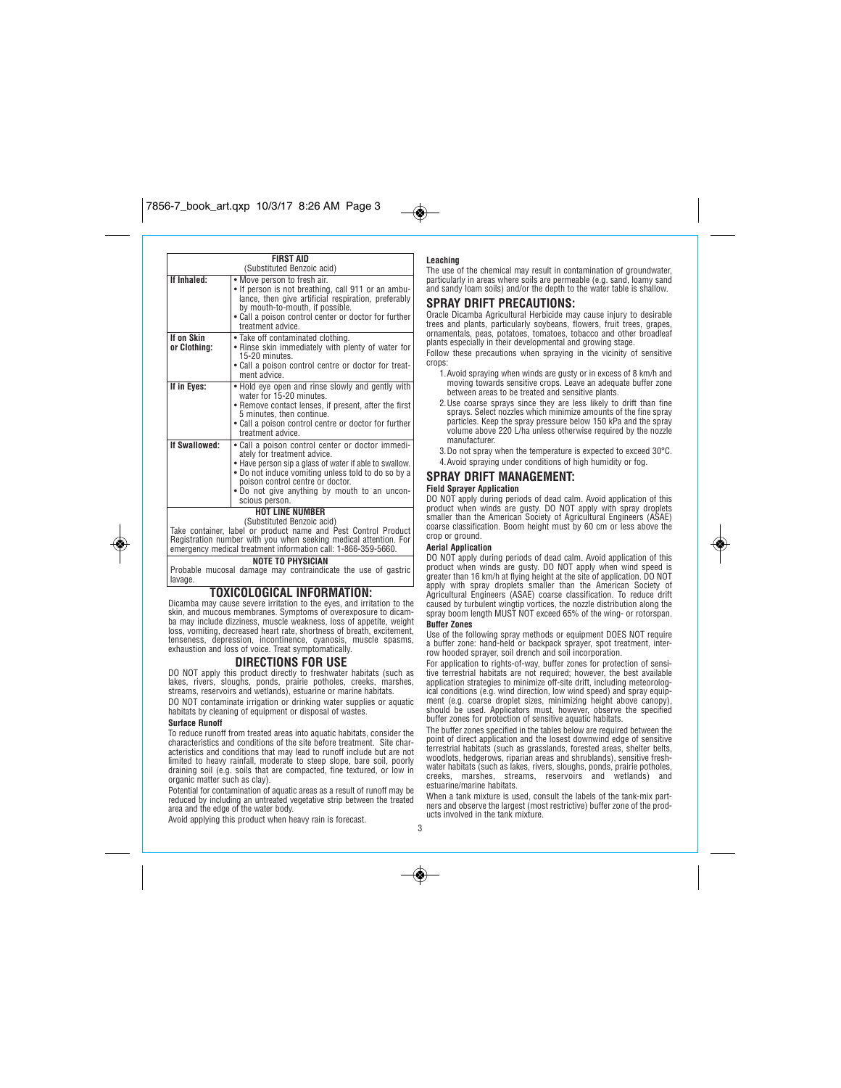**FIRST AID** *(Substituted Benzoic acid)* **If Inhaled:** *• Move person to fresh air. • If person is not breathing, call 911 or an ambulance, then give artificial respiration, preferably by mouth-to-mouth, if possible. • Call a poison control center or doctor for further treatment advice.* **If on Skin or Clothing:** *• Take off contaminated clothing. • Rinse skin immediately with plenty of water for 15-20 minutes. • Call a poison control centre or doctor for treatment advice.* **If in Eyes:** *• Hold eye open and rinse slowly and gently with water for 15-20 minutes. • Remove contact lenses, if present, after the first 5 minutes, then continue. • Call a poison control centre or doctor for further treatment advice.* **If Swallowed:** *• Call a poison control center or doctor immediately for treatment advice. • Have person sip a glass of water if able to swallow. • Do not induce vomiting unless told to do so by a poison control centre or doctor. • Do not give anything by mouth to an unconscious person.*

# **HOT LINE NUMBER**

*(Substituted Benzoic acid) Take container, label or product name and Pest Control Product Registration number with you when seeking medical attention. For emergency medical treatment information call: 1-866-359-5660.* **NOTE TO PHYSICIAN**

*Probable mucosal damage may contraindicate the use of gastric lavage.*

### **TOXICOLOGICAL INFORMATION:**

*Dicamba may cause severe irritation to the eyes, and irritation to the skin, and mucous membranes. Symptoms of overexposure to dicam-ba may include dizziness, muscle weakness, loss of appetite, weight loss, vomiting, decreased heart rate, shortness of breath, excitement, tenseness, depression, incontinence, cyanosis, muscle spasms, exhaustion and loss of voice. Treat symptomatically.*

### **DIRECTIONS FOR USE**

*DO NOT apply this product directly to freshwater habitats (such as lakes, rivers, sloughs, ponds, prairie potholes, creeks, marshes, streams, reservoirs and wetlands), estuarine or marine habitats.*

*DO NOT contaminate irrigation or drinking water supplies or aquatic habitats by cleaning of equipment or disposal of wastes.*

### **Surface Runoff**

◈

*To reduce runoff from treated areas into aquatic habitats, consider the characteristics and conditions of the site before treatment. Site characteristics and conditions that may lead to runoff include but are not limited to heavy rainfall, moderate to steep slope, bare soil, poorly draining soil (e.g. soils that are compacted, fine textured, or low in organic matter such as clay).*

*Potential for contamination of aquatic areas as a result of runoff may be reduced by including an untreated vegetative strip between the treated area and the edge of the water body.*

*Avoid applying this product when heavy rain is forecast.*

### **Leaching**

 $\rightarrow$ 

*The use of the chemical may result in contamination of groundwater, particularly in areas where soils are permeable (e.g. sand, loamy sand and sandy loam soils) and/or the depth to the water table is shallow.*

# **SPRAY DRIFT PRECAUTIONS:**

*Oracle Dicamba Agricultural Herbicide may cause injury to desirable trees and plants, particularly soybeans, flowers, fruit trees, grapes, ornamentals, peas, potatoes, tomatoes, tobacco and other broadleaf plants especially in their developmental and growing stage. Follow these precautions when spraying in the vicinity of sensitive*

*crops:*

- *1.Avoid spraying when winds are gusty or in excess of 8 km/h and moving towards sensitive crops. Leave an adequate buffer zone between areas to be treated and sensitive plants.*
- *2.Use coarse sprays since they are less likely to drift than fine sprays. Select nozzles which minimize amounts of the fine spray particles. Keep the spray pressure below 150 kPa and the spray volume above 220 L/ha unless otherwise required by the nozzle manufacturer.*
- *3.Do not spray when the temperature is expected to exceed 30°C. 4.Avoid spraying under conditions of high humidity or fog.*

### **SPRAY DRIFT MANAGEMENT:**

### **Field Sprayer Application**

DO NOT apply during periods of dead calm. Avoid application of this<br>product when winds are gusty. DO NOT apply with spray droplets<br>smaller than the American Society of Agricultural Engineers (ASAE)<br>coarse classification. B *crop or ground.*

### **Aerial Application**

*DO NOT apply during periods of dead calm. Avoid application of this* product when winds are gusty. DO NOT apply when wind speed is<br>greater than 16 km/h at flying height at the site of application. DO NOT<br>apply with spray droplets smaller than the American Society of<br>Agricultural Engineers ( **Buffer Zones**

*Use of the following spray methods or equipment DOES NOT require a buffer zone: hand-held or backpack sprayer, spot treatment, interrow hooded sprayer, soil drench and soil incorporation.*

For application to rights-of-way, buffer zones for protection of sensi-<br>tive terrestrial habitats are not required; however, the best available<br>application strategies to minimize off-site drift, including meteorolog*ical conditions (e.g. wind direction, low wind speed) and spray equip-ment (e.g. coarse droplet sizes, minimizing height above canopy), should be used. Applicators must, however, observe the specified buffer zones for protection of sensitive aquatic habitats.*

*The buffer zones specified in the tables below are required between the point of direct application and the losest downwind edge of sensitive terrestrial habitats (such as grasslands, forested areas, shelter belts, woodlots, hedgerows, riparian areas and shrublands), sensitive freshwater habitats (such as lakes, rivers, sloughs, ponds, prairie potholes, creeks, marshes, streams, reservoirs and wetlands) and estuarine/marine habitats.*

*When a tank mixture is used, consult the labels of the tank-mix part-ners and observe the largest (most restrictive) buffer zone of the products involved in the tank mixture.*

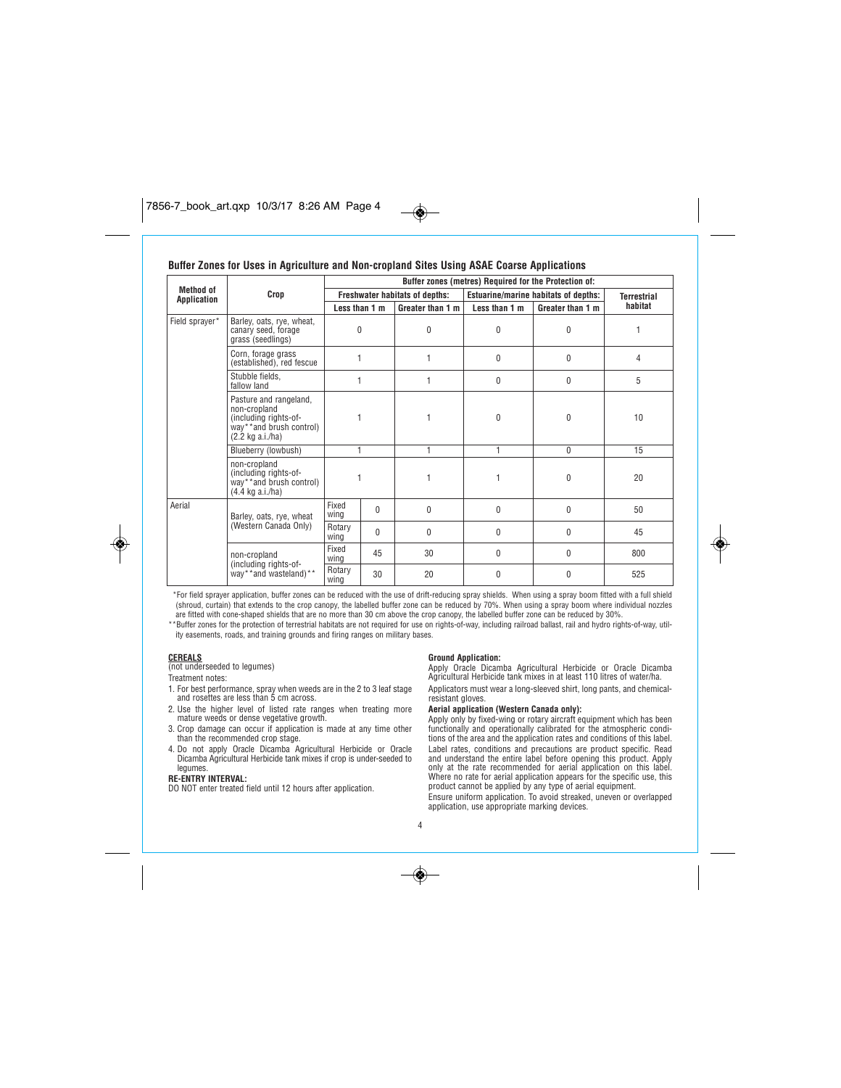# **Buffer Zones for Uses in Agriculture and Non-cropland Sites Using ASAE Coarse Applications**

|                                 |                                                                                                                          | Buffer zones (metres) Required for the Protection of: |          |                                             |                |                    |         |
|---------------------------------|--------------------------------------------------------------------------------------------------------------------------|-------------------------------------------------------|----------|---------------------------------------------|----------------|--------------------|---------|
| <b>Method of</b><br>Application | Crop                                                                                                                     | Freshwater habitats of depths:                        |          | <b>Estuarine/marine habitats of depths:</b> |                | <b>Terrestrial</b> |         |
|                                 |                                                                                                                          | Less than 1 m                                         |          | Greater than 1 m                            | Less than 1 m  | Greater than 1 m   | habitat |
| Field sprayer*                  | Barley, oats, rye, wheat,<br>canary seed, forage<br>grass (seedlings)                                                    | $\mathbf{0}$                                          |          | 0                                           | 0              | $\theta$           | 1       |
|                                 | Corn, forage grass<br>(established), red fescue                                                                          |                                                       |          | 1                                           | 0              | $\theta$           | 4       |
|                                 | Stubble fields.<br>fallow land                                                                                           |                                                       |          | 1                                           | 0              | $\mathbf{0}$       | 5       |
|                                 | Pasture and rangeland,<br>non-cropland<br>(including rights-of-<br>way**and brush control)<br>$(2.2 \text{ kg a.i./ha})$ |                                                       |          |                                             | $\theta$       | $\theta$           | 10      |
|                                 | Blueberry (lowbush)                                                                                                      | 1                                                     |          | 1                                           | $\overline{1}$ | $\mathbf{0}$       | 15      |
|                                 | non-cropland<br>(including rights-of-<br>way**and brush control)<br>$(4.4 \text{ kg a.i./ha})$                           |                                                       |          |                                             | 1              | $\theta$           | 20      |
| Aerial                          | Barley, oats, rye, wheat                                                                                                 | Fixed<br>wing                                         | $\Omega$ | $\theta$                                    | $\mathbf{0}$   | $\theta$           | 50      |
|                                 | (Western Canada Only)                                                                                                    | Rotary<br>wing                                        | $\Omega$ | $\theta$                                    | 0              | $\theta$           | 45      |
|                                 | non-cropland                                                                                                             | Fixed<br>wing                                         | 45       | 30                                          | 0              | $\theta$           | 800     |
|                                 | (including rights-of-<br>way**and wasteland)**                                                                           | Rotary<br>wina                                        | 30       | 20                                          | $\theta$       | 0                  | 525     |

 $\bigcirc$ 

*\*For field sprayer application, buffer zones can be reduced with the use of drift-reducing spray shields. When using a spray boom fitted with a full shield (shroud, curtain) that extends to the crop canopy, the labelled buffer zone can be reduced by 70%. When using a spray boom where individual nozzles*

are fitted with cone-shaped shields that are no more than 30 cm above the crop canopy, the labelled buffer zone can be reduced by 30%.<br>\*\*Buffer zones for the protection of terrestrial habitats are not required for use on r *ity easements, roads, and training grounds and firing ranges on military bases.*

۱

**CEREALS** *(not underseeded to legumes)*

*Treatment notes:*

- *1. For best performance, spray when weeds are in the 2 to 3 leaf stage and rosettes are less than 5 cm across. 2. Use the higher level of listed rate ranges when treating more*
- *mature weeds or dense vegetative growth.*
- *3. Crop damage can occur if application is made at any time other than the recommended crop stage.*
- *4. Do not apply Oracle Dicamba Agricultural Herbicide or Oracle Dicamba Agricultural Herbicide tank mixes if crop is under-seeded to legumes.*

**RE-ENTRY INTERVAL:** *DO NOT enter treated field until 12 hours after application.*

**Ground Application:** *Apply Oracle Dicamba Agricultural Herbicide or Oracle Dicamba Agricultural Herbicide tank mixes in at least 110 litres of water/ha. Applicators must wear a long-sleeved shirt, long pants, and chemicalresistant gloves.*

### **Aerial application (Western Canada only):**

*Apply only by fixed-wing or rotary aircraft equipment which has been functionally and operationally calibrated for the atmospheric conditions of the area and the application rates and conditions of this label.* Label rates, conditions and precautions are product specific. Read<br>and understand the entire label before opening this product. Apply<br>only at the rate recommended for aerial application on this label<br>Where no rate for aeri *product cannot be applied by any type of aerial equipment. Ensure uniform application. To avoid streaked, uneven or overlapped application, use appropriate marking devices.*

*4*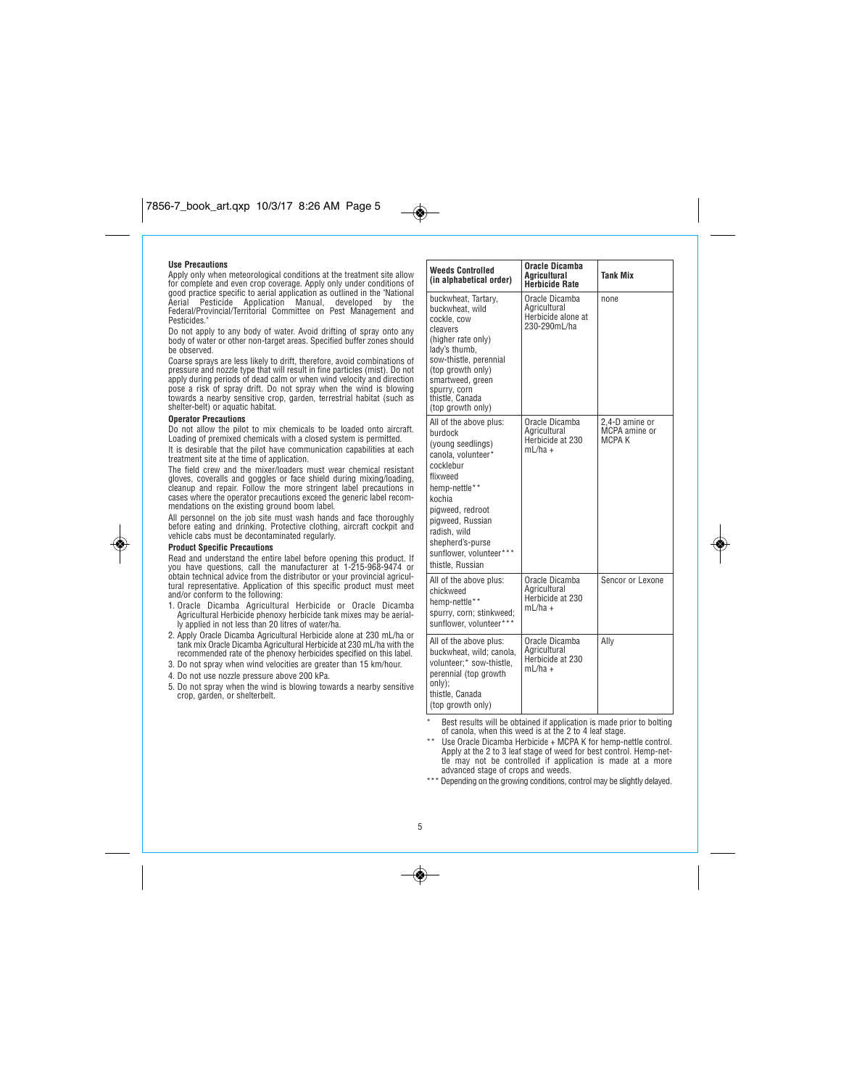### **Use Precautions**

Apply only when meteorological conditions at the treatment site allow<br>for complete and even crop coverage. Apply only under conditions of<br>good practice specific to aerial application as outlined in the "National<br>Aerial – P *Pesticides."*

*Do not apply to any body of water. Avoid drifting of spray onto any body of water or other non-target areas. Specified buffer zones should be observed.*

Coarse sprays are less likely to drift, therefore, avoid combinations of<br>pressure and nozzle type that will result in fine particles (mist). Do not<br>apply during periods of dead calm or when wind velocity and direction<br>pose *towards a nearby sensitive crop, garden, terrestrial habitat (such as shelter-belt) or aquatic habitat.*

#### **Operator Precautions**

*Do not allow the pilot to mix chemicals to be loaded onto aircraft. Loading of premixed chemicals with a closed system is permitted. It is desirable that the pilot have communication capabilities at each*

*treatment site at the time of application.*

*The field crew and the mixer/loaders must wear chemical resistant gloves, coveralls and goggles or face shield during mixing/loading, cleanup and repair. Follow the more stringent label precautions in cases where the operator precautions exceed the generic label recommendations on the existing ground boom label.*

*All personnel on the job site must wash hands and face thoroughly before eating and drinking. Protective clothing, aircraft cockpit and vehicle cabs must be decontaminated regularly.*

### **Product Specific Precautions**

◈

Read and understand the entire label before opening this product. If<br>you have questions, call the manufacturer at 1-215-968-9474 or<br>obtain technical advice from the distributor or your provincial agricul*tural representative. Application of this specific product must meet and/or conform to the following:*

- *1. Oracle Dicamba Agricultural Herbicide or Oracle Dicamba Agricultural Herbicide phenoxy herbicide tank mixes may be aerial-ly applied in not less than 20 litres of water/ha.*
- *2. Apply Oracle Dicamba Agricultural Herbicide alone at 230 mL/ha or tank mix Oracle Dicamba Agricultural Herbicide at 230 mL/ha with the recommended rate of the phenoxy herbicides specified on this label. 3. Do not spray when wind velocities are greater than 15 km/hour.*
- 
- *4. Do not use nozzle pressure above 200 kPa.*
- *5. Do not spray when the wind is blowing towards a nearby sensitive crop, garden, or shelterbelt.*

| <b>Weeds Controlled</b><br>(in alphabetical order)                                                                                                                                                                                                          | Oracle Dicamba<br><b>Agricultural</b><br>Herbicide Rate              | <b>Tank Mix</b>                           |
|-------------------------------------------------------------------------------------------------------------------------------------------------------------------------------------------------------------------------------------------------------------|----------------------------------------------------------------------|-------------------------------------------|
| buckwheat, Tartary,<br>buckwheat, wild<br>cockle, cow<br>cleavers<br>(higher rate only)<br>lady's thumb,<br>sow-thistle, perennial<br>(top growth only)<br>smartweed, green<br>spurry, corn<br>thistle, Canada<br>(top growth only)                         | Oracle Dicamba<br>Agricultural<br>Herbicide alone at<br>230-290mL/ha | none                                      |
| All of the above plus:<br>burdock<br>(young seedlings)<br>canola, volunteer*<br>cocklebur<br>flixweed<br>hemp-nettle**<br>kochia<br>pigweed, redroot<br>pigweed, Russian<br>radish, wild<br>shepherd's-purse<br>sunflower, volunteer***<br>thistle, Russian | Oracle Dicamba<br>Agricultural<br>Herbicide at 230<br>$mL/ha +$      | 2.4-D amine or<br>MCPA amine or<br>MCPA K |
| All of the above plus:<br>chickweed<br>hemp-nettle**<br>spurry, corn; stinkweed;<br>sunflower, volunteer***                                                                                                                                                 | Oracle Dicamba<br>Agricultural<br>Herbicide at 230<br>$mL/ha +$      | Sencor or Lexone                          |
| All of the above plus:<br>buckwheat, wild; canola,<br>volunteer;* sow-thistle,<br>perennial (top growth<br>only);<br>thistle. Canada<br>(top growth only)                                                                                                   | Oracle Dicamba<br>Agricultural<br>Herbicide at 230<br>$mL/ha +$      | Ally                                      |

◈

*\* Best results will be obtained if application is made prior to bolting of canola, when this weed is at the 2 to 4 leaf stage.*

\*\* Use Oracle Dicamba Herbicide + MCPA K for hemp-nettle control.<br>Apply at the 2 to 3 leaf stage of weed for best control. Hemp-net-<br>tle may not be controlled if application is made at a more<br>advanced stage of crops and we

*\*\*\* Depending on the growing conditions, control may be slightly delayed.*

 $\bigcirc$ 

 $\overline{\bullet}$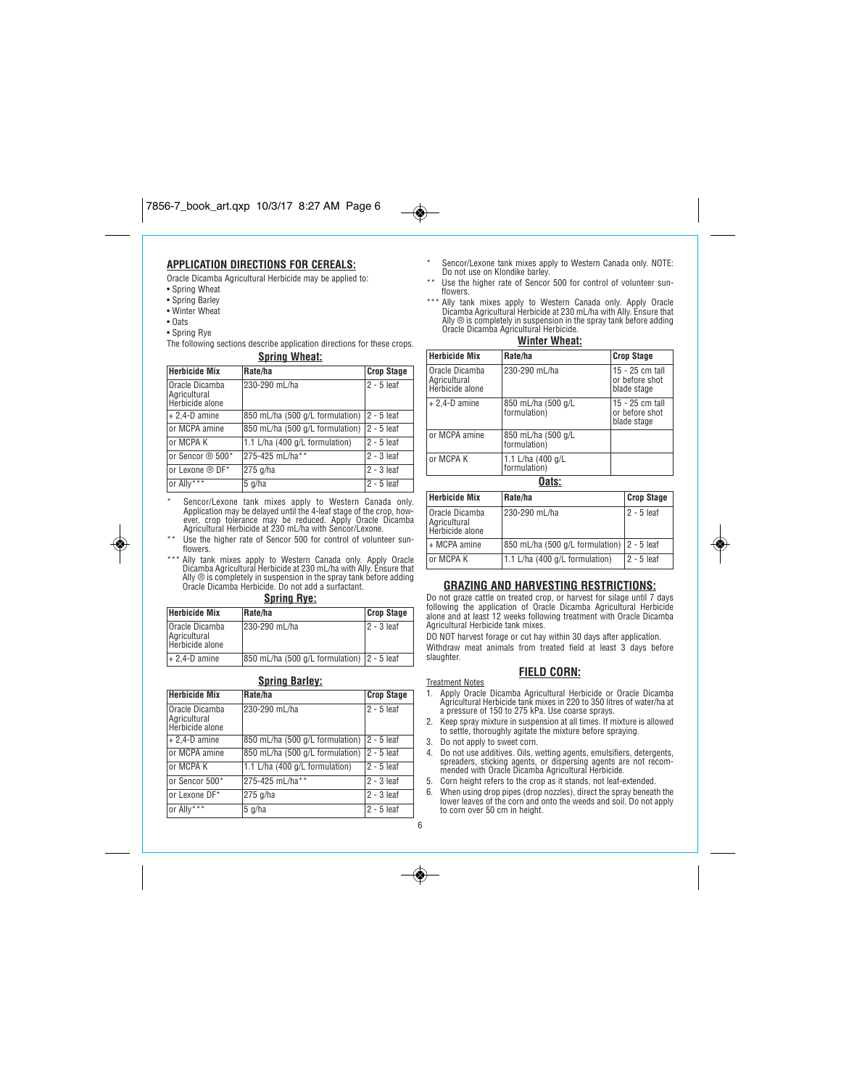# $7856 - 7.17$  art.

# **APPLICATION DIRECTIONS FOR CEREALS:**

*Oracle Dicamba Agricultural Herbicide may be applied to:*

- *Spring Wheat*
- *Spring Barley*
- *Winter Wheat*
- *Oats*

◈

*• Spring Rye The following sections describe application directions for these crops.* **Spring Wheat:**

| <b>Herbicide Mix</b>                              | Rate/ha                         | <b>Crop Stage</b> |  |  |
|---------------------------------------------------|---------------------------------|-------------------|--|--|
| Oracle Dicamba<br>Agricultural<br>Herbicide alone | 230-290 mL/ha                   | $2 - 5$ leaf      |  |  |
| $+ 2,4 - D$ amine                                 | 850 mL/ha (500 g/L formulation) | $2 - 5$ leaf      |  |  |
| or MCPA amine                                     | 850 mL/ha (500 g/L formulation) | 12 - 5 leaf       |  |  |
| or MCPA K                                         | 1.1 L/ha (400 g/L formulation)  | l2 - 5 leaf       |  |  |
| or Sencor ® 500*                                  | 275-425 mL/ha**                 | 12 - 3 leaf       |  |  |
| or Lexone ® DF*                                   | 275 g/ha                        | l2 - 3 leaf       |  |  |
| or Ally***                                        | $5$ g/ha                        | l2 - 5 leaf       |  |  |

\* Sencor/Lexone tank mixes apply to Western Canada only.<br>Application may be delayed until the 4-leaf stage of the crop, how-<br>ever, crop tolerance may be reduced. Apply Oracle Dicamba<br>Agricultural Herbicide at 230 mL/ha wit

- Use the higher rate of Sencor 500 for control of volunteer sun*flowers.*
- \*\*\* Ally tank mixes apply to Western Canada only. Apply Oracle<br>Dicamba Agricultural Herbicide at 230 ml./ha with Ally. Ensure that<br>Ally ® is completely in suspension in the spray tank before adding<br>Oracle Dicamba Herbicide

| <b>OPHING HYG.</b>                                |                                               |                   |  |
|---------------------------------------------------|-----------------------------------------------|-------------------|--|
| <b>Herbicide Mix</b>                              | Rate/ha                                       | <b>Crop Stage</b> |  |
| Oracle Dicamba<br>Agricultural<br>Herbicide alone | 1230-290 mL/ha                                | l 2 - 3 leaf      |  |
| $+2,4$ -D amine                                   | [850 mL/ha (500 g/L formulation)   2 - 5 leaf |                   |  |

| <b>Spring Barley:</b>                             |                                 |                   |  |  |
|---------------------------------------------------|---------------------------------|-------------------|--|--|
| <b>Herbicide Mix</b>                              | Rate/ha                         | <b>Crop Stage</b> |  |  |
| Oracle Dicamba<br>Agricultural<br>Herbicide alone | 230-290 mL/ha                   | $2 - 5$ leaf      |  |  |
| $+ 2.4 - D$ amine                                 | 850 mL/ha (500 g/L formulation) | $2 - 5$ leaf      |  |  |
| or MCPA amine                                     | 850 mL/ha (500 g/L formulation) | $2 - 5$ leaf      |  |  |
| or MCPA K                                         | 1.1 L/ha (400 g/L formulation)  | 2 - 5 leaf        |  |  |
| or Sencor 500*                                    | 275-425 mL/ha**                 | $2 - 3$ leaf      |  |  |
| or Lexone DF*                                     | 275 g/ha                        | $2 - 3$ leaf      |  |  |
| or Ally***                                        | $5$ g/ha                        | $2 - 5$ leaf      |  |  |

- *\* Sencor/Lexone tank mixes apply to Western Canada only. NOTE: Do not use on Klondike barley.*
- Use the higher rate of Sencor 500 for control of volunteer sun*flowers.*
- \*\*\* Ally tank mixes apply to Western Canada only. Apply Oracle<br>Dicamba Agricultural Herbicide at 230 mL/ha with Ally. Ensure that<br>Ally ® is completely in suspension in the spray tank before adding<br>Oracle Dicamba Agricultur

**Winter Wheat:**

| <b>Herbicide Mix</b>                                | Rate/ha                            | <b>Crop Stage</b>                                |  |
|-----------------------------------------------------|------------------------------------|--------------------------------------------------|--|
| l Oracle Dicamba<br>Agricultural<br>Herbicide alone | 230-290 mL/ha                      | 15 - 25 cm tall<br>or before shot<br>blade stage |  |
| $+2,4$ -D amine                                     | 850 mL/ha (500 g/L<br>formulation) | 15 - 25 cm tall<br>or before shot<br>blade stage |  |
| or MCPA amine                                       | 850 mL/ha (500 g/L<br>formulation) |                                                  |  |
| or MCPA K                                           | 1.1 L/ha (400 g/L<br>formulation)  |                                                  |  |
| Oats:                                               |                                    |                                                  |  |
| .                                                   |                                    | $\sim$                                           |  |

| <b>Herbicide Mix</b>                              | Rate/ha                                    | <b>Crop Stage</b> |
|---------------------------------------------------|--------------------------------------------|-------------------|
| Oracle Dicamba<br>Agricultural<br>Herbicide alone | 230-290 mL/ha                              | l 2 - 5 leaf      |
| + MCPA amine                                      | 850 mL/ha (500 g/L formulation) 2 - 5 leaf |                   |
| or MCPA K                                         | 1.1 L/ha (400 g/L formulation)             | $ 2 - 5 $ eaf     |

### **GRAZING AND HARVESTING RESTRICTIONS:**

Do not graze cattle on treated crop, or harvest for silage until 7 days<br>following the application of Oracle Dicamba Agricultural Herbicide<br>alone and at least 12 weeks following treatment with Oracle Dicamba *Agricultural Herbicide tank mixes.*

*DO NOT harvest forage or cut hay within 30 days after application. Withdraw meat animals from treated field at least 3 days before slaughter.*

# **FIELD CORN:**

*Treatment Notes*

*6*

 $\bigcirc$ 

- *1. Apply Oracle Dicamba Agricultural Herbicide or Oracle Dicamba Agricultural Herbicide tank mixes in 220 to 350 litres of water/ha at a pressure of 150 to 275 kPa. Use coarse sprays.*
- *2. Keep spray mixture in suspension at all times. If mixture is allowed to settle, thoroughly agitate the mixture before spraying. 3. Do not apply to sweet corn.*
- *4. Do not use additives. Oils, wetting agents, emulsifiers, detergents, spreaders, sticking agents, or dispersing agents are not recom-mended with Oracle Dicamba Agricultural Herbicide.*
- 5. Corn height refers to the crop as it stands, not leaf-extended.<br>6. When using drop pipes (drop nozzles), direct the spray beneath the<br>Iower leaves of the corn and onto the weeds and soil. Do not apply

*to corn over 50 cm in height.*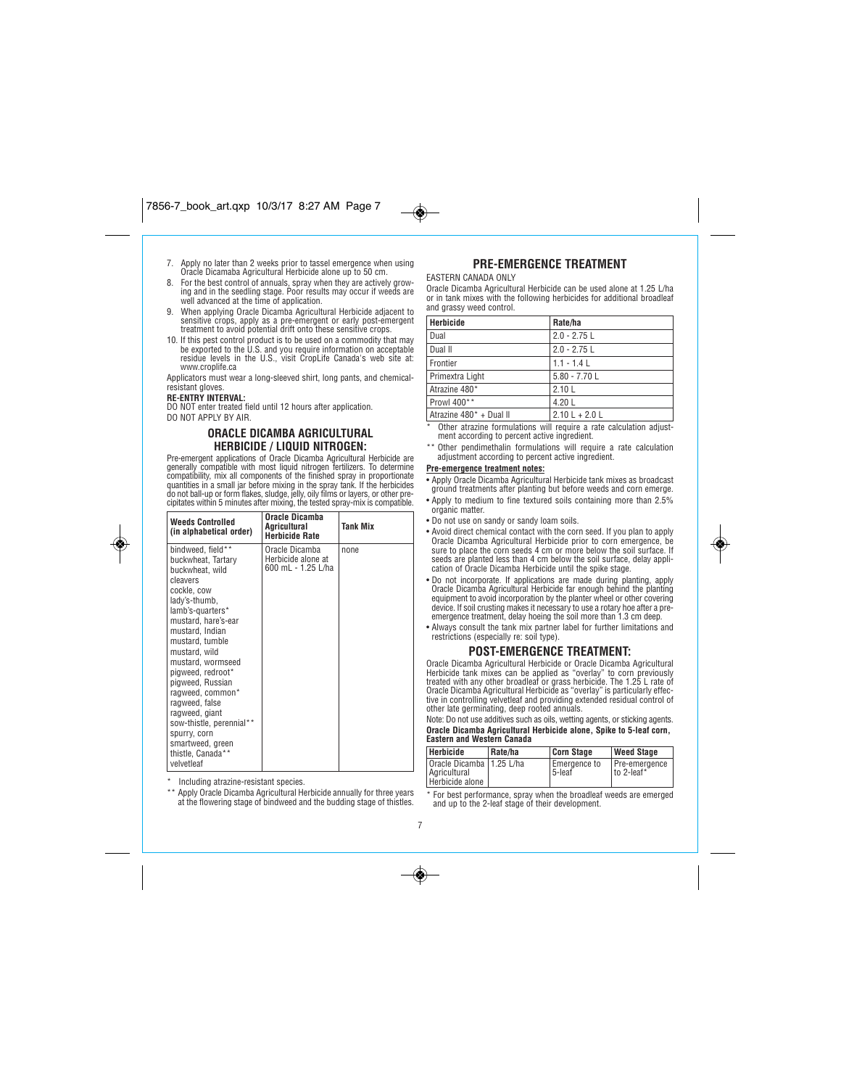# $7856 - 7.17$  art.

- *7. Apply no later than 2 weeks prior to tassel emergence when using Oracle Dicamaba Agricultural Herbicide alone up to 50 cm.*
- *8. For the best control of annuals, spray when they are actively grow-ing and in the seedling stage. Poor results may occur if weeds are well advanced at the time of application.*
- *9. When applying Oracle Dicamba Agricultural Herbicide adjacent to sensitive crops, apply as a pre-emergent or early post-emergent treatment to avoid potential drift onto these sensitive crops.*
- *10. If this pest control product is to be used on a commodity that may be exported to the U.S. and you require information on acceptable residue levels in the U.S., visit CropLife Canada's web site at: www.croplife.ca*

*Applicators must wear a long-sleeved shirt, long pants, and chemicalresistant gloves.*

### **RE-ENTRY INTERVAL:**

*DO NOT enter treated field until 12 hours after application.*

*DO NOT APPLY BY AIR.*

◈

### **ORACLE DICAMBA AGRICULTURAL HERBICIDE / LIQUID NITROGEN:**

*Pre-emergent applications of Oracle Dicamba Agricultural Herbicide are generally compatible with most liquid nitrogen fertilizers. To determine compatibility, mix all components of the finished spray in proportionate quantities in a small jar before mixing in the spray tank. If the herbicides do not ball-up or form flakes, sludge, jelly, oily films or layers, or other pre-cipitates within 5 minutes after mixing, the tested spray-mix is compatible.*

| <b>Weeds Controlled</b><br>(in alphabetical order)                                                                                                                                                                                                                                                                                                                                                                                | Oracle Dicamba<br>Agricultural<br><b>Herbicide Rate</b>    | Tank Mix |
|-----------------------------------------------------------------------------------------------------------------------------------------------------------------------------------------------------------------------------------------------------------------------------------------------------------------------------------------------------------------------------------------------------------------------------------|------------------------------------------------------------|----------|
| bindweed, field**<br>buckwheat, Tartary<br>buckwheat, wild<br>cleavers<br>cockle, cow<br>lady's-thumb.<br>lamb's-quarters*<br>mustard, hare's-ear<br>mustard, Indian<br>mustard, tumble<br>mustard, wild<br>mustard, wormseed<br>pigweed, redroot*<br>pigweed, Russian<br>ragweed, common*<br>ragweed, false<br>ragweed, giant<br>sow-thistle, perennial**<br>spurry, corn<br>smartweed, green<br>thistle, Canada**<br>velvetleaf | Oracle Dicamba<br>Herbicide alone at<br>600 mL - 1.25 L/ha | none     |

*\* Including atrazine-resistant species.*

*\*\* Apply Oracle Dicamba Agricultural Herbicide annually for three years at the flowering stage of bindweed and the budding stage of thistles.*

# **PRE-EMERGENCE TREATMENT**

### *EASTERN CANADA ONLY*

 $\bullet$ 

*Oracle Dicamba Agricultural Herbicide can be used alone at 1.25 L/ha or in tank mixes with the following herbicides for additional broadleaf and grassy weed control.*

| Herbicide               | Rate/ha          |
|-------------------------|------------------|
| Dual                    | $2.0 - 2.75$ L   |
| Dual II                 | $2.0 - 2.75$ L   |
| Frontier                | $1.1 - 1.4$ L    |
| Primextra Light         | $5.80 - 7.70$ L  |
| Atrazine 480*           | 2.10L            |
| Prowl 400**             | 4.20L            |
| Atrazine 480* + Dual II | $2.10 L + 2.0 L$ |

*\* Other atrazine formulations will require a rate calculation adjustment according to percent active ingredient.* 

*\*\* Other pendimethalin formulations will require a rate calculation adjustment according to percent active ingredient.*

# **Pre-emergence treatment notes:**

*• Apply Oracle Dicamba Agricultural Herbicide tank mixes as broadcast ground treatments after planting but before weeds and corn emerge. • Apply to medium to fine textured soils containing more than 2.5%*

- *organic matter.*
- *Do not use on sandy or sandy loam soils.*
- *Avoid direct chemical contact with the corn seed. If you plan to apply Oracle Dicamba Agricultural Herbicide prior to corn emergence, be sure to place the corn seeds 4 cm or more below the soil surface. If seeds are planted less than 4 cm below the soil surface, delay application of Oracle Dicamba Herbicide until the spike stage.*
- *Do not incorporate. If applications are made during planting, apply Oracle Dicamba Agricultural Herbicide far enough behind the planting equipment to avoid incorporation by the planter wheel or other covering device. If soil crusting makes it necessary to use a rotary hoe after a pre-emergence treatment, delay hoeing the soil more than 1.3 cm deep.*
- *Always consult the tank mix partner label for further limitations and restrictions (especially re: soil type).*

### **POST-EMERGENCE TREATMENT:**

Oracle Dicamba Agricultural Herbicide or Oracle Dicamba Agricultural<br>Herbicide tank mixes can be applied as "overlay" to corn previously<br>treated with any other broadleaf or grass herbicide. The 1.25 L rate of<br>Oracle Dicamb *other late germinating, deep rooted annuals.*

*Note: Do not use additives such as oils, wetting agents, or sticking agents.* **Oracle Dicamba Agricultural Herbicide alone, Spike to 5-leaf corn, Eastern and Western Canada**

| Herbicide                                                     | Rate/ha | <b>Corn Stage</b>        | <b>Weed Stage</b>           |
|---------------------------------------------------------------|---------|--------------------------|-----------------------------|
| Oracle Dicamba   1.25 L/ha<br>Agricultural<br>Herbicide alone |         | Emergence to<br>l 5-leaf | Pre-emergence<br>to 2-leaf* |

*\* For best performance, spray when the broadleaf weeds are emerged and up to the 2-leaf stage of their development.*

*7*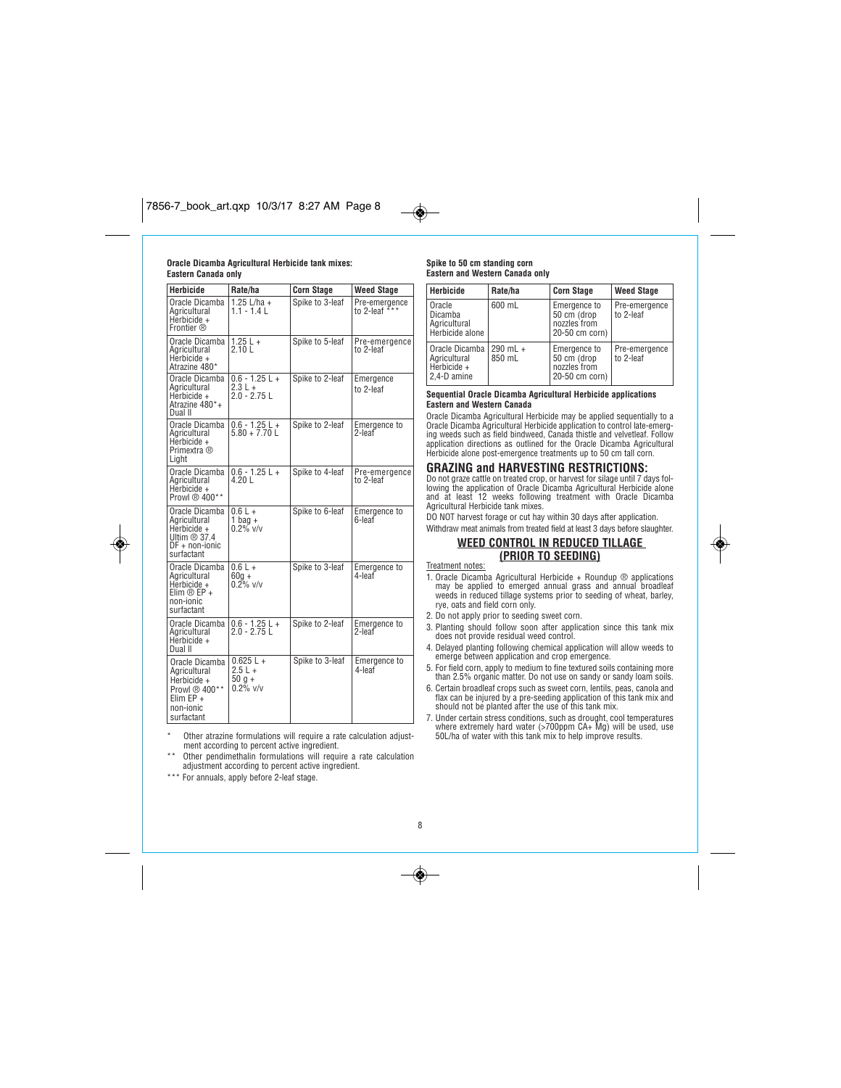### **Oracle Dicamba Agricultural Herbicide tank mixes: Eastern Canada only**

| <b>Herbicide</b>                                                                                         | Rate/ha                                          | <b>Corn Stage</b> | <b>Weed Stage</b>              |
|----------------------------------------------------------------------------------------------------------|--------------------------------------------------|-------------------|--------------------------------|
| Oracle Dicamba<br>Aaricultural<br>Herbicide +<br>Frontier ®                                              | 1.25 L/ha +<br>$1.1 - 1.4$ L                     | Spike to 3-leaf   | Pre-emergence<br>to 2-leaf *** |
| Oracle Dicamba<br>Agricultural<br>Herbicide $+$<br>Atrazine 480*                                         | $1.25 L +$<br>2.10 L                             | Spike to 5-leaf   | Pre-emergence<br>to 2-leaf     |
| Oracle Dicamba<br>Agricultural<br>Herbicide +<br>Atrazine 480*+<br>Dual II                               | $0.6 - 1.25 L +$<br>$2.3 L +$<br>$2.0 - 2.75$ L  | Spike to 2-leaf   | Emergence<br>to 2-leaf         |
| Oracle Dicamba<br>Agricultural<br>Herbicide +<br>Primextra ®<br>Light                                    | $0.6 - 1.25 L +$<br>$5.80 + 7.70$ L              | Spike to 2-leaf   | Emergence to<br>2-leaf         |
| Oracle Dicamba<br>Agricultural<br>Herbicide +<br>Prowl ® 400**                                           | $0.6 - 1.25 L +$<br>4.20L                        | Spike to 4-leaf   | Pre-emergence<br>to 2-leaf     |
| Oracle Dicamba<br>Agricultural<br>Herbicide +<br>Ultim $@37.4$<br>$DF + non-ionic$<br>surfactant         | $0.6 L +$<br>1 bag $+$<br>$0.2\%$ v/v            | Spike to 6-leaf   | Emergence to<br>6-leaf         |
| Oracle Dicamba<br>Agricultural<br>Herbicide +<br>Elim $\bigcirc$ EP +<br>non-ionic<br>surfactant         | $0.6\overline{L+}$<br>$60q +$<br>$0.2\%$ v/v     | Spike to 3-leaf   | Emergence to<br>4-leaf         |
| Oracle Dicamba<br>Agricultural<br>Herbicide +<br>Dual II                                                 | $0.6 - 1.25$ L +<br>2.0 - 2.75 L                 | Spike to 2-leaf   | <b>Emergence to</b><br>2-leaf  |
| Oracle Dicamba<br>Agricultural<br>Herbicide +<br>Prowl ® 400**<br>Elim $EP +$<br>non-ionic<br>surfactant | $0.625L +$<br>$2.5L +$<br>$50q +$<br>$0.2\%$ v/v | Spike to 3-leaf   | <b>Emergence to</b><br>4-leaf  |

*\* Other atrazine formulations will require a rate calculation adjustment according to percent active ingredient.* 

*\*\* Other pendimethalin formulations will require a rate calculation adjustment according to percent active ingredient.*

*\*\*\* For annuals, apply before 2-leaf stage.*

۱

# **Spike to 50 cm standing corn Eastern and Western Canada only**

 $\bigcirc$ 

| Herbicide                                                    | Rate/ha              | <b>Corn Stage</b>                                             | <b>Weed Stage</b>          |
|--------------------------------------------------------------|----------------------|---------------------------------------------------------------|----------------------------|
| Oracle<br>Dicamba<br>Agricultural<br>Herbicide alone         | 600 mL               | Emergence to<br>50 cm (drop<br>nozzles from<br>20-50 cm corn) | Pre-emergence<br>to 2-leaf |
| Oracle Dicamba<br>Agricultural<br>Herbicide +<br>2.4-D amine | $290$ mL +<br>850 mL | Emergence to<br>50 cm (drop<br>nozzles from<br>20-50 cm corn) | Pre-emergence<br>to 2-leaf |

### **Sequential Oracle Dicamba Agricultural Herbicide applications Eastern and Western Canada**

Oracle Dicamba Agricultural Herbicide may be applied sequentially to a<br>Oracle Dicamba Agricultural Herbicide application to control late-emerg-<br>ing weeds such as field bindweed, Canada thistle and velvetleaf. Follow *application directions as outlined for the Oracle Dicamba Agricultural Herbicide alone post-emergence treatments up to 50 cm tall corn.*

**GRAZING and HARVESTING RESTRICTIONS:**<br>Do not graze cattle on treated crop, or harvest for silage until 7 days fol-<br>lowing the application of Oracle Dicamba Agricultural Herbicide alone<br>and at least 12 weeks following trea *Agricultural Herbicide tank mixes.*

*DO NOT harvest forage or cut hay within 30 days after application.* 

*Withdraw meat animals from treated field at least 3 days before slaughter.*

# **WEED CONTROL IN REDUCED TILLAGE (PRIOR TO SEEDING)**

*Treatment notes:*

- *1. Oracle Dicamba Agricultural Herbicide + Roundup ® applications may be applied to emerged annual grass and annual broadleaf weeds in reduced tillage systems prior to seeding of wheat, barley, rye, oats and field corn only.*
- *2. Do not apply prior to seeding sweet corn.*
- *3. Planting should follow soon after application since this tank mix does not provide residual weed control.*
- *4. Delayed planting following chemical application will allow weeds to emerge between application and crop emergence.*
- *5. For field corn, apply to medium to fine textured soils containing more than 2.5% organic matter. Do not use on sandy or sandy loam soils.*
- *6. Certain broadleaf crops such as sweet corn, lentils, peas, canola and flax can be injured by a pre-seeding application of this tank mix and should not be planted after the use of this tank mix.*
- *7. Under certain stress conditions, such as drought, cool temperatures where extremely hard water (>700ppm CA+ Mg) will be used, use 50L/ha of water with this tank mix to help improve results.*

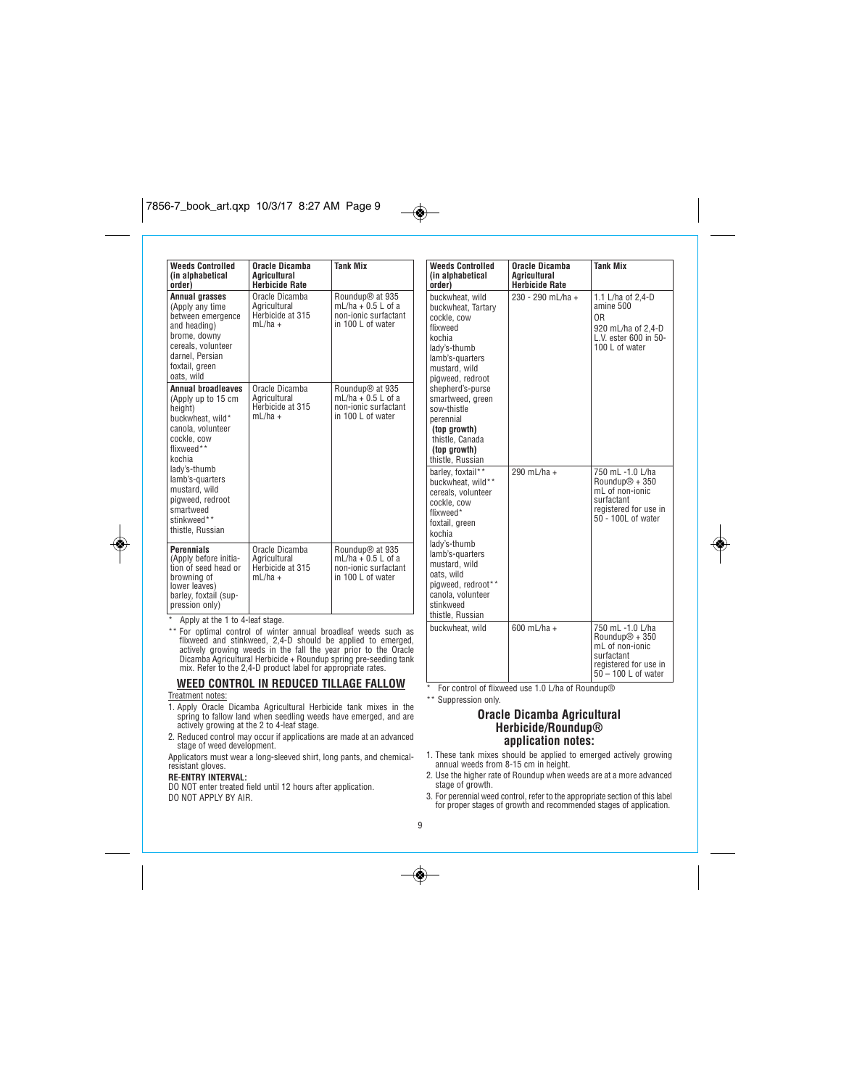| <b>Weeds Controlled</b>                                                                                                                                                                                                                                            | Oracle Dicamba                                                  | <b>Tank Mix</b>                                                                                  |
|--------------------------------------------------------------------------------------------------------------------------------------------------------------------------------------------------------------------------------------------------------------------|-----------------------------------------------------------------|--------------------------------------------------------------------------------------------------|
| (in alphabetical<br>order)                                                                                                                                                                                                                                         | <b>Agricultural</b><br><b>Herbicide Rate</b>                    |                                                                                                  |
| Annual grasses<br>(Apply any time<br>between emergence<br>and heading)<br>brome, downy<br>cereals, volunteer<br>darnel. Persian<br>foxtail, green<br>oats, wild                                                                                                    | Oracle Dicamba<br>Aaricultural<br>Herbicide at 315<br>$ml/ha +$ | Roundup <sup>®</sup> at 935<br>$mL/ha + 0.5 L$ of a<br>non-ionic surfactant<br>in 100 L of water |
| <b>Annual broadleaves</b><br>(Apply up to 15 cm<br>height)<br>buckwheat, wild*<br>canola, volunteer<br>cockle, cow<br>flixweed**<br>kochia<br>lady's-thumb<br>lamb's-quarters<br>mustard, wild<br>pigweed, redroot<br>smartweed<br>stinkweed**<br>thistle. Russian | Oracle Dicamba<br>Agricultural<br>Herbicide at 315<br>$mL/ha +$ | Roundup <sup>®</sup> at 935<br>mL/ha $+$ 0.5 L of a<br>non-ionic surfactant<br>in 100 L of water |
| <b>Perennials</b><br>(Apply before initia-<br>tion of seed head or<br>browning of<br>lower leaves)<br>barley, foxtail (sup-<br>pression only)<br>Apply at the 1 to 4-leaf stage.                                                                                   | Oracle Dicamba<br>Agricultural<br>Herbicide at 315<br>$mL/ha +$ | Roundup <sup>®</sup> at 935<br>mL/ha $+$ 0.5 L of a<br>non-ionic surfactant<br>in 100 L of water |

*\*\* For optimal control of winter annual broadleaf weeds such as* flixweed and stinkweed, 2,4-D should be applied to emerged,<br>actively growing weeds in the fall the year prior to the Oracle<br>Dicamba Agricultural Herbicide + Roundup spring pre-seeding tank<br>mix. Refer to the 2,4-D product l

### **WEED CONTROL IN REDUCED TILLAGE FALLOW** *Treatment notes:*

- *1. Apply Oracle Dicamba Agricultural Herbicide tank mixes in the spring to fallow land when seedling weeds have emerged, and are actively growing at the 2 to 4-leaf stage.*
- *2. Reduced control may occur if applications are made at an advanced stage of weed development.*

*Applicators must wear a long-sleeved shirt, long pants, and chemicalresistant gloves.*

# **RE-ENTRY INTERVAL:**

◈

*DO NOT enter treated field until 12 hours after application. DO NOT APPLY BY AIR.*

| <b>Weeds Controlled</b><br>(in alphabetical<br>order)                                                                                                                                                                                                                                         | Oracle Dicamba<br>Aaricultural<br><b>Herbicide Rate</b> | <b>Tank Mix</b>                                                                                                                   |
|-----------------------------------------------------------------------------------------------------------------------------------------------------------------------------------------------------------------------------------------------------------------------------------------------|---------------------------------------------------------|-----------------------------------------------------------------------------------------------------------------------------------|
| buckwheat, wild<br>buckwheat, Tartary<br>cockle, cow<br>flixweed<br>kochia<br>lady's-thumb<br>lamb's-quarters<br>mustard, wild<br>pigweed, redroot<br>shepherd's-purse<br>smartweed, green<br>sow-thistle<br>perennial<br>(top growth)<br>thistle, Canada<br>(top growth)<br>thistle, Russian | 230 - 290 mL/ha +                                       | 1.1 L/ha of 2,4-D<br>amine 500<br>ΩR<br>920 mL/ha of 2,4-D<br>L.V. ester 600 in 50-<br>100 L of water                             |
| barley, foxtail**<br>buckwheat, wild**<br>cereals, volunteer<br>cockle, cow<br>flixweed*<br>foxtail, green<br>kochia<br>lady's-thumb<br>lamb's-quarters<br>mustard, wild<br>oats, wild<br>pigweed, redroot**<br>canola, volunteer<br>stinkweed<br>thistle, Russian                            | 290 mL/ha +                                             | 750 mL -1.0 L/ha<br>Roundup $@ + 350$<br>mL of non-ionic<br>surfactant<br>registered for use in<br>$50 - 100$ L of water          |
| buckwheat, wild                                                                                                                                                                                                                                                                               | 600 mL/ha +                                             | 750 mL -1.0 L/ha<br>Roundup <sup>®</sup> + 350<br>mL of non-ionic<br>surfactant<br>registered for use in<br>$50 - 100$ L of water |

◈

*\* For control of flixweed use 1.0 L/ha of Roundup® \*\* Suppression only.*

# **Oracle Dicamba Agricultural Herbicide/Roundup® application notes:**

- *1. These tank mixes should be applied to emerged actively growing annual weeds from 8-15 cm in height.*
- *2. Use the higher rate of Roundup when weeds are at a more advanced stage of growth.*
- *3. For perennial weed control, refer to the appropriate section of this label for proper stages of growth and recommended stages of application.*

# *9*

◈

 $\overline{\bullet}$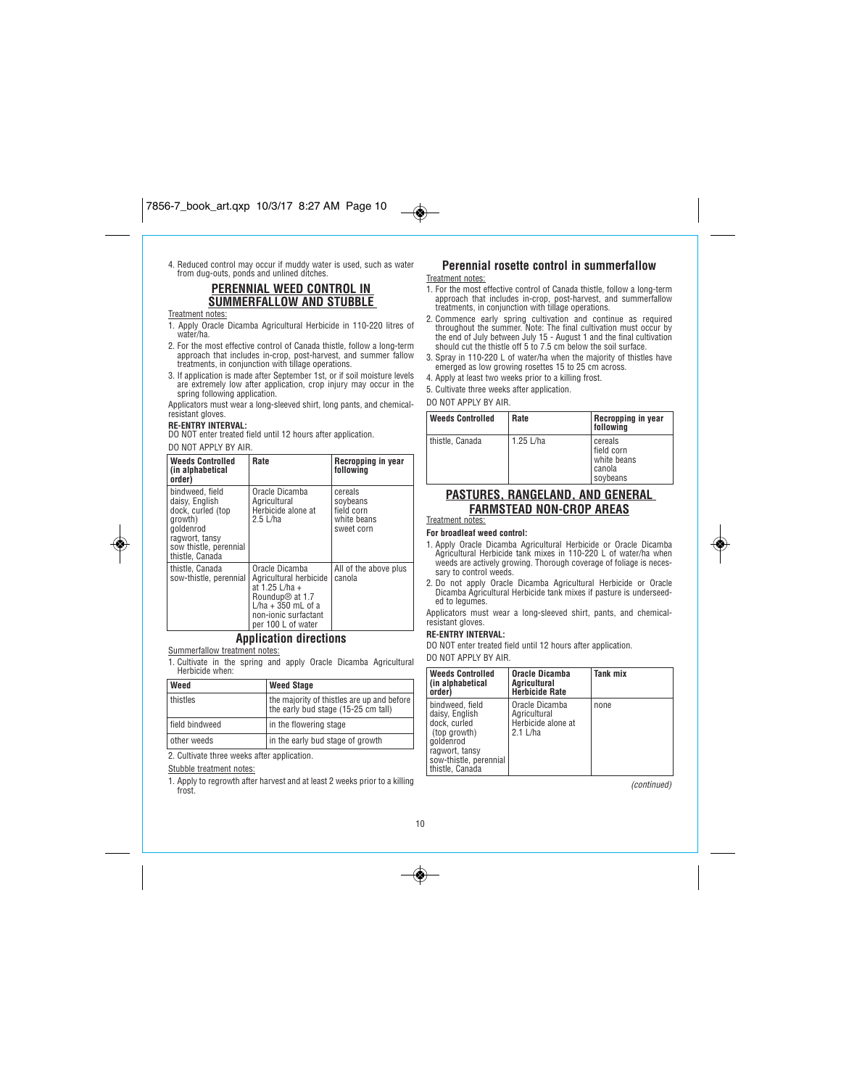*4. Reduced control may occur if muddy water is used, such as water from dug-outs, ponds and unlined ditches.*

# **PERENNIAL WEED CONTROL IN SUMMERFALLOW AND STUBBLE**

# *Treatment notes:*

- *1. Apply Oracle Dicamba Agricultural Herbicide in 110-220 litres of water/ha. 2. For the most effective control of Canada thistle, follow a long-term*
- *approach that includes in-crop, post-harvest, and summer fallow treatments, in conjunction with tillage operations.*
- *3. If application is made after September 1st, or if soil moisture levels are extremely low after application, crop injury may occur in the spring following application.*
- *Applicators must wear a long-sleeved shirt, long pants, and chemicalresistant gloves.*

# **RE-ENTRY INTERVAL:**

*DO NOT enter treated field until 12 hours after application. DO NOT APPLY BY AIR.*

| <b>Weeds Controlled</b><br>(in alphabetical<br>order)                                                                                         | Rate                                                                                                                                                            | Recropping in year<br>following                                |  |
|-----------------------------------------------------------------------------------------------------------------------------------------------|-----------------------------------------------------------------------------------------------------------------------------------------------------------------|----------------------------------------------------------------|--|
| bindweed, field<br>daisv. English<br>dock, curled (top<br>growth)<br>aoldenrod<br>ragwort, tansy<br>sow thistle, perennial<br>thistle, Canada | Oracle Dicamba<br>Agricultural<br>Herbicide alone at<br>$2.5$ L/ha                                                                                              | cereals<br>sovbeans<br>field corn<br>white beans<br>sweet corn |  |
| thistle, Canada<br>sow-thistle, perennial                                                                                                     | Oracle Dicamba<br>Agricultural herbicide<br>at 1.25 L/ha +<br>Roundup <sup>®</sup> at 1.7<br>$L/ha + 350$ mL of a<br>non-ionic surfactant<br>per 100 L of water | All of the above plus<br>canola                                |  |

# **Application directions**

*Summerfallow treatment notes: 1. Cultivate in the spring and apply Oracle Dicamba Agricultural Herbicide when:*

| Weed           | <b>Weed Stage</b>                                                                 |  |
|----------------|-----------------------------------------------------------------------------------|--|
| thistles       | the majority of thistles are up and before<br>the early bud stage (15-25 cm tall) |  |
| field bindweed | in the flowering stage                                                            |  |
| other weeds    | in the early bud stage of growth                                                  |  |

*2. Cultivate three weeks after application.*

*Stubble treatment notes:*

*1. Apply to regrowth after harvest and at least 2 weeks prior to a killing frost.*

### **Perennial rosette control in summerfallow** *Treatment notes:*

- *1. For the most effective control of Canada thistle, follow a long-term approach that includes in-crop, post-harvest, and summerfallow treatments, in conjunction with tillage operations.*
- *2. Commence early spring cultivation and continue as required throughout the summer. Note: The final cultivation must occur by the end of July between July 15 - August 1 and the final cultivation should cut the thistle off 5 to 7.5 cm below the soil surface.*
- *3. Spray in 110-220 L of water/ha when the majority of thistles have emerged as low growing rosettes 15 to 25 cm across.*
- *4. Apply at least two weeks prior to a killing frost. 5. Cultivate three weeks after application.*
- 

*DO NOT APPLY BY AIR.*

 $\bigcirc$ 

| <b>Weeds Controlled</b> | Rate      | Recropping in year<br>followina                              |
|-------------------------|-----------|--------------------------------------------------------------|
| thistle, Canada         | 1.25 L/ha | cereals<br>field corn<br>white beans<br>  canola<br>soybeans |

# **PASTURES, RANGELAND, AND GENERAL FARMSTEAD NON-CROP AREAS**

### *Treatment notes:* **For broadleaf weed control:**

- *1. Apply Oracle Dicamba Agricultural Herbicide or Oracle Dicamba Agricultural Herbicide tank mixes in 110-220 L of water/ha when weeds are actively growing. Thorough coverage of foliage is necessary to control weeds.*
- *2. Do not apply Oracle Dicamba Agricultural Herbicide or Oracle Dicamba Agricultural Herbicide tank mixes if pasture is underseeded to legumes.*

*Applicators must wear a long-sleeved shirt, pants, and chemicalresistant gloves.*

# **RE-ENTRY INTERVAL:**

*DO NOT enter treated field until 12 hours after application. DO NOT APPLY BY AIR.*

| <b>Weeds Controlled</b><br>(in alphabetical<br>order)                                                                                         | <b>Oracle Dicamba</b><br>Agricultural<br><b>Herbicide Rate</b>     | Tank mix |
|-----------------------------------------------------------------------------------------------------------------------------------------------|--------------------------------------------------------------------|----------|
| bindweed, field<br>daisy, English<br>dock, curled<br>(top growth)<br>goldenrod<br>ragwort, tansy<br>sow-thistle, perennial<br>thistle, Canada | Oracle Dicamba<br>Agricultural<br>Herbicide alone at<br>$2.1$ L/ha | none     |

*(continued)*

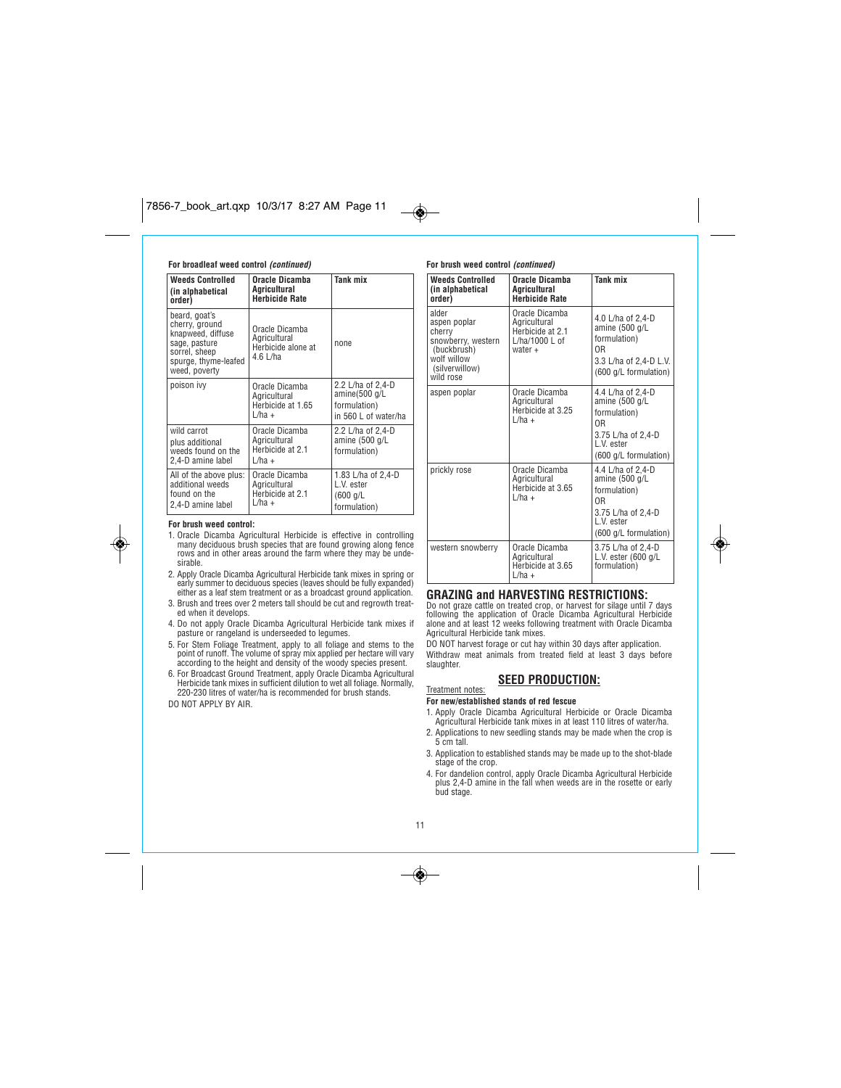### **For broadleaf weed control (continued)**

| <b>Weeds Controlled</b><br>(in alphabetical<br>order)                                                                           | Oracle Dicamba<br>Agricultural<br><b>Herbicide Rate</b>            | Tank mix                                                                   |
|---------------------------------------------------------------------------------------------------------------------------------|--------------------------------------------------------------------|----------------------------------------------------------------------------|
| beard, goat's<br>cherry, ground<br>knapweed, diffuse<br>sage, pasture<br>sorrel, sheep<br>spurge, thyme-leafed<br>weed, poverty | Oracle Dicamba<br>Agricultural<br>Herbicide alone at<br>$4.6$ L/ha | none                                                                       |
| poison ivy                                                                                                                      | Oracle Dicamba<br>Agricultural<br>Herbicide at 1.65<br>$L/ha +$    | 2.2 L/ha of 2,4-D<br>amine(500 g/L<br>formulation)<br>in 560 L of water/ha |
| wild carrot<br>plus additional<br>weeds found on the<br>2,4-D amine label                                                       | Oracle Dicamba<br>Agricultural<br>Herbicide at 2.1<br>$L/ha +$     | 2.2 L/ha of 2,4-D<br>amine (500 g/L<br>formulation)                        |
| All of the above plus:<br>additional weeds<br>found on the<br>2,4-D amine label                                                 | Oracle Dicamba<br>Agricultural<br>Herbicide at 2.1<br>$L/ha +$     | 1.83 L/ha of 2,4-D<br>L.V. ester<br>(600 q/L)<br>formulation)              |

### **For brush weed control:**

◈

*1. Oracle Dicamba Agricultural Herbicide is effective in controlling many deciduous brush species that are found growing along fence rows and in other areas around the farm where they may be undesirable.*

- *2. Apply Oracle Dicamba Agricultural Herbicide tank mixes in spring or early summer to deciduous species (leaves should be fully expanded) either as a leaf stem treatment or as a broadcast ground application.*
- *3. Brush and trees over 2 meters tall should be cut and regrowth treated when it develops.*
- *4. Do not apply Oracle Dicamba Agricultural Herbicide tank mixes if pasture or rangeland is underseeded to legumes.*
- 5. For Stem Foliage Treatment, apply to all foliage and stems to the<br>point of runoff. The volume of spray mix applied per hectare will vary<br>according to the height and density of the woody species present.
- *6. For Broadcast Ground Treatment, apply Oracle Dicamba Agricultural Herbicide tank mixes in sufficient dilution to wet all foliage. Normally, 220-230 litres of water/ha is recommended for brush stands. DO NOT APPLY BY AIR.*

## **For brush weed control (continued)**

 $\overline{\bullet}$ 

| <b>Weeds Controlled</b><br>(in alphabetical<br>order)                                                              | Oracle Dicamba<br>Aaricultural<br><b>Herbicide Rate</b>                         | Tank mix                                                                                                                           |
|--------------------------------------------------------------------------------------------------------------------|---------------------------------------------------------------------------------|------------------------------------------------------------------------------------------------------------------------------------|
| alder<br>aspen poplar<br>cherry<br>snowberry, western<br>(buckbrush)<br>wolf willow<br>(silverwillow)<br>wild rose | Oracle Dicamba<br>Agricultural<br>Herbicide at 2.1<br>L/ha/1000 L of<br>water + | 4.0 L/ha of 2.4-D<br>amine $(500 g/L)$<br>formulation)<br>0 <sub>R</sub><br>3.3 L/ha of 2,4-D L.V.<br>(600 g/L formulation)        |
| aspen poplar                                                                                                       | Oracle Dicamba<br>Agricultural<br>Herbicide at 3.25<br>$L/ha +$                 | 4.4 L/ha of 2,4-D<br>amine (500 g/L<br>formulation)<br>0 <sub>R</sub><br>3.75 L/ha of 2,4-D<br>L.V. ester<br>(600 g/L formulation) |
| prickly rose                                                                                                       | Oracle Dicamba<br>Agricultural<br>Herbicide at 3.65<br>$L/ha +$                 | 4.4 L/ha of 2.4-D<br>amine (500 g/L<br>formulation)<br>0 <sub>R</sub><br>3.75 L/ha of 2,4-D<br>I V ester<br>(600 g/L formulation)  |
| western snowberry                                                                                                  | Oracle Dicamba<br>Agricultural<br>Herbicide at 3.65<br>$L/ha +$                 | 3.75 L/ha of 2,4-D<br>L.V. ester (600 g/L<br>formulation)                                                                          |

### **GRAZING and HARVESTING RESTRICTIONS:**

Do not graze cattle on treated crop, or harvest for silage until 7 days<br>following the application of Oracle Dicamba Agricultural Herbicide<br>alone and at least 12 weeks following treatment with Oracle Dicamba *Agricultural Herbicide tank mixes.*

*DO NOT harvest forage or cut hay within 30 days after application. Withdraw meat animals from treated field at least 3 days before slaughter.*

# **SEED PRODUCTION:**

### *Treatment notes:* **For new/established stands of red fescue**

- *1. Apply Oracle Dicamba Agricultural Herbicide or Oracle Dicamba Agricultural Herbicide tank mixes in at least 110 litres of water/ha.*
- *2. Applications to new seedling stands may be made when the crop is 5 cm tall.*
- *3. Application to established stands may be made up to the shot-blade stage of the crop.*
- *4. For dandelion control, apply Oracle Dicamba Agricultural Herbicide plus 2,4-D amine in the fall when weeds are in the rosette or early bud stage.*

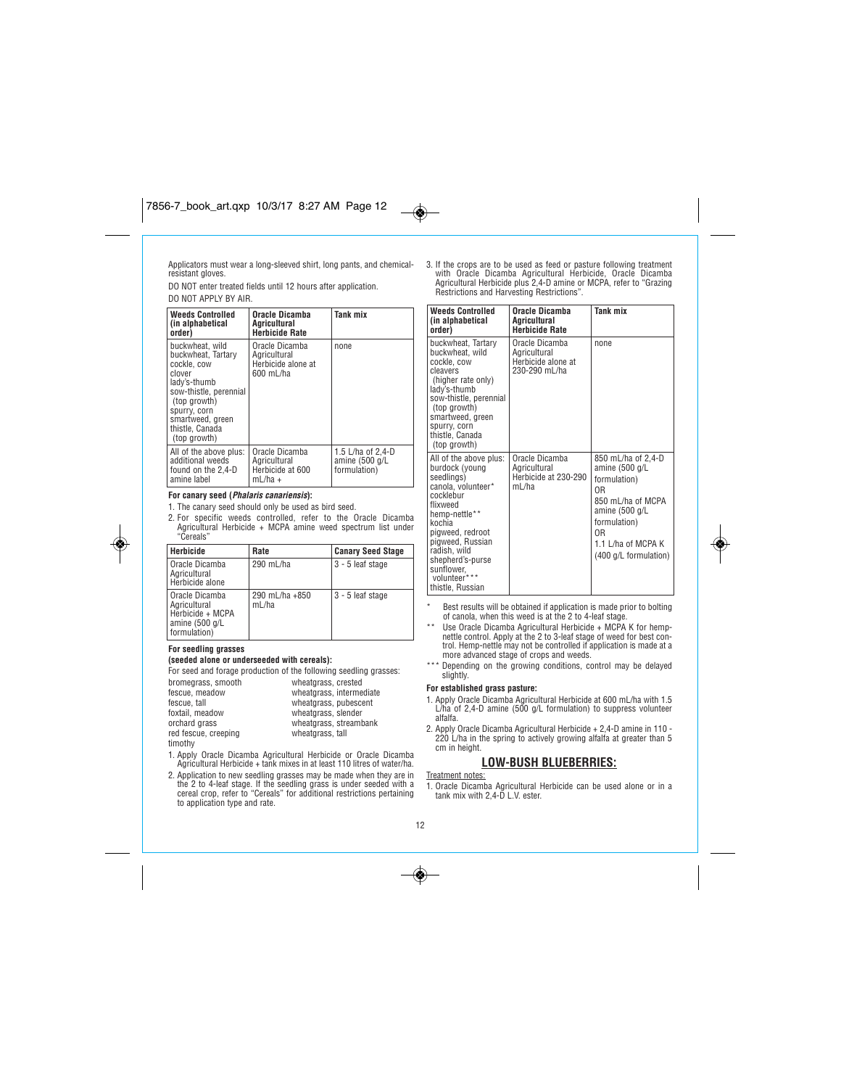# $7856-7.17$  art.  $7.7$   $3.27$   $3.27$   $3.27$   $3.27$   $3.27$   $3.27$   $3.27$   $3.27$   $3.27$   $3.27$   $3.27$   $3.27$   $3.27$   $3.27$   $3.27$   $3.27$   $3.27$   $3.27$   $3.27$   $3.27$   $3.27$   $3.27$   $3.27$   $3.27$   $3.27$   $3.27$   $3.27$   $3.27$   $3$

*Applicators must wear a long-sleeved shirt, long pants, and chemicalresistant gloves.*

*DO NOT enter treated fields until 12 hours after application. DO NOT APPLY BY AIR.*

| <b>Weeds Controlled</b><br>(in alphabetical<br>order)                                                                                                                                           | Oracle Dicamba<br>Aaricultural<br><b>Herbicide Rate</b>           | Tank mix                                            |
|-------------------------------------------------------------------------------------------------------------------------------------------------------------------------------------------------|-------------------------------------------------------------------|-----------------------------------------------------|
| buckwheat, wild<br>buckwheat, Tartary<br>cockle, cow<br>clover<br>lady's-thumb<br>sow-thistle, perennial<br>(top growth)<br>spurry, corn<br>smartweed, green<br>thistle, Canada<br>(top growth) | Oracle Dicamba<br>Agricultural<br>Herbicide alone at<br>600 mL/ha | none                                                |
| All of the above plus:<br>additional weeds<br>found on the 2.4-D<br>amine label                                                                                                                 | Oracle Dicamba<br>Agricultural<br>Herbicide at 600<br>$mL/ha +$   | 1.5 L/ha of 2,4-D<br>amine (500 g/L<br>formulation) |

### **For canary seed (Phalaris canariensis):**

*1. The canary seed should only be used as bird seed.*

*2. For specific weeds controlled, refer to the Oracle Dicamba Agricultural Herbicide + MCPA amine weed spectrum list under "Cereals"*

| Herbicide                                                                                | Rate                    | <b>Canary Seed Stage</b> |
|------------------------------------------------------------------------------------------|-------------------------|--------------------------|
| Oracle Dicamba<br>Agricultural<br>Herbicide alone                                        | 290 mL/ha               | 3 - 5 leaf stage         |
| l Oracle Dicamba<br>l Agricultural<br>Herbicide + MCPA<br>amine (500 g/L<br>formulation) | 290 mL/ha +850<br>mL/ha | 3 - 5 leaf stage         |

### **For seedling grasses**

◈

### **(seeded alone or underseeded with cereals):**

| For seed and forage production of the following seedling grasses: |                          |
|-------------------------------------------------------------------|--------------------------|
| bromegrass, smooth                                                | wheatgrass, crested      |
| fescue, meadow                                                    | wheatgrass, intermediate |
| fescue, tall                                                      | wheatgrass, pubescent    |
| foxtail, meadow                                                   | wheatgrass, slender      |
| orchard grass                                                     | wheatgrass, streambank   |
| red fescue, creeping                                              | wheatgrass, tall         |
| timothy                                                           |                          |

*1. Apply Oracle Dicamba Agricultural Herbicide or Oracle Dicamba Agricultural Herbicide + tank mixes in at least 110 litres of water/ha.*

2. Application to new seedling grasses may be made when they are in the 2 to 4-leaf stage. If the seedling grass is under seeded with a cereal crop, refer to "Cereals" for additional restrictions pertaining to application

*3. If the crops are to be used as feed or pasture following treatment with Oracle Dicamba Agricultural Herbicide, Oracle Dicamba Agricultural Herbicide plus 2,4-D amine or MCPA, refer to "Grazing Restrictions and Harvesting Restrictions".*

| <b>Weeds Controlled</b><br>(in alphabetical<br>order)                                                                                                                                                                                                          | Oracle Dicamba<br>Aaricultural<br><b>Herbicide Rate</b>               | Tank mix                                                                                                                                                                                       |
|----------------------------------------------------------------------------------------------------------------------------------------------------------------------------------------------------------------------------------------------------------------|-----------------------------------------------------------------------|------------------------------------------------------------------------------------------------------------------------------------------------------------------------------------------------|
| buckwheat, Tartary<br>buckwheat, wild<br>cockle, cow<br>cleavers<br>(higher rate only)<br>lady's-thumb<br>sow-thistle, perennial<br>(top growth)<br>smartweed, green<br>spurry, corn<br>thistle, Canada<br>(top growth)                                        | Oracle Dicamba<br>Aaricultural<br>Herbicide alone at<br>230-290 mL/ha | none                                                                                                                                                                                           |
| All of the above plus:<br>burdock (young<br>seedlings)<br>canola, volunteer*<br>cocklebur<br>flixweed<br>hemp-nettle**<br>kochia<br>pigweed, redroot<br>pigweed. Russian<br>radish, wild<br>shepherd's-purse<br>sunflower.<br>volunteer***<br>thistle, Russian | Oracle Dicamba<br>Aaricultural<br>Herbicide at 230-290<br>mL/ha       | 850 mL/ha of 2,4-D<br>amine (500 g/L<br>formulation)<br>0 <sub>R</sub><br>850 mL/ha of MCPA<br>amine (500 g/L<br>formulation)<br>0 <sub>R</sub><br>1.1 L/ha of MCPA K<br>(400 g/L formulation) |

- *\* Best results will be obtained if application is made prior to bolting of canola, when this weed is at the 2 to 4-leaf stage.*
- *\*\* Use Oracle Dicamba Agricultural Herbicide + MCPA K for hempnettle control. Apply at the 2 to 3-leaf stage of weed for best con-trol. Hemp-nettle may not be controlled if application is made at a more advanced stage of crops and weeds.*
- *\*\*\* Depending on the growing conditions, control may be delayed slightly.*

# **For established grass pasture:**

- *1. Apply Oracle Dicamba Agricultural Herbicide at 600 mL/ha with 1.5 L/ha of 2,4-D amine (500 g/L formulation) to suppress volunteer alfalfa.*
- *2. Apply Oracle Dicamba Agricultural Herbicide + 2,4-D amine in 110 - 220 L/ha in the spring to actively growing alfalfa at greater than 5 cm in height.*

# **LOW-BUSH BLUEBERRIES:**

### *Treatment notes:*

*1. Oracle Dicamba Agricultural Herbicide can be used alone or in a tank mix with 2,4-D L.V. ester.*

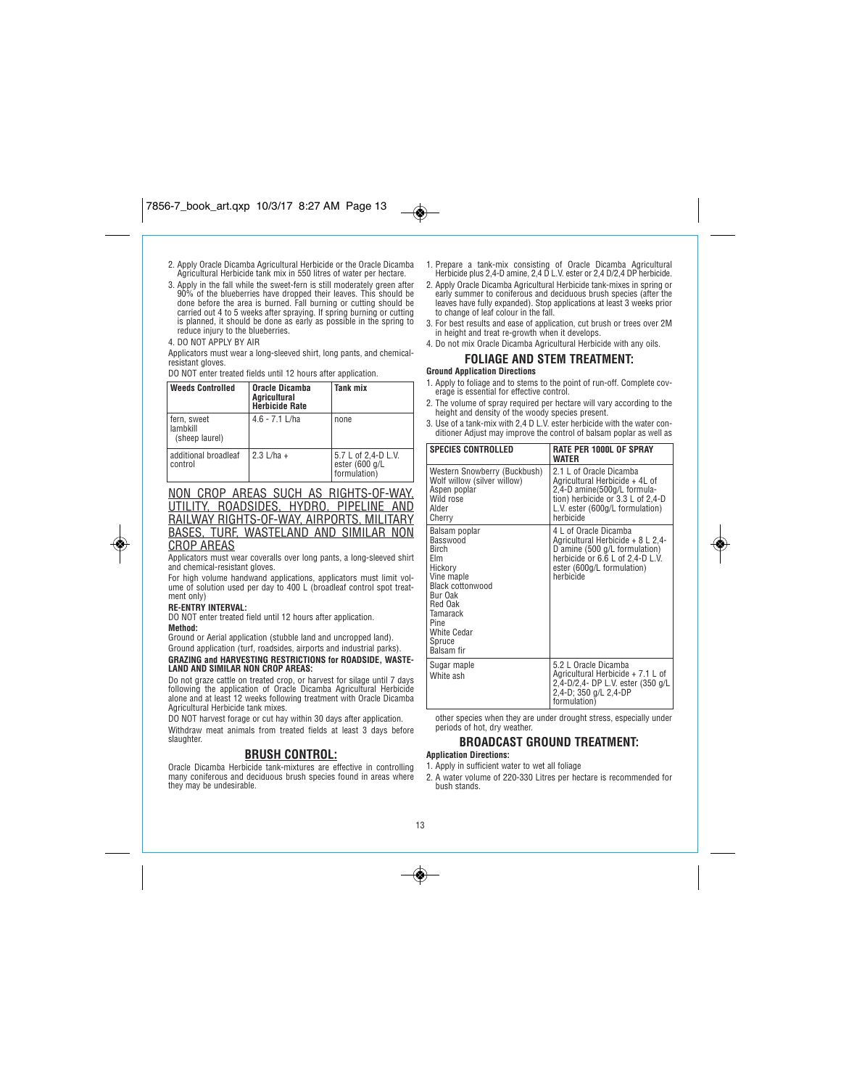- *2. Apply Oracle Dicamba Agricultural Herbicide or the Oracle Dicamba Agricultural Herbicide tank mix in 550 litres of water per hectare.*
- 3. Apply in the fall while the sweet-fern is still moderately green after<br>90% of the blueberries have dropped their leaves. This should be<br>done before the area is burned. Fall burning or cutting should be<br>carried out 4 to *is planned, it should be done as early as possible in the spring to reduce injury to the blueberries.*
- *4. DO NOT APPLY BY AIR*
- *Applicators must wear a long-sleeved shirt, long pants, and chemicalresistant gloves.*

*DO NOT enter treated fields until 12 hours after application.*

| Weeds Controlled                            | Oracle Dicamba<br>Aaricultural<br><b>Herbicide Rate</b> | Tank mix                                              |
|---------------------------------------------|---------------------------------------------------------|-------------------------------------------------------|
| l fern. sweet<br>lambkill<br>(sheep laurel) | $4.6 - 7.1$ L/ha                                        | none                                                  |
| additional broadleaf<br>control             | $2.3$ L/ha +                                            | 5.7 L of 2,4-D L.V.<br>ester (600 g/L<br>formulation) |

*NON CROP AREAS SUCH AS RIGHTS-OF-WAY, UTILITY, ROADSIDES, HYDRO, PIPELINE AND RAILWAY RIGHTS-OF-WAY, AIRPORTS, MILITARY BASES, TURF, WASTELAND AND SIMILAR NON CROP AREAS*

*Applicators must wear coveralls over long pants, a long-sleeved shirt and chemical-resistant gloves.*

*For high volume handwand applications, applicators must limit volume of solution used per day to 400 L (broadleaf control spot treatment only)*

### **RE-ENTRY INTERVAL:**

*DO NOT enter treated field until 12 hours after application.*

#### **Method:**

۱

*Ground or Aerial application (stubble land and uncropped land).*

*Ground application (turf, roadsides, airports and industrial parks).* **GRAZING and HARVESTING RESTRICTIONS for ROADSIDE, WASTE-LAND AND SIMILAR NON CROP AREAS:**

*Do not graze cattle on treated crop, or harvest for silage until 7 days following the application of Oracle Dicamba Agricultural Herbicide alone and at least 12 weeks following treatment with Oracle Dicamba Agricultural Herbicide tank mixes.*

*DO NOT harvest forage or cut hay within 30 days after application. Withdraw meat animals from treated fields at least 3 days before slaughter.*

# **BRUSH CONTROL:**

*Oracle Dicamba Herbicide tank-mixtures are effective in controlling many coniferous and deciduous brush species found in areas where they may be undesirable.*

- *1. Prepare a tank-mix consisting of Oracle Dicamba Agricultural Herbicide plus 2,4-D amine, 2,4 D L.V. ester or 2,4 D/2,4 DP herbicide.*
- 2. Apply Oracle Dicamba Agricultural Herbicide tank-mixes in spring or<br>early summer to coniferous and deciduous brush species (after the<br>leaves have fully expanded). Stop applications at least 3 weeks prior<br>to change of le
- *3. For best results and ease of application, cut brush or trees over 2M in height and treat re-growth when it develops.*
- *4. Do not mix Oracle Dicamba Agricultural Herbicide with any oils.* **FOLIAGE AND STEM TREATMENT:**

# **Ground Application Directions**

 $\bigcirc$ 

- *1. Apply to foliage and to stems to the point of run-off. Complete cov-erage is essential for effective control.*
- *2. The volume of spray required per hectare will vary according to the height and density of the woody species present.*
- *3. Use of a tank-mix with 2,4 D L.V. ester herbicide with the water conditioner Adjust may improve the control of balsam poplar as well as*

| <b>SPECIES CONTROLLED</b>                                                                                                                                                                    | RATE PER 1000L OF SPRAY<br><b>WATFR</b>                                                                                                                                       |
|----------------------------------------------------------------------------------------------------------------------------------------------------------------------------------------------|-------------------------------------------------------------------------------------------------------------------------------------------------------------------------------|
| Western Snowberry (Buckbush)<br>Wolf willow (silver willow)<br>Aspen poplar<br>Wild rose<br>Alder<br>Cherry                                                                                  | 2.1 L of Oracle Dicamba<br>Agricultural Herbicide + 4L of<br>2,4-D amine(500g/L formula-<br>tion) herbicide or 3.3 L of 2,4-D<br>L.V. ester (600g/L formulation)<br>herbicide |
| Balsam poplar<br>Basswood<br>Birch<br>Flm<br>Hickory<br>Vine maple<br>Black cottonwood<br>Bur Oak<br>Red Oak<br><b>Tamarack</b><br><b>Pine</b><br><b>White Cedar</b><br>Spruce<br>Balsam fir | 4 L of Oracle Dicamba<br>Agricultural Herbicide + 8 L 2,4-<br>D amine (500 g/L formulation)<br>herbicide or 6.6 L of 2,4-D L.V.<br>ester (600g/L formulation)<br>herbicide    |
| Sugar maple<br>White ash                                                                                                                                                                     | 5.2 L Oracle Dicamba<br>Agricultural Herbicide + 7.1 L of<br>2.4-D/2.4- DP L.V. ester (350 g/L<br>2,4-D; 350 g/L 2,4-DP<br>formulation)                                       |

*other species when they are under drought stress, especially under periods of hot, dry weather.*

# **BROADCAST GROUND TREATMENT:**

# **Application Directions:**

- *1. Apply in sufficient water to wet all foliage*
- *2. A water volume of 220-330 Litres per hectare is recommended for bush stands.*

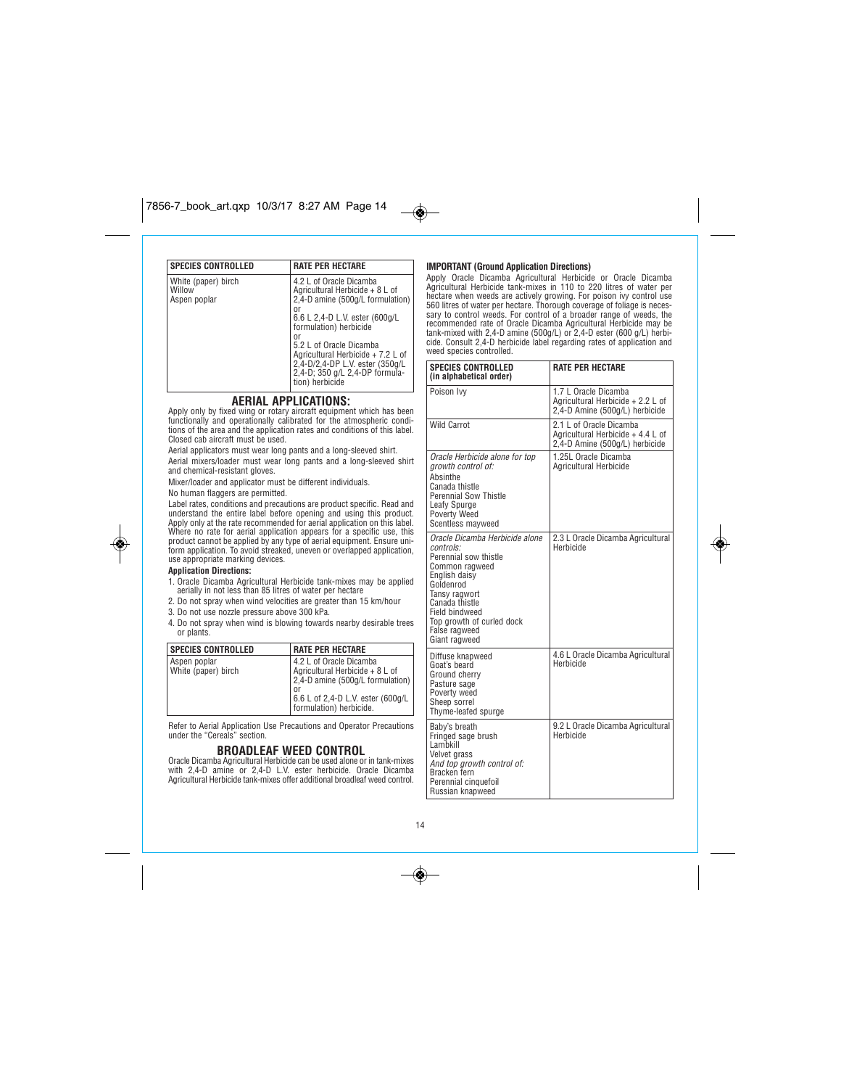| <b>SPECIES CONTROLLED</b>                     | <b>RATE PER HECTARE</b>                                                                                                                                                                                                                                                                                                        |
|-----------------------------------------------|--------------------------------------------------------------------------------------------------------------------------------------------------------------------------------------------------------------------------------------------------------------------------------------------------------------------------------|
| White (paper) birch<br>Willow<br>Aspen poplar | 4.2 L of Oracle Dicamba<br>Agricultural Herbicide + 8 L of<br>2,4-D amine (500g/L formulation)<br>or<br>6.6 L 2,4-D L.V. ester (600g/L<br>formulation) herbicide<br>or<br>5.2 L of Oracle Dicamba<br>Agricultural Herbicide + 7.2 L of<br>2,4-D/2,4-DP L.V. ester (350g/L<br>2,4-D; 350 g/L 2,4-DP formula-<br>tion) herbicide |

# **AERIAL APPLICATIONS:**

Apply only by fixed wing or rotary aircraft equipment which has been<br>functionally and operationally calibrated for the atmospheric condi-<br>tions of the area and the application rates and conditions of this label.<br>Closed cab

*Aerial applicators must wear long pants and a long-sleeved shirt.* 

*Aerial mixers/loader must wear long pants and a long-sleeved shirt and chemical-resistant gloves.*

*Mixer/loader and applicator must be different individuals.*

*No human flaggers are permitted.*

*Label rates, conditions and precautions are product specific. Read and* understand the entire label before opening and using this product.<br>Apply only at the rate recommended for aerial application on this label.<br>Where no rate for aerial application appears for a specific use, this<br>product cann

## **Application Directions:**

◈

- *1. Oracle Dicamba Agricultural Herbicide tank-mixes may be applied aerially in not less than 85 litres of water per hectare*
- *2. Do not spray when wind velocities are greater than 15 km/hour*
- *3. Do not use nozzle pressure above 300 kPa.*
- *4. Do not spray when wind is blowing towards nearby desirable trees or plants.*

| <b>SPECIES CONTROLLED</b>           | <b>RATE PER HECTARE</b>                                                                                                                                              |
|-------------------------------------|----------------------------------------------------------------------------------------------------------------------------------------------------------------------|
| Aspen poplar<br>White (paper) birch | 4.2 L of Oracle Dicamba<br>Agricultural Herbicide + 8 L of<br>2,4-D amine (500g/L formulation)<br>or<br>6.6 L of 2,4-D L.V. ester (600g/L<br>formulation) herbicide. |

*Refer to Aerial Application Use Precautions and Operator Precautions under the "Cereals" section.*

### **BROADLEAF WEED CONTROL**

Oracle Dicamba Agricultural Herbicide can be used alone or in tank-mixes<br>with 2.4-D amine or 2.4-D L.V. ester herbicide. Oracle Dicamba<br>Agricultural Herbicide tank-mixes offer additional broadleaf weed control.

# **IMPORTANT (Ground Application Directions)**

 $\overline{\bullet}$ 

*Apply Oracle Dicamba Agricultural Herbicide or Oracle Dicamba Agricultural Herbicide tank-mixes in 110 to 220 litres of water per* hectare when weeds are actively growing. For poison ivy control use<br>560 litres of water per hectare. Thorough coverage of foliage is neces-<br>sary to control weeds. For control of a broader range of weeds, the<br>recommended ra *weed species controlled.*

| <b>SPECIES CONTROLLED</b><br>(in alphabetical order)                                                                                                                                                                                            | <b>RATE PER HECTARE</b>                                                                        |
|-------------------------------------------------------------------------------------------------------------------------------------------------------------------------------------------------------------------------------------------------|------------------------------------------------------------------------------------------------|
| Poison Ivy                                                                                                                                                                                                                                      | 1.7 L Oracle Dicamba<br>Agricultural Herbicide + 2.2 L of<br>2,4-D Amine (500g/L) herbicide    |
| <b>Wild Carrot</b>                                                                                                                                                                                                                              | 2.1 L of Oracle Dicamba<br>Agricultural Herbicide + 4.4 L of<br>2,4-D Amine (500g/L) herbicide |
| Oracle Herbicide alone for top<br>growth control of:<br>Absinthe<br>Canada thistle<br>Perennial Sow Thistle<br>Leafy Spurge<br>Poverty Weed<br>Scentless mayweed                                                                                | 1.25L Oracle Dicamba<br>Agricultural Herbicide                                                 |
| Oracle Dicamba Herbicide alone<br>controls:<br>Perennial sow thistle<br>Common ragweed<br>English daisy<br>Goldenrod<br>Tansy ragwort<br>Canada thistle<br><b>Field bindweed</b><br>Top growth of curled dock<br>False ragweed<br>Giant ragweed | 2.3 L Oracle Dicamba Agricultural<br>Herbicide                                                 |
| Diffuse knapweed<br>Goat's beard<br>Ground cherry<br>Pasture sage<br>Poverty weed<br>Sheep sorrel<br>Thyme-leafed spurge                                                                                                                        | 4.6 L Oracle Dicamba Agricultural<br>Herbicide                                                 |
| Baby's breath<br>Fringed sage brush<br>Lambkill<br>Velvet grass<br>And top growth control of:<br>Bracken fern<br>Perennial cinquefoil<br>Russian knapweed                                                                                       | 9.2 L Oracle Dicamba Agricultural<br>Herbicide                                                 |

◈

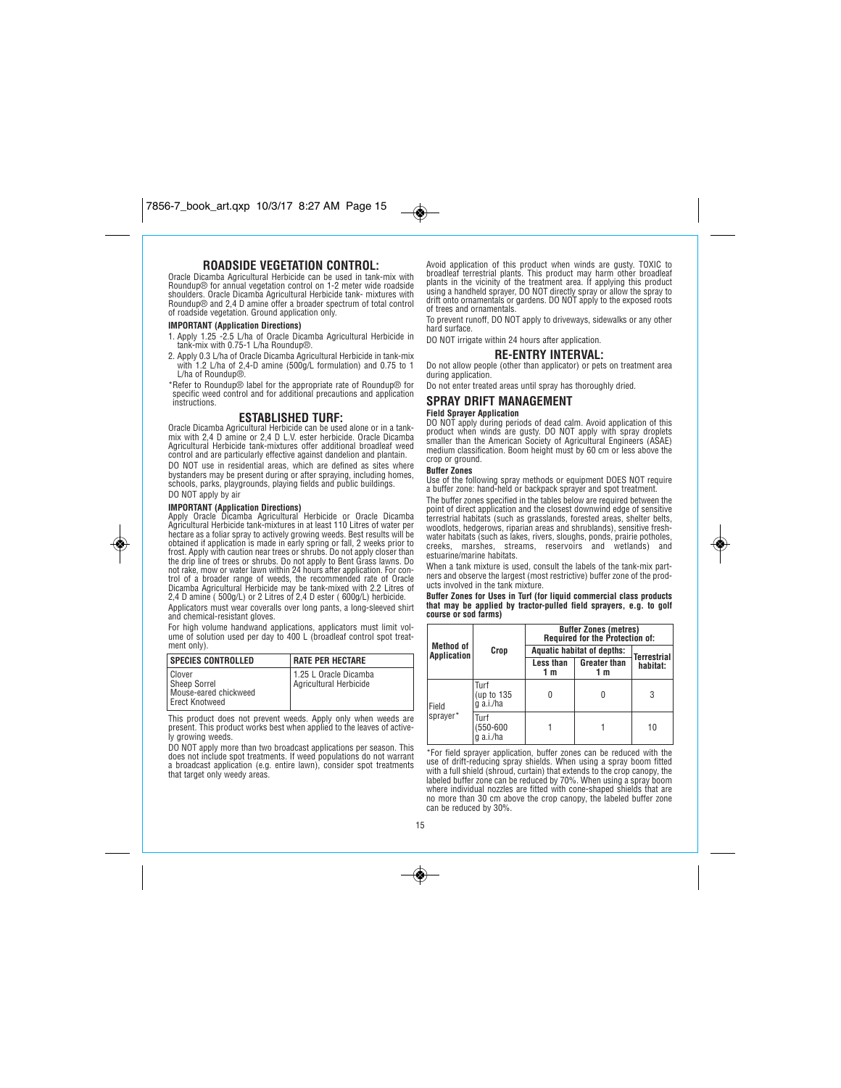# **ROADSIDE VEGETATION CONTROL:**

*Oracle Dicamba Agricultural Herbicide can be used in tank-mix with Roundup® for annual vegetation control on 1-2 meter wide roadside shoulders. Oracle Dicamba Agricultural Herbicide tank- mixtures with Roundup® and 2,4 D amine offer a broader spectrum of total control of roadside vegetation. Ground application only.* 

### **IMPORTANT (Application Directions)**

*1. Apply 1.25 -2.5 L/ha of Oracle Dicamba Agricultural Herbicide in tank-mix with 0.75-1 L/ha Roundup®.*

*2. Apply 0.3 L/ha of Oracle Dicamba Agricultural Herbicide in tank-mix with 1.2 L/ha of 2,4-D amine (500g/L formulation) and 0.75 to 1 L/ha of Roundup®.*

*\*Refer to Roundup® label for the appropriate rate of Roundup® for specific weed control and for additional precautions and application instructions.*

# **ESTABLISHED TURF:**

Oracle Dicamba Agricultural Herbicide can be used alone or in a tank-<br>mix with 2,4 D amine or 2,4 D L.V. ester herbicide. Oracle Dicamba<br>Agricultural Herbicide tank-mixtures offer additional broadleaf weed *control and are particularly effective against dandelion and plantain. DO NOT use in residential areas, which are defined as sites where*

*bystanders may be present during or after spraying, including homes, schools, parks, playgrounds, playing fields and public buildings. DO NOT apply by air*

◈

**IMPORTANT (Application Directions)** *Apply Oracle Dicamba Agricultural Herbicide or Oracle Dicamba Agricultural Herbicide tank-mixtures in at least 110 Litres of water per* hectare as a foliar spray to actively growing weeds. Best results will be<br>obtained if application is made in early spring or fall, 2 weeks prior to<br>frost. Apply with caution near trees or shrubs. Do not apply closer than *the drip line of trees or shrubs. Do not apply to Bent Grass lawns. Do not rake, mow or water lawn within 24 hours after application. For control of a broader range of weeds, the recommended rate of Oracle Dicamba Agricultural Herbicide may be tank-mixed with 2.2 Litres of 2,4 D amine ( 500g/L) or 2 Litres of 2,4 D ester ( 600g/L) herbicide. Applicators must wear coveralls over long pants, a long-sleeved shirt*

*and chemical-resistant gloves. For high volume handwand applications, applicators must limit vol-*

*ume of solution used per day to 400 L (broadleaf control spot treatment only).*

| SPECIES CONTROLLED                                                | <b>I RATE PER HECTARE</b>                       |
|-------------------------------------------------------------------|-------------------------------------------------|
| Clover<br>Sheep Sorrel<br>Mouse-eared chickweed<br>Erect Knotweed | 1.25 L Oracle Dicamba<br>Aaricultural Herbicide |

*This product does not prevent weeds. Apply only when weeds are present. This product works best when applied to the leaves of active-ly growing weeds.*

*DO NOT apply more than two broadcast applications per season. This does not include spot treatments. If weed populations do not warrant a broadcast application (e.g. entire lawn), consider spot treatments that target only weedy areas.*

*Avoid application of this product when winds are gusty. TOXIC to* broadleaf terrestrial plants. This product may harm other broadleaf<br>plants in the vicinity of the treatment area. If applying this product<br>using a handheld sprayer, DO NOT directly spray or allow the spray to<br>drift onto or

*To prevent runoff, DO NOT apply to driveways, sidewalks or any other hard surface. DO NOT irrigate within 24 hours after application.*

# **RE-ENTRY INTERVAL:**

*Do not allow people (other than applicator) or pets on treatment area during application.* 

*Do not enter treated areas until spray has thoroughly dried.*

### **SPRAY DRIFT MANAGEMENT**

### **Field Sprayer Application**

*DO NOT apply during periods of dead calm. Avoid application of this product when winds are gusty. DO NOT apply with spray droplets smaller than the American Society of Agricultural Engineers (ASAE) medium classification. Boom height must by 60 cm or less above the crop or ground.*

#### **Buffer Zones**

 $\overline{\bullet}$ 

*Use of the following spray methods or equipment DOES NOT require a buffer zone: hand-held or backpack sprayer and spot treatment.*

*The buffer zones specified in the tables below are required between the* point of direct application and the closest downwind edge of sensitive<br>terrestrial habitats (such as grasslands, forested areas, shelter belts,<br>woodlots, hedgerows, riparian areas and shrublands), sensitive fresh-<br>water ha *creeks, marshes, streams, reservoirs and wetlands) and estuarine/marine habitats.*

*When a tank mixture is used, consult the labels of the tank-mix partners and observe the largest (most restrictive) buffer zone of the products involved in the tank mixture.*

### **Buffer Zones for Uses in Turf (for liquid commercial class products that may be applied by tractor-pulled field sprayers, e.g. to golf course or sod farms)**

|                                        |                                 | <b>Buffer Zones (metres)</b><br>Required for the Protection of: |                            |                    |
|----------------------------------------|---------------------------------|-----------------------------------------------------------------|----------------------------|--------------------|
| <b>Method of</b><br><b>Application</b> | Crop                            | <b>Aquatic habitat of depths:</b>                               |                            | <b>Terrestrial</b> |
|                                        |                                 | Less than<br>1 m                                                | <b>Greater than</b><br>1 m | habitat:           |
| Field<br>sprayer*                      | Turf<br>(up to 135<br>g a.i./ha |                                                                 |                            | 3                  |
|                                        | Turf<br>550-600<br>a.i./ha      |                                                                 |                            | 10                 |

*\*For field sprayer application, buffer zones can be reduced with the* use of drift-reducing spray shields. When using a spray boom fitted<br>with a full shield (shroud, curtain) that extends to the crop canopy, the<br>labeled buffer zone can be reduced by 70%. When using a spray boom<br>where individ *can be reduced by 30%.*

### *15*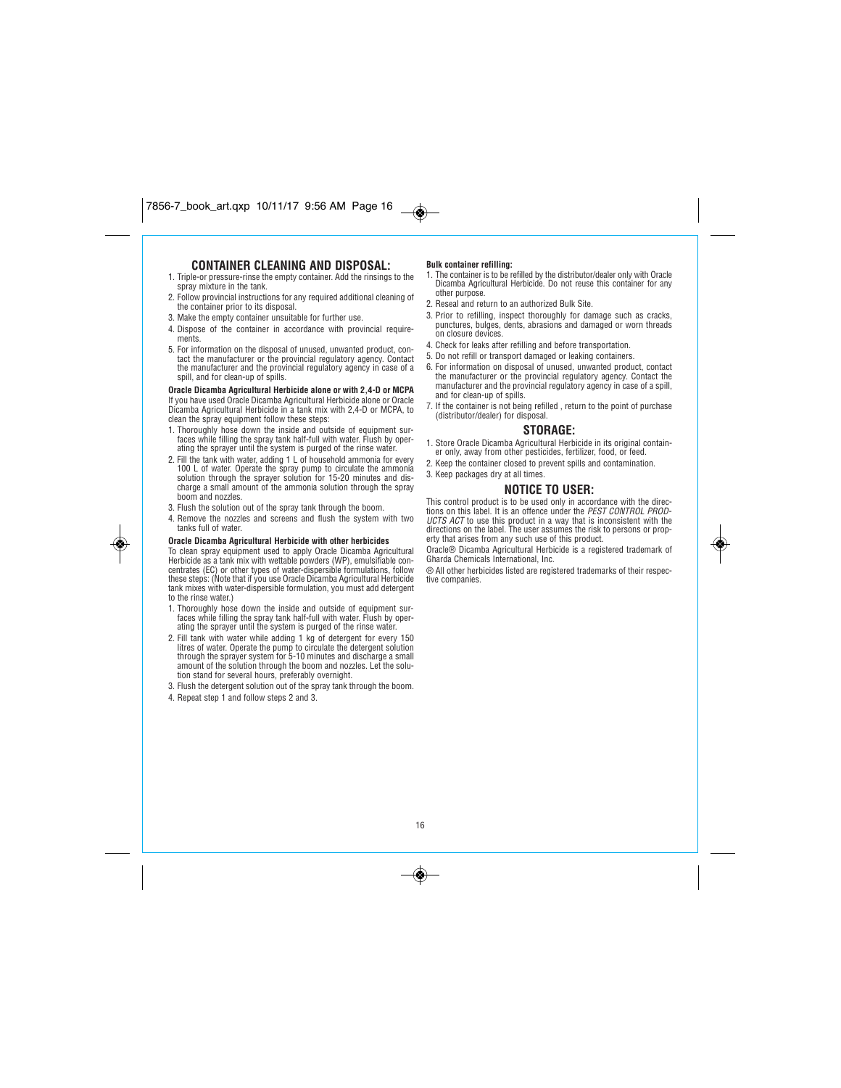# **CONTAINER CLEANING AND DISPOSAL:**

- *1. Triple-or pressure-rinse the empty container. Add the rinsings to the spray mixture in the tank.*
- *2. Follow provincial instructions for any required additional cleaning of the container prior to its disposal.*
- *3. Make the empty container unsuitable for further use.*
- *4. Dispose of the container in accordance with provincial requirements.*
- *5. For information on the disposal of unused, unwanted product, contact the manufacturer or the provincial regulatory agency. Contact the manufacturer and the provincial regulatory agency in case of a spill, and for clean-up of spills.*

**Oracle Dicamba Agricultural Herbicide alone or with 2,4-D or MCPA** *If you have used Oracle Dicamba Agricultural Herbicide alone or Oracle Dicamba Agricultural Herbicide in a tank mix with 2,4-D or MCPA, to clean the spray equipment follow these steps:*

- *1. Thoroughly hose down the inside and outside of equipment sur-faces while filling the spray tank half-full with water. Flush by oper-ating the sprayer until the system is purged of the rinse water.*
- *2. Fill the tank with water, adding 1 L of household ammonia for every 100 L of water. Operate the spray pump to circulate the ammonia solution through the sprayer solution for 15-20 minutes and discharge a small amount of the ammonia solution through the spray boom and nozzles.*
- *3. Flush the solution out of the spray tank through the boom.*
- *4. Remove the nozzles and screens and flush the system with two tanks full of water.*

### **Oracle Dicamba Agricultural Herbicide with other herbicides**

*To clean spray equipment used to apply Oracle Dicamba Agricultural Herbicide as a tank mix with wettable powders (WP), emulsifiable con-centrates (EC) or other types of water-dispersible formulations, follow these steps: (Note that if you use Oracle Dicamba Agricultural Herbicide tank mixes with water-dispersible formulation, you must add detergent to the rinse water.)*

- *1. Thoroughly hose down the inside and outside of equipment surfaces while filling the spray tank half-full with water. Flush by oper-ating the sprayer until the system is purged of the rinse water.*
- *2. Fill tank with water while adding 1 kg of detergent for every 150 litres of water. Operate the pump to circulate the detergent solution through the sprayer system for 5-10 minutes and discharge a small amount of the solution through the boom and nozzles. Let the solu-tion stand for several hours, preferably overnight.*
- *3. Flush the detergent solution out of the spray tank through the boom.*
- *4. Repeat step 1 and follow steps 2 and 3.*

◈

### **Bulk container refilling:**

 $\bigcirc$ 

- *1. The container is to be refilled by the distributor/dealer only with Oracle Dicamba Agricultural Herbicide. Do not reuse this container for any other purpose.*
- *2. Reseal and return to an authorized Bulk Site.*
- *3. Prior to refilling, inspect thoroughly for damage such as cracks, punctures, bulges, dents, abrasions and damaged or worn threads on closure devices.*
- *4. Check for leaks after refilling and before transportation.*
- *5. Do not refill or transport damaged or leaking containers.*
- *6. For information on disposal of unused, unwanted product, contact the manufacturer or the provincial regulatory agency. Contact the manufacturer and the provincial regulatory agency in case of a spill, and for clean-up of spills.*
- *7. If the container is not being refilled , return to the point of purchase (distributor/dealer) for disposal.*

### **STORAGE:**

- *1. Store Oracle Dicamba Agricultural Herbicide in its original container only, away from other pesticides, fertilizer, food, or feed.*
- *2. Keep the container closed to prevent spills and contamination.*
- *3. Keep packages dry at all times.*

### **NOTICE TO USER:**

*This control product is to be used only in accordance with the directions on this label. It is an offence under the PEST CONTROL PROD-UCTS ACT to use this product in a way that is inconsistent with the directions on the label. The user assumes the risk to persons or property that arises from any such use of this product.*

*Oracle® Dicamba Agricultural Herbicide is a registered trademark of Gharda Chemicals International, Inc.*

*® All other herbicides listed are registered trademarks of their respective companies.*

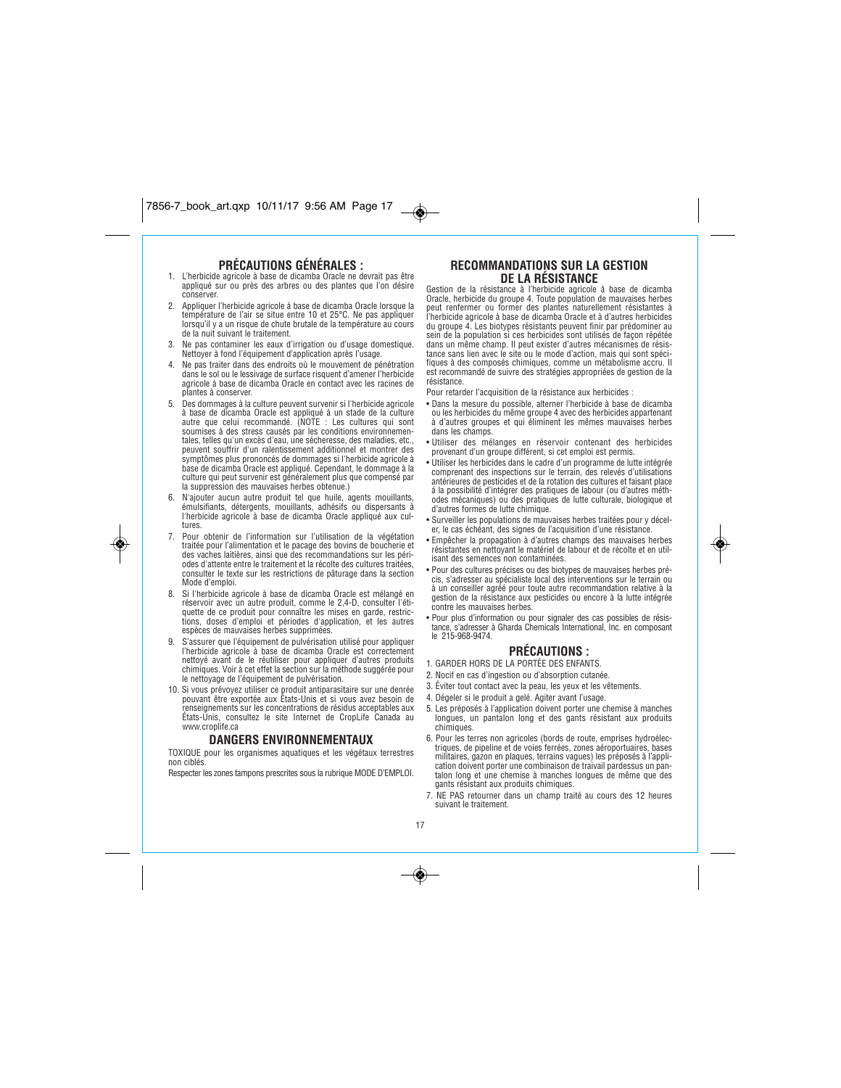# **PRÉCAUTIONS GÉNÉRALES :**

- *1. L'herbicide agricole à base de dicamba Oracle ne devrait pas être appliqué sur ou près des arbres ou des plantes que l'on désire conserver.*
- *2. Appliquer l'herbicide agricole à base de dicamba Oracle lorsque la température de l'air se situe entre 10 et 25°C. Ne pas appliquer lorsqu'il y a un risque de chute brutale de la température au cours de la nuit suivant le traitement.*
- *3. Ne pas contaminer les eaux d'irrigation ou d'usage domestique. Nettoyer à fond l'équipement d'application après l'usage.*
- *4. Ne pas traiter dans des endroits où le mouvement de pénétration dans le sol ou le lessivage de surface risquent d'amener l'herbicide agricole à base de dicamba Oracle en contact avec les racines de plantes à conserver.*
- *5. Des dommages à la culture peuvent survenir si l'herbicide agricole à base de dicamba Oracle est appliqué à un stade de la culture autre que celui recommandé. (NOTE : Les cultures qui sont soumises à des stress causés par les conditions environnementales, telles qu'un excès d'eau, une sécheresse, des maladies, etc., peuvent souffrir d'un ralentissement additionnel et montrer des symptômes plus prononcés de dommages si l'herbicide agricole à base de dicamba Oracle est appliqué. Cependant, le dommage à la culture qui peut survenir est généralement plus que compensé par la suppression des mauvaises herbes obtenue.)*
- *6. N'ajouter aucun autre produit tel que huile, agents mouillants, émulsifiants, détergents, mouillants, adhésifs ou dispersants à l'herbicide agricole à base de dicamba Oracle appliqué aux cultures.*
- *7. Pour obtenir de l'information sur l'utilisation de la végétation traitée pour l'alimentation et le pacage des bovins de boucherie et des vaches laitières, ainsi que des recommandations sur les périodes d'attente entre le traitement et la récolte des cultures traitées, consulter le texte sur les restrictions de pâturage dans la section Mode d'emploi.*

۱

- *8. Si l'herbicide agricole à base de dicamba Oracle est mélangé en réservoir avec un autre produit, comme le 2,4-D, consulter l'étiquette de ce produit pour connaître les mises en garde, restric-tions, doses d'emploi et périodes d'application, et les autres espèces de mauvaises herbes supprimées.*
- *9. S'assurer que l'équipement de pulvérisation utilisé pour appliquer l'herbicide agricole à base de dicamba Oracle est correctement nettoyé avant de le réutiliser pour appliquer d'autres produits chimiques. Voir à cet effet la section sur la méthode suggérée pour le nettoyage de l'équipement de pulvérisation.*
- *10. Si vous prévoyez utiliser ce produit antiparasitaire sur une denrée pouvant être exportée aux États-Unis et si vous avez besoin de renseignements sur les concentrations de résidus acceptables aux États-Unis, consultez le site Internet de CropLife Canada au www.croplife.ca*

### **DANGERS ENVIRONNEMENTAUX**

*TOXIQUE pour les organismes aquatiques et les végétaux terrestres non ciblés.* 

*Respecter les zones tampons prescrites sous la rubrique MODE D'EMPLOI.*

## **RECOMMANDATIONS SUR LA GESTION DE LA RÉSISTANCE**

Gestion de la résistance à l'herbicide agricole à base de dicamba<br>Oracle, herbicide du groupe 4. Toute population de mauvaises herbes<br>peut renfermer ou former des plantes naturellement résistantes à *l'herbicide agricole à base de dicamba Oracle et à d'autres herbicides du groupe 4. Les biotypes résistants peuvent finir par prédominer au* sein de la population si ces herbicides sont utilisés de façon répétée<br>dans un même champ. Il peut exister d'autres mécanismes de résis-<br>tance sans lien avec le site ou le mode d'action, mais qui sont spéci-<br>fiques à des c *est recommandé de suivre des stratégies appropriées de gestion de la résistance.*

*Pour retarder l'acquisition de la résistance aux herbicides :*

- *Dans la mesure du possible, alterner l'herbicide à base de dicamba ou les herbicides du même groupe 4 avec des herbicides appartenant à d'autres groupes et qui éliminent les mêmes mauvaises herbes dans les champs.*
- *Utiliser des mélanges en réservoir contenant des herbicides provenant d'un groupe différent, si cet emploi est permis.*
- *Utiliser les herbicides dans le cadre d'un programme de lutte intégrée comprenant des inspections sur le terrain, des relevés d'utilisations antérieures de pesticides et de la rotation des cultures et faisant place á la possibilité d'intégrer des pratiques de labour (ou d'autres méthodes mécaniques) ou des pratiques de lutte culturale, biologique et d'autres formes de lutte chimique.*
- *Surveiller les populations de mauvaises herbes traitées pour y déceler, le cas échéant, des signes de l'acquisition d'une résistance.*
- *Empêcher la propagation à d'autres champs des mauvaises herbes résistantes en nettoyant le matériel de labour et de récolte et en utilisant des semences non contaminées.*
- *Pour des cultures précises ou des biotypes de mauvaises herbes précis, s'adresser au spécialiste local des interventions sur le terrain ou à un conseiller agréé pour toute autre recommandation relative à la gestion de la résistance aux pesticides ou encore à la lutte intégrée contre les mauvaises herbes.*
- *Pour plus d'information ou pour signaler des cas possibles de résistance, s'adresser à Gharda Chemicals International, Inc. en composant le 215-968-9474.*

### **PRÉCAUTIONS :**

- *1. GARDER HORS DE LA PORTÉE DES ENFANTS.*
- *2. Nocif en cas d'ingestion ou d'absorption cutanée.*
- *3. Éviter tout contact avec la peau, les yeux et les vêtements.*
- *4. Dégeler si le produit a gelé. Agiter avant l'usage.*
- *5. Les préposés à l'application doivent porter une chemise à manches longues, un pantalon long et des gants résistant aux produits chimiques.*
- *6. Pour les terres non agricoles (bords de route, emprises hydroélectriques, de pipeline et de voies ferrées, zones aéroportuaires, bases militaires, gazon en plaques, terrains vagues) les préposés à l'appli-cation doivent porter une combinaison de traivail pardessus un pantalon long et une chemise à manches longues de même que des gants résistant aux produits chimiques.*
- *7. NE PAS retourner dans un champ traité au cours des 12 heures suivant le traitement.*

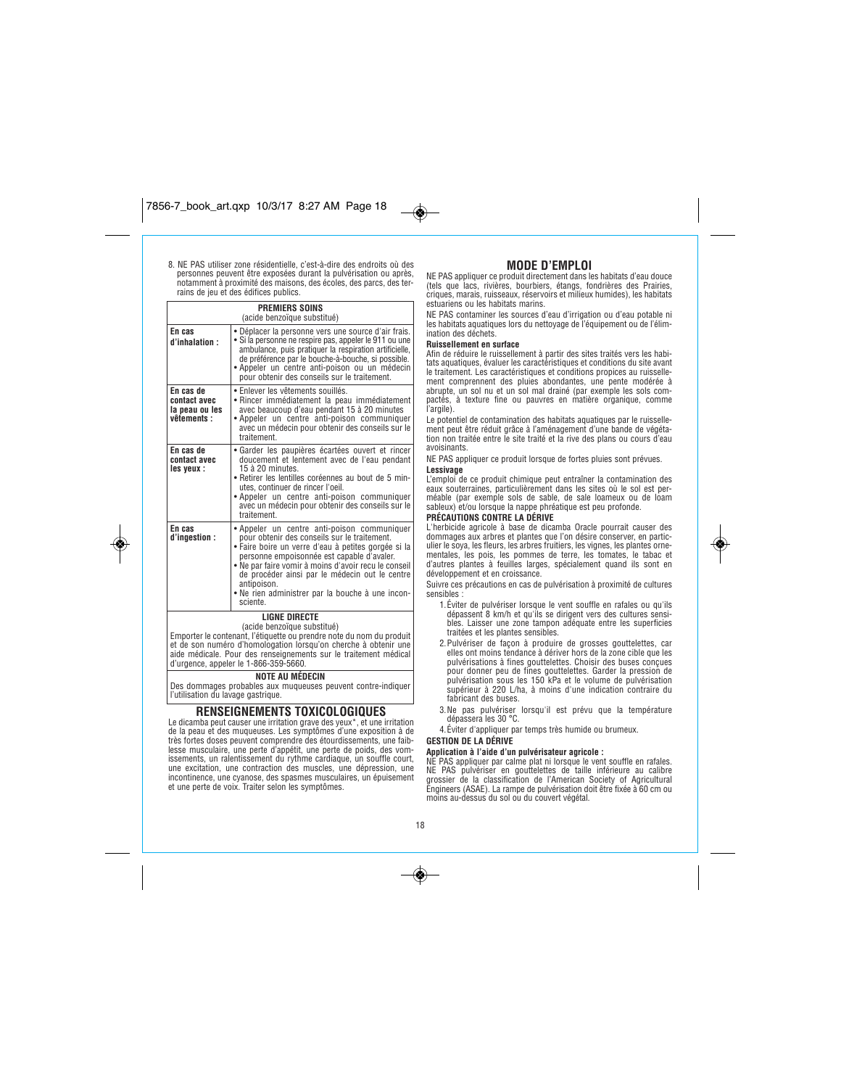## *8. NE PAS utiliser zone résidentielle, c'est-à-dire des endroits où des personnes peuvent être exposées durant la pulvérisation ou après, notamment à proximité des maisons, des écoles, des parcs, des terrains de jeu et des édifices publics.*

| <b>PREMIERS SOINS</b><br>(acide benzoïque substitué)       |                                                                                                                                                                                                                                                                                                                                                                                           |  |  |
|------------------------------------------------------------|-------------------------------------------------------------------------------------------------------------------------------------------------------------------------------------------------------------------------------------------------------------------------------------------------------------------------------------------------------------------------------------------|--|--|
| En cas<br>d'inhalation :                                   | • Déplacer la personne vers une source d'air frais.<br>· Si la personne ne respire pas, appeler le 911 ou une<br>ambulance, puis pratiquer la respiration artificielle,<br>de préférence par le bouche-à-bouche, si possible.<br>· Appeler un centre anti-poison ou un médecin<br>pour obtenir des conseils sur le traitement.                                                            |  |  |
| En cas de<br>contact avec<br>la peau ou les<br>vêtements : | • Enlever les vêtements souillés.<br>• Rincer immédiatement la peau immédiatement<br>avec beaucoup d'eau pendant 15 à 20 minutes<br>• Appeler un centre anti-poison communiquer<br>avec un médecin pour obtenir des conseils sur le<br>traitement                                                                                                                                         |  |  |
| En cas de<br>contact avec<br>les yeux :                    | · Garder les paupières écartées ouvert et rincer<br>doucement et lentement avec de l'eau pendant<br>15 à 20 minutes.<br>• Retirer les lentilles coréennes au bout de 5 min-<br>utes, continuer de rincer l'oeil.<br>. Appeler un centre anti-poison communiquer<br>avec un médecin pour obtenir des conseils sur le<br>traitement                                                         |  |  |
| En cas<br>d'inaestion :                                    | • Appeler un centre anti-poison communiquer<br>pour obtenir des conseils sur le traitement.<br>• Faire boire un verre d'eau à petites gorgée si la<br>personne empoisonnée est capable d'avaler.<br>• Ne par faire vomir à moins d'avoir recu le conseil<br>de procéder ainsi par le médecin out le centre<br>antipoison.<br>. Ne rien administrer par la bouche à une incon-<br>sciente. |  |  |
| <b>LIGNE DIRECTE</b>                                       |                                                                                                                                                                                                                                                                                                                                                                                           |  |  |

◈

*(acide benzoïque substitué) Emporter le contenant, l'étiquette ou prendre note du nom du produit et de son numéro d'homologation lorsqu'on cherche à obtenir une aide médicale. Pour des renseignements sur le traitement médical d'urgence, appeler le 1-866-359-5660.* **NOTE AU MÉDECIN**

*Des dommages probables aux muqueuses peuvent contre-indiquer l'utilisation du lavage gastrique.*

# **RENSEIGNEMENTS TOXICOLOGIQUES**

*Le dicamba peut causer une irritation grave des yeux\*, et une irritation de la peau et des muqueuses. Les symptômes d'une exposition à de très fortes doses peuvent comprendre des étourdissements, une faiblesse musculaire, une perte d'appétit, une perte de poids, des vomissements, un ralentissement du rythme cardiaque, un souffle court, une excitation, une contraction des muscles, une dépression, une incontinence, une cyanose, des spasmes musculaires, un épuisement et une perte de voix. Traiter selon les symptômes.*

## **MODE D'EMPLOI**

*NE PAS appliquer ce produit directement dans les habitats d'eau douce (tels que lacs, rivières, bourbiers, étangs, fondrières des Prairies, criques, marais, ruisseaux, réservoirs et milieux humides), les habitats estuariens ou les habitats marins.*

*NE PAS contaminer les sources d'eau d'irrigation ou d'eau potable ni les habitats aquatiques lors du nettoyage de l'équipement ou de l'élimination des déchets.*

### **Ruissellement en surface**

 $\overline{\bullet}$ 

*Afin de réduire le ruissellement à partir des sites traités vers les habitats aquatiques, évaluer les caractéristiques et conditions du site avant le traitement. Les caractéristiques et conditions propices au ruisselle-ment comprennent des pluies abondantes, une pente modérée à abrupte, un sol nu et un sol mal drainé (par exemple les sols com-pactés, à texture fine ou pauvres en matière organique, comme l'argile).*

*Le potentiel de contamination des habitats aquatiques par le ruissellement peut être réduit grâce à l'aménagement d'une bande de végéta-tion non traitée entre le site traité et la rive des plans ou cours d'eau avoisinants.*

*NE PAS appliquer ce produit lorsque de fortes pluies sont prévues.*

**Lessivage** *L'emploi de ce produit chimique peut entraîner la contamination des eaux souterraines, particulièrement dans les sites où le sol est per-méable (par exemple sols de sable, de sale loameux ou de loam sableux) et/ou lorsque la nappe phréatique est peu profonde.*

### **PRÉCAUTIONS CONTRE LA DÉRIVE**

*L'herbicide agricole à base de dicamba Oracle pourrait causer des dommages aux arbres et plantes que l'on désire conserver, en particulier le soya, les fleurs, les arbres fruitiers, les vignes, les plantes orne-mentales, les pois, les pommes de terre, les tomates, le tabac et d'autres plantes à feuilles larges, spécialement quand ils sont en développement et en croissance.*

*Suivre ces précautions en cas de pulvérisation à proximité de cultures sensibles :*

- *1.Éviter de pulvériser lorsque le vent souffle en rafales ou qu'ils dépassent 8 km/h et qu'ils se dirigent vers des cultures sensibles. Laisser une zone tampon adéquate entre les superficies traitées et les plantes sensibles.*
- *2.Pulvériser de façon à produire de grosses gouttelettes, car elles ont moins tendance à dériver hors de la zone cible que les pulvérisations à fines gouttelettes. Choisir des buses conçues pour donner peu de fines gouttelettes. Garder la pression de pulvérisation sous les 150 kPa et le volume de pulvérisation supérieur à 220 L/ha, à moins d'une indication contraire du fabricant des buses.*
- *3.Ne pas pulvériser lorsqu'il est prévu que la température dépassera les 30 °C.*

*4.Éviter d'appliquer par temps très humide ou brumeux.* **GESTION DE LA DÉRIVE**

### **Application à l'aide d'un pulvérisateur agricole :**

NE PAS appliquer par calme plat ni lorsque le vent souffle en rafales.<br>NE PAS pulvériser en gouttelettes de taille inférieure au calibre<br>grossier de la classification de l'American Society of Agricultural *Engineers (ASAE). La rampe de pulvérisation doit être fixée à 60 cm ou moins au-dessus du sol ou du couvert végétal.*

### *18*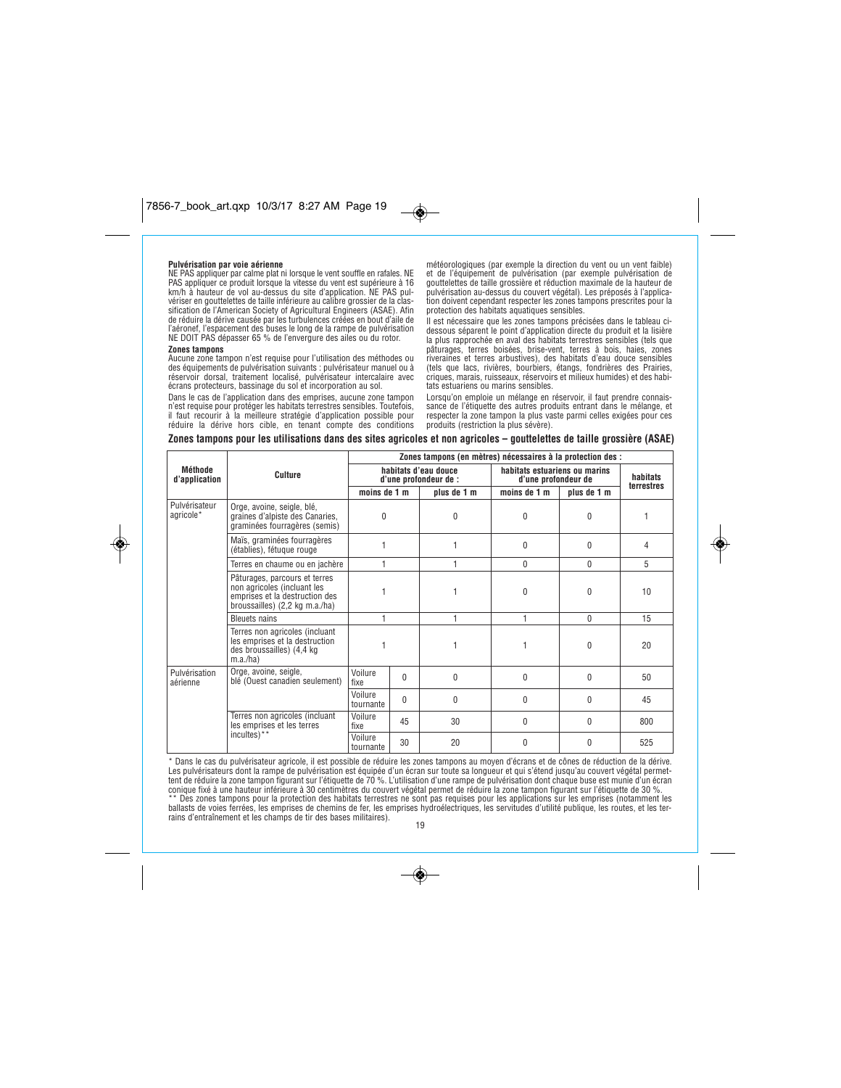### **Pulvérisation par voie aérienne**

*NE PAS appliquer par calme plat ni lorsque le vent souffle en rafales. NE PAS appliquer ce produit lorsque la vitesse du vent est supérieure à 16 km/h à hauteur de vol au-dessus du site d'application. NE PAS pul-vériser en gouttelettes de taille inférieure au calibre grossier de la classification de l'American Society of Agricultural Engineers (ASAE). Afin de réduire la dérive causée par les turbulences créées en bout d'aile de l'aéronef, l'espacement des buses le long de la rampe de pulvérisation NE DOIT PAS dépasser 65 % de l'envergure des ailes ou du rotor.*

### **Zones tampons**

۱

*Aucune zone tampon n'est requise pour l'utilisation des méthodes ou des équipements de pulvérisation suivants : pulvérisateur manuel ou à réservoir dorsal, traitement localisé, pulvérisateur intercalaire avec écrans protecteurs, bassinage du sol et incorporation au sol.*

*Dans le cas de l'application dans des emprises, aucune zone tampon n'est requise pour protéger les habitats terrestres sensibles. Toutefois, il faut recourir à la meilleure stratégie d'application possible pour réduire la dérive hors cible, en tenant compte des conditions*

*météorologiques (par exemple la direction du vent ou un vent faible) et de l'équipement de pulvérisation (par exemple pulvérisation de gouttelettes de taille grossière et réduction maximale de la hauteur de pulvérisation au-dessus du couvert végétal). Les préposés à l'applica-tion doivent cependant respecter les zones tampons prescrites pour la protection des habitats aquatiques sensibles.*

*Il est nécessaire que les zones tampons précisées dans le tableau ci-dessous séparent le point d'application directe du produit et la lisière la plus rapprochée en aval des habitats terrestres sensibles (tels que pâturages, terres boisées, brise-vent, terres à bois, haies, zones* riveraines et terres arbustives), des habitats d'eau douce sensibles<br>(tels que lacs, rivières, bourbiers, étangs, fondrières des Prairies,<br>criques, marais, ruisseaux, réservoirs et milieux humides) et des habi*tats estuariens ou marins sensibles.*

*Lorsqu'on emploie un mélange en réservoir, il faut prendre connais-sance de l'étiquette des autres produits entrant dans le mélange, et respecter la zone tampon la plus vaste parmi celles exigées pour ces produits (restriction la plus sévère).*

### **Zones tampons pour les utilisations dans des sites agricoles et non agricoles – gouttelettes de taille grossière (ASAE)**

 $\bullet$ 

|                            |                                                                                                                                  | Zones tampons (en mètres) nécessaires à la protection des : |          |                                                      |              |                        |     |
|----------------------------|----------------------------------------------------------------------------------------------------------------------------------|-------------------------------------------------------------|----------|------------------------------------------------------|--------------|------------------------|-----|
| Méthode<br>d'application   | Culture                                                                                                                          | habitats d'eau douce<br>d'une profondeur de :               |          | habitats estuariens ou marins<br>d'une profondeur de |              | habitats<br>terrestres |     |
|                            |                                                                                                                                  | moins de 1 m                                                |          | plus de 1 m                                          | moins de 1 m | plus de 1 m            |     |
| Pulvérisateur<br>agricole* | Orge, avoine, seigle, blé,<br>graines d'alpiste des Canaries,<br>graminées fourragères (semis)                                   | 0                                                           |          | 0                                                    | 0            | 0                      |     |
|                            | Maïs, graminées fourragères<br>(établies), fétuque rouge                                                                         |                                                             |          |                                                      | $\theta$     | $\theta$               | 4   |
|                            | Terres en chaume ou en jachère                                                                                                   |                                                             |          |                                                      | $\mathbf{0}$ | 0                      | 5   |
|                            | Pâturages, parcours et terres<br>non agricoles (incluant les<br>emprises et la destruction des<br>broussailles) (2,2 kg m.a./ha) |                                                             |          |                                                      | $\Omega$     | 0                      | 10  |
|                            | <b>Bleuets nains</b>                                                                                                             |                                                             |          | 1                                                    | 1            | $\mathbf{0}$           | 15  |
|                            | Terres non agricoles (incluant<br>les emprises et la destruction<br>des broussailles) (4,4 kg<br>m.a./ha)                        |                                                             |          |                                                      | 1            | 0                      | 20  |
| Pulvérisation<br>aérienne  | Orge, avoine, seigle,<br>blé (Ouest canadien seulement)                                                                          | Voilure<br>fixe                                             | $\Omega$ | 0                                                    | $\theta$     | 0                      | 50  |
|                            |                                                                                                                                  | Voilure<br>tournante                                        | $\Omega$ | 0                                                    | 0            | 0                      | 45  |
|                            | Terres non agricoles (incluant<br>les emprises et les terres                                                                     | Voilure<br>fixe                                             | 45       | 30                                                   | $\theta$     | 0                      | 800 |
|                            | incultes)**                                                                                                                      | Voilure<br>tournante                                        | 30       | 20                                                   | $\theta$     | 0                      | 525 |

*\* Dans le cas du pulvérisateur agricole, il est possible de réduire les zones tampons au moyen d'écrans et de cônes de réduction de la dérive.* Les pulvérisateurs dont la rampe de pulvérisation est équipée d'un écran sur toute sa longueur et qui s'étend jusqu'au couvert végétal permet-<br>tent de réduire la zone tampon figurant sur l'étiquette de 70 %. L'utilisation *ballasts de voies ferrées, les emprises de chemins de fer, les emprises hydroélectriques, les servitudes d'utilité publique, les routes, et les terrains d'entraînement et les champs de tir des bases militaires).*

*19*

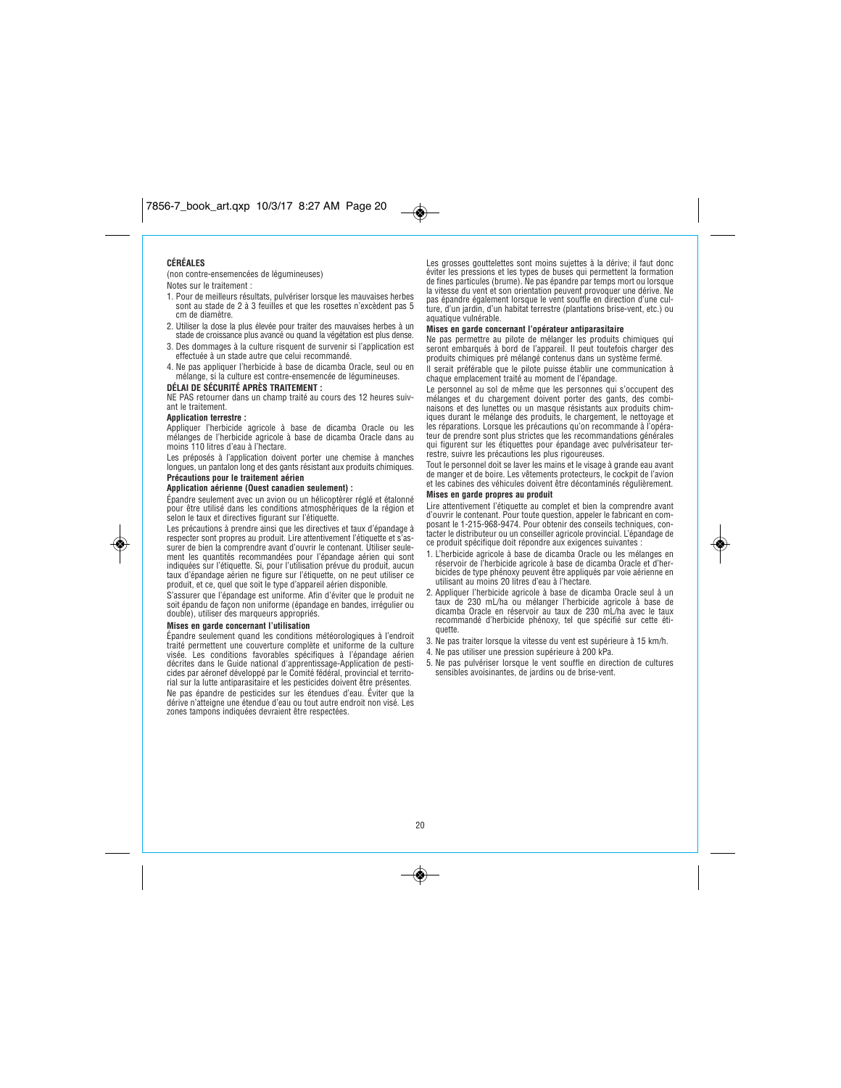## **CÉRÉALES**

*(non contre-ensemencées de légumineuses)* 

## *Notes sur le traitement :*

*1. Pour de meilleurs résultats, pulvériser lorsque les mauvaises herbes sont au stade de 2 à 3 feuilles et que les rosettes n'excèdent pas 5 cm de diamètre.*

- *2. Utiliser la dose la plus élevée pour traiter des mauvaises herbes à un stade de croissance plus avancé ou quand la végétation est plus dense.*
- *3. Des dommages à la culture risquent de survenir si l'application est effectuée à un stade autre que celui recommandé.*
- *4. Ne pas appliquer l'herbicide à base de dicamba Oracle, seul ou en mélange, si la culture est contre-ensemencée de légumineuses.*

### **DÉLAI DE SÉCURITÉ APRÈS TRAITEMENT :**

*NE PAS retourner dans un champ traité au cours des 12 heures suivant le traitement.*

### **Application terrestre :**

◈

*Appliquer l'herbicide agricole à base de dicamba Oracle ou les mélanges de l'herbicide agricole à base de dicamba Oracle dans au moins 110 litres d'eau à l'hectare.*

*Les préposés à l'application doivent porter une chemise à manches longues, un pantalon long et des gants résistant aux produits chimiques.* **Précautions pour le traitement aérien**

### **Application aérienne (Ouest canadien seulement) :**

*Épandre seulement avec un avion ou un hélicoptèrer réglé et étalonné pour être utilisé dans les conditions atmosphériques de la région et selon le taux et directives figurant sur l'étiquette.* 

*Les précautions à prendre ainsi que les directives et taux d'épandage à respecter sont propres au produit. Lire attentivement l'étiquette et s'as-surer de bien la comprendre avant d'ouvrir le contenant. Utiliser seulement les quantités recommandées pour l'épandage aérien qui sont indiquées sur l'étiquette. Si, pour l'utilisation prévue du produit, aucun taux d'épandage aérien ne figure sur l'étiquette, on ne peut utiliser ce produit, et ce, quel que soit le type d'appareil aérien disponible.*

*S'assurer que l'épandage est uniforme. Afin d'éviter que le produit ne soit épandu de façon non uniforme (épandage en bandes, irrégulier ou double), utiliser des marqueurs appropriés.*

### **Mises en garde concernant l'utilisation**

*Épandre seulement quand les conditions météorologiques à l'endroit traité permettent une couverture complète et uniforme de la culture* visée. Les conditions favorables spécifiques à l'épandage aérien<br>décrites dans le Guide national d'apprentissage-Application de pesti-<br>cides par aéronef développé par le Comité fédéral, provincial et territo-<br>rial sur la l

*Ne pas épandre de pesticides sur les étendues d'eau. Éviter que la dérive n'atteigne une étendue d'eau ou tout autre endroit non visé. Les zones tampons indiquées devraient être respectées.*

Les grosses gouttelettes sont moins sujettes à la dérive; il faut donc<br>éviter les pressions et les types de buses qui permettent la formation<br>de fines particules (brume). Ne pas épandre par temps mort ou lorsque<br>la vitesse *pas épandre également lorsque le vent souffle en direction d'une cul-ture, d'un jardin, d'un habitat terrestre (plantations brise-vent, etc.) ou aquatique vulnérable.*

# **Mises en garde concernant l'opérateur antiparasitaire**

*Ne pas permettre au pilote de mélanger les produits chimiques qui seront embarqués à bord de l'appareil. Il peut toutefois charger des produits chimiques pré mélangé contenus dans un système fermé. Il serait préférable que le pilote puisse établir une communication à chaque emplacement traité au moment de l'épandage.*

*Le personnel au sol de même que les personnes qui s'occupent des mélanges et du chargement doivent porter des gants, des combinaisons et des lunettes ou un masque résistants aux produits chim-iques durant le mélange des produits, le chargement, le nettoyage et les réparations. Lorsque les précautions qu'on recommande à l'opéra-teur de prendre sont plus strictes que les recommandations générales qui figurent sur les étiquettes pour épandage avec pulvérisateur terrestre, suivre les précautions les plus rigoureuses.*

*Tout le personnel doit se laver les mains et le visage à grande eau avant de manger et de boire. Les vêtements protecteurs, le cockpit de l'avion et les cabines des véhicules doivent être décontaminés régulièrement.*

### **Mises en garde propres au produit**

 $\bigcirc$ 

*Lire attentivement l'étiquette au complet et bien la comprendre avant d'ouvrir le contenant. Pour toute question, appeler le fabricant en composant le 1-215-968-9474. Pour obtenir des conseils techniques, con-tacter le distributeur ou un conseiller agricole provincial. L'épandage de ce produit spécifique doit répondre aux exigences suivantes :*

- *1. L'herbicide agricole à base de dicamba Oracle ou les mélanges en réservoir de l'herbicide agricole à base de dicamba Oracle et d'herbicides de type phénoxy peuvent être appliqués par voie aérienne en utilisant au moins 20 litres d'eau à l'hectare.*
- *2. Appliquer l'herbicide agricole à base de dicamba Oracle seul à un taux de 230 mL/ha ou mélanger l'herbicide agricole à base de dicamba Oracle en réservoir au taux de 230 mL/ha avec le taux recommandé d'herbicide phénoxy, tel que spécifié sur cette étiquette.*
- *3. Ne pas traiter lorsque la vitesse du vent est supérieure à 15 km/h.*
- *4. Ne pas utiliser une pression supérieure à 200 kPa.*
- *5. Ne pas pulvériser lorsque le vent souffle en direction de cultures sensibles avoisinantes, de jardins ou de brise-vent.*

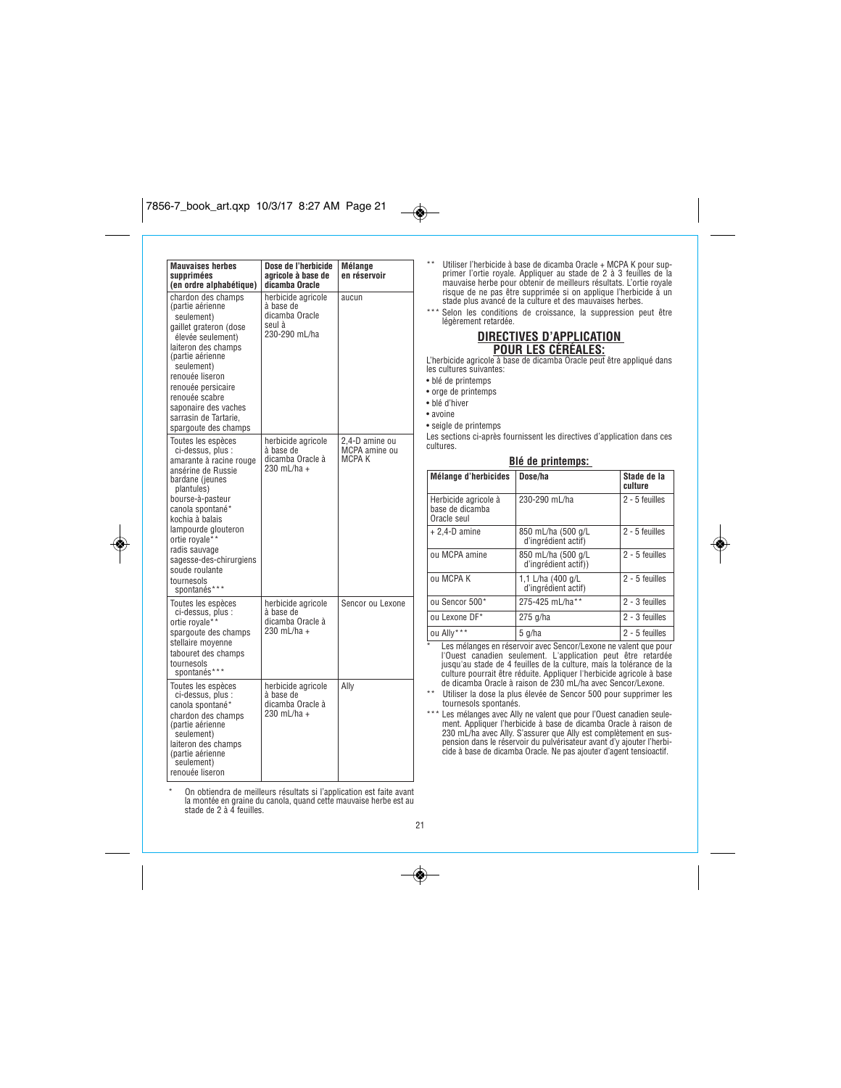# $7856-7.17$  art.  $7.7$   $3.27$   $3.7$   $3.27$   $3.27$   $3.27$   $3.27$   $3.27$   $3.27$   $3.27$   $3.27$   $3.27$   $3.27$   $3.27$   $3.27$   $3.27$   $3.27$   $3.27$   $3.27$   $3.27$   $3.27$   $3.27$   $3.27$   $3.27$   $3.27$   $3.27$   $3.27$   $3.27$   $3.27$   $3.$



| <b>Mauvaises herbes</b><br>supprimées<br>(en ordre alphabétique)                                                                                                                                                                                                                                                          | Dose de l'herbicide<br>agricole à base de<br>dicamba Oracle                  | Mélange<br>en réservoir                   |
|---------------------------------------------------------------------------------------------------------------------------------------------------------------------------------------------------------------------------------------------------------------------------------------------------------------------------|------------------------------------------------------------------------------|-------------------------------------------|
| chardon des champs<br>(partie aérienne<br>seulement)<br>gaillet grateron (dose<br>élevée seulement)<br>laiteron des champs<br>(partie aérienne<br>seulement)<br>renouée liseron<br>renouée persicaire<br>renouée scabre<br>saponaire des vaches<br>sarrasin de Tartarie,<br>spargoute des champs                          | herbicide agricole<br>à base de<br>dicamba Oracle<br>seul à<br>230-290 mL/ha | aucun                                     |
| Toutes les espèces<br>ci-dessus, plus :<br>amarante à racine rouge<br>ansérine de Russie<br>bardane (jeunes<br>plantules)<br>bourse-à-pasteur<br>canola spontané*<br>kochia à balais<br>lampourde glouteron<br>ortie royale**<br>radis sauvage<br>sagesse-des-chirurgiens<br>soude roulante<br>tournesols<br>spontanés*** | herbicide agricole<br>à base de<br>dicamba Oracle à<br>230 mL/ha +           | 2.4-D amine ou<br>MCPA amine ou<br>MCPA K |
| Toutes les espèces<br>ci-dessus, plus :<br>ortie royale**<br>spargoute des champs<br>stellaire moyenne<br>tabouret des champs<br>tournesols<br>spontanés***                                                                                                                                                               | herbicide agricole<br>à base de<br>dicamba Oracle à<br>230 mL/ha +           | Sencor ou Lexone                          |
| Toutes les espèces<br>ci-dessus, plus :<br>canola spontané*<br>chardon des champs<br>(partie aérienne<br>seulement)<br>laiteron des champs<br>(partie aérienne<br>seulement)<br>renouée liseron                                                                                                                           | herbicide agricole<br>à base de<br>dicamba Oracle à<br>230 mL/ha +           | Ally                                      |

*\* On obtiendra de meilleurs résultats si l'application est faite avant la montée en graine du canola, quand cette mauvaise herbe est au stade de 2 à 4 feuilles.*

*\*\* Utiliser l'herbicide à base de dicamba Oracle + MCPA K pour sup-primer l'ortie royale. Appliquer au stade de 2 à 3 feuilles de la mauvaise herbe pour obtenir de meilleurs résultats. L'ortie royale risque de ne pas être supprimée si on applique l'herbicide à un stade plus avancé de la culture et des mauvaises herbes.*

*\*\*\* Selon les conditions de croissance, la suppression peut être légèrement retardée.*

# **DIRECTIVES D'APPLICATION**

**POUR LES CÉRÉALES:** *L'herbicide agricole à base de dicamba Oracle peut être appliqué dans les cultures suivantes:*

*• blé de printemps*

 $\overline{\bullet}$ 

- *orge de printemps*
- *blé d'hiver*
- *avoine*
- *seigle de printemps*

*Les sections ci-après fournissent les directives d'application dans ces cultures.*

| Blé de printemps:                                      |                                            |                        |  |  |
|--------------------------------------------------------|--------------------------------------------|------------------------|--|--|
| Mélange d'herbicides                                   | Dose/ha                                    | Stade de la<br>culture |  |  |
| Herbicide agricole à<br>base de dicamba<br>Oracle seul | 230-290 mL/ha                              | 2 - 5 feuilles         |  |  |
| $+ 2,4$ -D amine                                       | 850 mL/ha (500 g/L<br>d'ingrédient actif)  | 2 - 5 feuilles         |  |  |
| ou MCPA amine                                          | 850 mL/ha (500 g/L<br>d'ingrédient actif)) | 2 - 5 feuilles         |  |  |
| ou MCPA K                                              | 1,1 L/ha (400 g/L<br>d'ingrédient actif)   | 2 - 5 feuilles         |  |  |
| ou Sencor 500*                                         | 275-425 mL/ha**                            | 2 - 3 feuilles         |  |  |
| ou Lexone DF*                                          | $275$ g/ha                                 | 2 - 3 feuilles         |  |  |
| ou Ally***                                             | 5 g/ha                                     | 2 - 5 feuilles         |  |  |

◈

*\* Les mélanges en réservoir avec Sencor/Lexone ne valent que pour* l'Ouest canadien seulement. L'application peut être retardée<br>jusqu'au stade de 4 feuilles de la culture, mais la tolérance de la<br>culture pourrait être réduite. Appliquer l'herbicide agricole à base<br>de dicamba Oracle à rais

*\*\* Utiliser la dose la plus élevée de Sencor 500 pour supprimer les tournesols spontanés.*

\*\*\* Les mélanges avec Ally ne valent que pour l'Ouest canadien seulement. Appliquer l'herbicide à base de dicamba Oracle à raison de 230 mL/ha avec Ally. S'assurer que Ally est complètement en sus-<br>pension dans le réservoi

*21*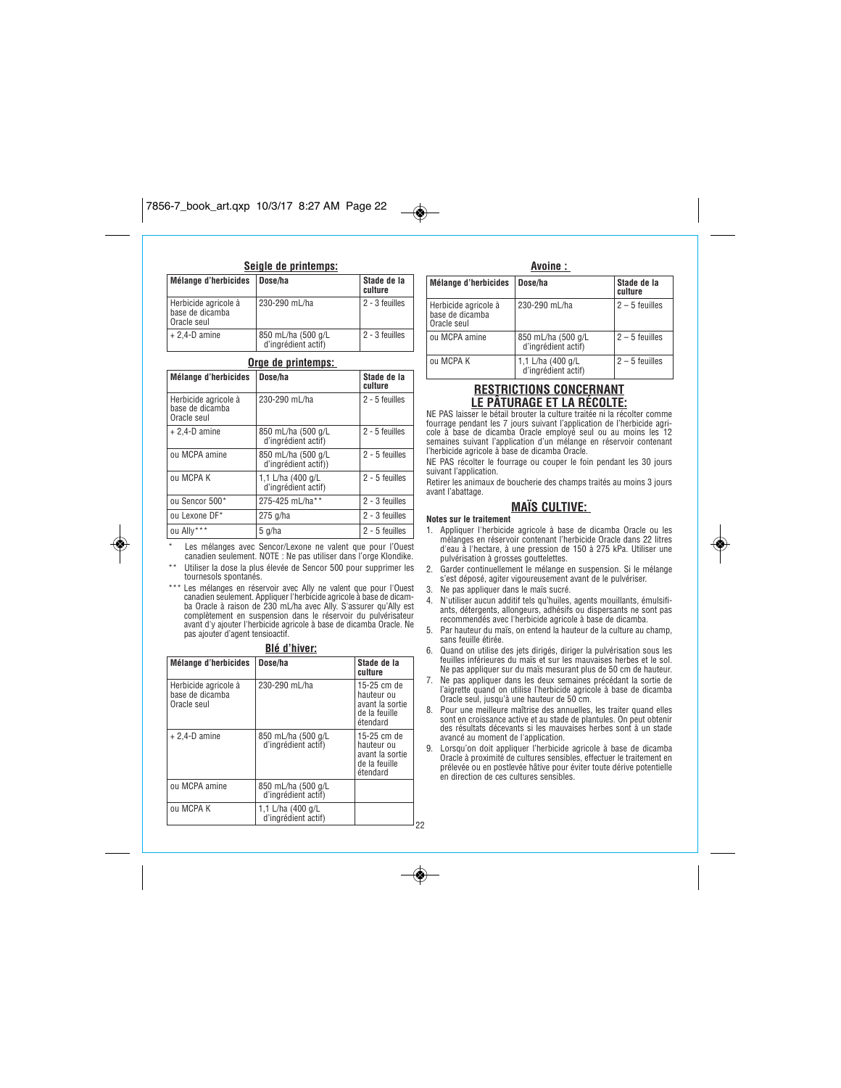### $\overline{\bullet}$  $7856-7.17$  art.  $7.7$   $3.27$   $3.27$   $3.27$   $3.27$   $3.27$   $3.27$   $3.27$   $3.27$   $3.27$   $3.27$   $3.27$   $3.27$   $3.27$   $3.27$   $3.27$   $3.27$   $3.27$   $3.27$   $3.27$   $3.27$   $3.27$   $3.27$   $3.27$   $3.27$   $3.27$   $3.27$   $3.27$   $3.27$   $3$

### **Seigle de printemps:**

| Mélange d'herbicides   Dose/ha                         |                                           | Stade de la<br>culture |
|--------------------------------------------------------|-------------------------------------------|------------------------|
| Herbicide agricole à<br>base de dicamba<br>Oracle seul | 230-290 mL/ha                             | 2 - 3 feuilles         |
| $+ 2.4 - D$ amine                                      | 850 mL/ha (500 g/L<br>d'ingrédient actif) | 2 - 3 feuilles         |

| Orge de printemps:                                     |                                            |                        |  |
|--------------------------------------------------------|--------------------------------------------|------------------------|--|
| <b>Mélange d'herbicides</b>                            | Dose/ha                                    | Stade de la<br>culture |  |
| Herbicide agricole à<br>base de dicamba<br>Oracle seul | 230-290 mL/ha                              | 2 - 5 feuilles         |  |
| $+ 2.4 - D$ amine                                      | 850 mL/ha (500 g/L<br>d'ingrédient actif)  | 2 - 5 feuilles         |  |
| ou MCPA amine                                          | 850 mL/ha (500 g/L<br>d'ingrédient actif)) | 2 - 5 feuilles         |  |
| ou MCPA K                                              | 1,1 L/ha (400 g/L<br>d'ingrédient actif)   | 2 - 5 feuilles         |  |
| ou Sencor 500*                                         | 275-425 mL/ha**                            | 2 - 3 feuilles         |  |
| ou Lexone DF*                                          | 275 g/ha                                   | 2 - 3 feuilles         |  |
| ou Ally***                                             | $5$ g/ha                                   | 2 - 5 feuilles         |  |

*\* Les mélanges avec Sencor/Lexone ne valent que pour l'Ouest canadien seulement. NOTE : Ne pas utiliser dans l'orge Klondike. \*\* Utiliser la dose la plus élevée de Sencor 500 pour supprimer les tournesols spontanés.*

◈

*\*\*\* Les mélanges en réservoir avec Ally ne valent que pour l'Ouest canadien seulement. Appliquer l'herbicide agricole à base de dicam-ba Oracle à raison de 230 mL/ha avec Ally. S'assurer qu'Ally est complètement en suspension dans le réservoir du pulvérisateur avant d'y ajouter l'herbicide agricole à base de dicamba Oracle. Ne pas ajouter d'agent tensioactif.*

### **Blé d'hiver:**

| <b>Mélange d'herbicides</b>                            | Dose/ha                                   | Stade de la<br>culture                                                    |
|--------------------------------------------------------|-------------------------------------------|---------------------------------------------------------------------------|
| Herbicide agricole à<br>base de dicamba<br>Oracle seul | 230-290 mL/ha                             | 15-25 cm de<br>hauteur ou<br>avant la sortie<br>de la feuille<br>étendard |
| $+ 2,4$ -D amine                                       | 850 mL/ha (500 g/L<br>d'ingrédient actif) | 15-25 cm de<br>hauteur ou<br>avant la sortie<br>de la feuille<br>étendard |
| ou MCPA amine                                          | 850 mL/ha (500 g/L<br>d'ingrédient actif) |                                                                           |
| ou MCPA K                                              | 1,1 L/ha (400 g/L<br>d'ingrédient actif)  |                                                                           |

# **Avoine :**

| Mélange d'herbicides                                     | Dose/ha                                   | Stade de la<br>culture |
|----------------------------------------------------------|-------------------------------------------|------------------------|
| Herbicide agricole à<br>base de dicamba<br>l Oracle seul | 230-290 mL/ha                             | $2 - 5$ feuilles       |
| ou MCPA amine                                            | 850 mL/ha (500 g/L<br>d'ingrédient actif) | $2 - 5$ feuilles       |
| ou MCPA K                                                | 1,1 L/ha (400 g/L<br>d'ingrédient actif)  | $2 - 5$ feuilles       |

## **RESTRICTIONS CONCERNANT LE PÂTURAGE ET LA RÉCOLTE:**

*NE PAS laisser le bétail brouter la culture traitée ni la récolter comme fourrage pendant les 7 jours suivant l'application de l'herbicide agri-cole à base de dicamba Oracle employé seul ou au moins les 12 semaines suivant l'application d'un mélange en réservoir contenant l'herbicide agricole à base de dicamba Oracle.*

*NE PAS récolter le fourrage ou couper le foin pendant les 30 jours suivant l'application.*

*Retirer les animaux de boucherie des champs traités au moins 3 jours avant l'abattage.* 

### **MAÏS CULTIVE: Notes sur le traitement**

- *1. Appliquer l'herbicide agricole à base de dicamba Oracle ou les mélanges en réservoir contenant l'herbicide Oracle dans 22 litres d'eau à l'hectare, à une pression de 150 à 275 kPa. Utiliser une pulvérisation à grosses gouttelettes.*
- *2. Garder continuellement le mélange en suspension. Si le mélange s'est déposé, agiter vigoureusement avant de le pulvériser.*
- *3. Ne pas appliquer dans le maïs sucré.*

- *4. N'utiliser aucun additif tels qu'huiles, agents mouillants, émulsifi-ants, détergents, allongeurs, adhésifs ou dispersants ne sont pas recommendés avec l'herbicide agricole à base de dicamba.*
- *5. Par hauteur du maïs, on entend la hauteur de la culture au champ, sans feuille étirée.*
- *6. Quand on utilise des jets dirigés, diriger la pulvérisation sous les feuilles inférieures du maïs et sur les mauvaises herbes et le sol. Ne pas appliquer sur du maïs mesurant plus de 50 cm de hauteur.*
- *7. Ne pas appliquer dans les deux semaines précédant la sortie de l'aigrette quand on utilise l'herbicide agricole à base de dicamba Oracle seul, jusqu'à une hauteur de 50 cm.*
- *8. Pour une meilleure maîtrise des annuelles, les traiter quand elles sont en croissance active et au stade de plantules. On peut obtenir des résultats décevants si les mauvaises herbes sont à un stade avancé au moment de l'application.*
- *9. Lorsqu'on doit appliquer l'herbicide agricole à base de dicamba Oracle à proximité de cultures sensibles, effectuer le traitement en prélevée ou en postlevée hâtive pour éviter toute dérive potentielle en direction de ces cultures sensibles.*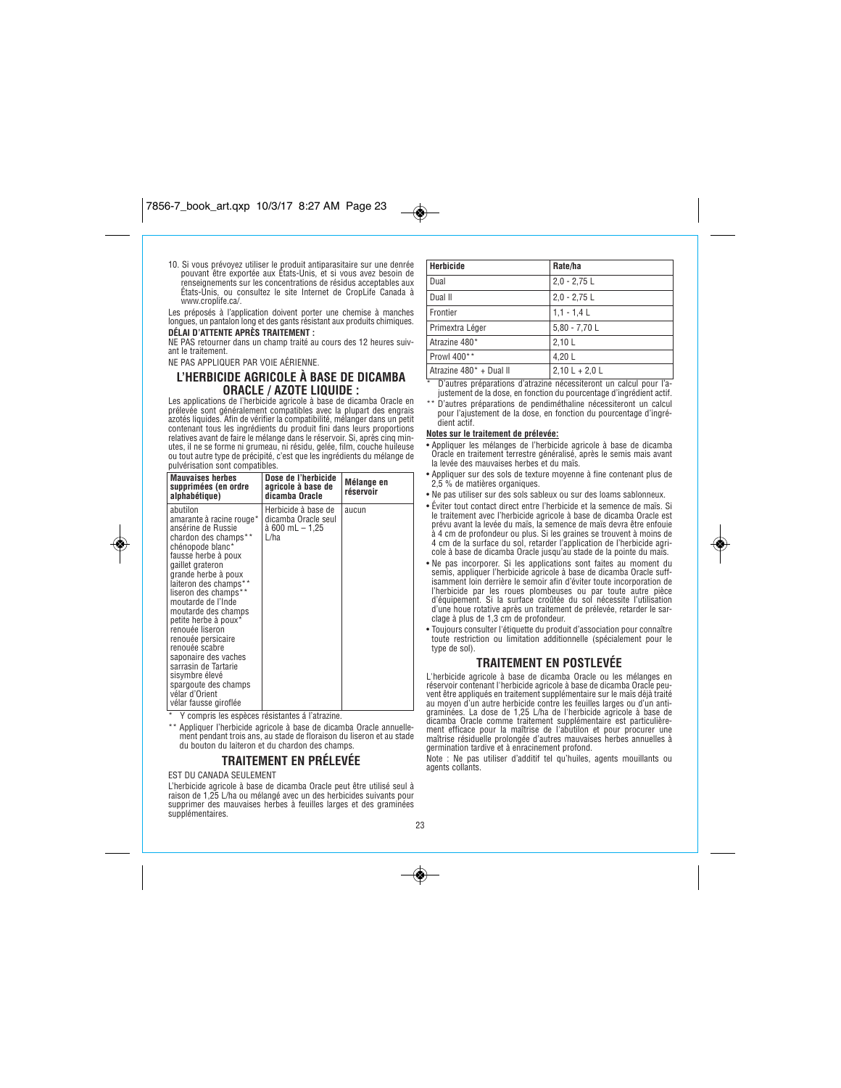*10. Si vous prévoyez utiliser le produit antiparasitaire sur une denrée pouvant être exportée aux États-Unis, et si vous avez besoin de renseignements sur les concentrations de résidus acceptables aux États-Unis, ou consultez le site Internet de CropLife Canada à www.croplife.ca/.*

*Les préposés à l'application doivent porter une chemise à manches longues, un pantalon long et des gants résistant aux produits chimiques.* **DÉLAI D'ATTENTE APRÈS TRAITEMENT :**

*NE PAS retourner dans un champ traité au cours des 12 heures suivant le traitement.*

*NE PAS APPLIQUER PAR VOIE AÉRIENNE.*

# **L'HERBICIDE AGRICOLE À BASE DE DICAMBA ORACLE / AZOTE LIQUIDE :**

*Les applications de l'herbicide agricole à base de dicamba Oracle en prélevée sont généralement compatibles avec la plupart des engrais azotés liquides. Afin de vérifier la compatibilité, mélanger dans un petit contenant tous les ingrédients du produit fini dans leurs proportions relatives avant de faire le mélange dans le réservoir. Si, après cinq min-utes, il ne se forme ni grumeau, ni résidu, gelée, film, couche huileuse ou tout autre type de précipité, c'est que les ingrédients du mélange de pulvérisation sont compatibles.*

| <b>Mauvaises herbes</b><br>supprimées (en ordre<br>alphabétique)                                                                                                                                                                                                                                                                                                                                                                                                                                                                                   | Dose de l'herbicide<br>agricole à base de<br>dicamba Oracle           | Mélange en<br>réservoir |
|----------------------------------------------------------------------------------------------------------------------------------------------------------------------------------------------------------------------------------------------------------------------------------------------------------------------------------------------------------------------------------------------------------------------------------------------------------------------------------------------------------------------------------------------------|-----------------------------------------------------------------------|-------------------------|
| abutilon<br>amarante à racine rouge*<br>ansérine de Russie<br>chardon des champs**<br>chénopode blanc*<br>fausse herbe à poux<br>gaillet grateron<br>grande herbe à poux<br>laiteron des champs**<br>liseron des champs**<br>moutarde de l'Inde<br>moutarde des champs<br>petite herbe à poux*<br>renouée liseron<br>renouée persicaire<br>renouée scabre<br>saponaire des vaches<br>sarrasin de Tartarie<br>sisymbre élevé<br>spargoute des champs<br>vélar d'Orient<br>vélar fausse giroflée<br>* V samprio leo contega régistantes é l'otrazion | Herbicide à base de<br>dicamba Oracle seul<br>à 600 mL – 1,25<br>∟/ha | aucun                   |

*\* Y compris les espèces résistantes á l'atrazine.*

*\*\* Appliquer l'herbicide agricole à base de dicamba Oracle annuellement pendant trois ans, au stade de floraison du liseron et au stade du bouton du laiteron et du chardon des champs.*

# **TRAITEMENT EN PRÉLEVÉE**

*EST DU CANADA SEULEMENT*

◈

*L'herbicide agricole à base de dicamba Oracle peut être utilisé seul à raison de 1,25 L/ha ou mélangé avec un des herbicides suivants pour supprimer des mauvaises herbes à feuilles larges et des graminées supplémentaires.*

| Herbicide               | Rate/ha          |
|-------------------------|------------------|
| Dual                    | $2.0 - 2.75$ L   |
| Dual II                 | $2.0 - 2.75$ L   |
|                         |                  |
| <b>Frontier</b>         | $1,1 - 1,4$ L    |
| Primextra Léger         | $5,80 - 7,70$ L  |
| Atrazine 480*           | 2,10 L           |
| Prowl 400**             | 4.20 L           |
| Atrazine 480* + Dual II | $2,10 L + 2,0 L$ |

*\* D'autres préparations d'atrazine nécessiteront un calcul pour l'ajustement de la dose, en fonction du pourcentage d'ingrédient actif.*

*\*\* D'autres préparations de pendiméthaline nécessiteront un calcul pour l'ajustement de la dose, en fonction du pourcentage d'ingrédient actif.*

### **Notes sur le traitement de prélevée:**

 $\bigcirc$ 

- *Appliquer les mélanges de l'herbicide agricole à base de dicamba Oracle en traitement terrestre généralisé, après le semis mais avant la levée des mauvaises herbes et du maïs.*
- *Appliquer sur des sols de texture moyenne à fine contenant plus de 2,5 % de matières organiques.*
- *Ne pas utiliser sur des sols sableux ou sur des loams sablonneux.*
- *Éviter tout contact direct entre l'herbicide et la semence de maïs. Si le traitement avec l'herbicide agricole à base de dicamba Oracle est prévu avant la levée du maïs, la semence de maïs devra être enfouie à 4 cm de profondeur ou plus. Si les graines se trouvent à moins de 4 cm de la surface du sol, retarder l'application de l'herbicide agri-cole à base de dicamba Oracle jusqu'au stade de la pointe du maïs.*
- *Ne pas incorporer. Si les applications sont faites au moment du semis, appliquer l'herbicide agricole à base de dicamba Oracle suffisamment loin derrière le semoir afin d'éviter toute incorporation de l'herbicide par les roues plombeuses ou par toute autre pièce d'équipement. Si la surface croûtée du sol nécessite l'utilisation d'une houe rotative après un traitement de prélevée, retarder le sarclage à plus de 1,3 cm de profondeur.*
- *Toujours consulter l'étiquette du produit d'association pour connaître toute restriction ou limitation additionnelle (spécialement pour le type de sol).*

### **TRAITEMENT EN POSTLEVÉE**

*L'herbicide agricole à base de dicamba Oracle ou les mélanges en réservoir contenant l'herbicide agricole à base de dicamba Oracle peu*vent être appliqués en traitement supplémentaire sur le maïs déjà traité<br>au moyen d'un autre herbicide contre les feuilles larges ou d'un anti-<br>graminées. La dose de 1,25 L/ha de l'herbicide agricole à base de *dicamba Oracle comme traitement supplémentaire est particulièrement efficace pour la maîtrise de l'abutilon et pour procurer une maîtrise résiduelle prolongée d'autres mauvaises herbes annuelles à germination tardive et à enracinement profond.*

*Note : Ne pas utiliser d'additif tel qu'huiles, agents mouillants ou agents collants.*

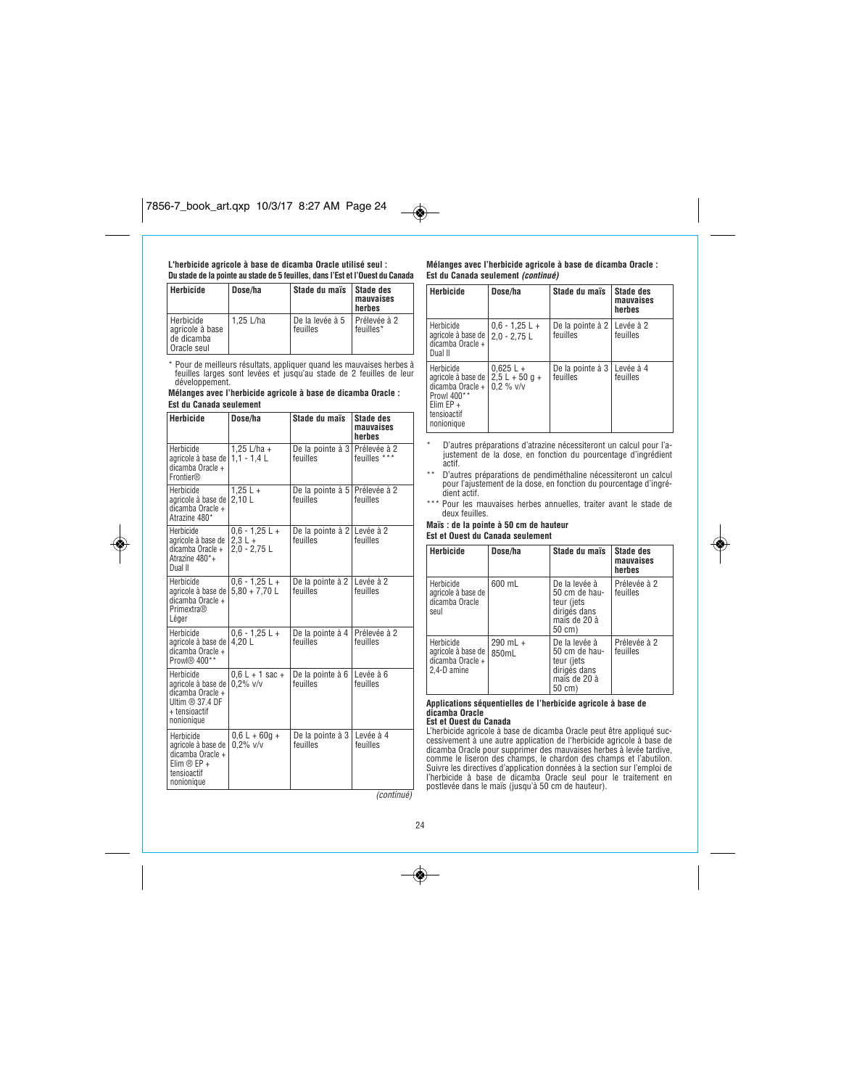## **L'herbicide agricole à base de dicamba Oracle utilisé seul : Du stade de la pointe au stade de 5 feuilles, dans l'Est et l'Ouest du Canada**

| Herbicide                                                 | Dose/ha   | Stade du maïs               | Stade des<br>mauvaises<br>herbes |
|-----------------------------------------------------------|-----------|-----------------------------|----------------------------------|
| Herbicide<br>aaricole à base<br>de dicamba<br>Oracle seul | 1.25 L/ha | De la levée à 5<br>feuilles | Prélevée à 2<br>feuilles*        |

*\* Pour de meilleurs résultats, appliquer quand les mauvaises herbes à feuilles larges sont levées et jusqu'au stade de 2 feuilles de leur développement.*

### **Mélanges avec l'herbicide agricole à base de dicamba Oracle : Est du Canada seulement**

| <b>Herbicide</b>                                                                                          | Dose/ha                                         | Stade du maïs                             | <b>Stade des</b><br>mauvaises<br>herbes |
|-----------------------------------------------------------------------------------------------------------|-------------------------------------------------|-------------------------------------------|-----------------------------------------|
| Herbicide<br>agricole à base de  <br>dicamba Oracle +<br>Frontier®                                        | 1,25 L/ha +<br>$1.1 - 1.4$ L                    | De la pointe à 3 Prélevée à 2<br>feuilles | feuilles ***                            |
| Herbicide<br>agricole à base de  <br>dicamba Oracle +<br>Atrazine 480*                                    | $1,25 L +$<br>2.10L                             | De la pointe à 5 Prélevée à 2<br>feuilles | feuilles                                |
| Herbicide<br>agricole à base de<br>dicamba Oracle +<br>Atrazine 480*+<br>Dual II                          | $0.6 - 1.25 L +$<br>$2.3 L +$<br>$2,0 - 2,75$ L | De la pointe à 2 Levée à 2<br>feuilles    | feuilles                                |
| Herbicide<br>agricole à base de l<br>dicamba Oracle +<br><b>Primextra®</b><br>Léger                       | $0.6 - 1.25 L +$<br>$5.80 + 7.70$ L             | De la pointe à 2   Levée à 2<br>feuilles  | feuilles                                |
| Herbicide<br>agricole à base de l<br>dicamba Oracle +<br>Prowl® 400**                                     | $0.6 - 1.25 L +$<br>4.20 L                      | De la pointe à 4 Prélevée à 2<br>feuilles | feuilles                                |
| Herbicide<br>agricole à base de l<br>dicamba Oracle +<br>Ultim ® 37.4 DF<br>+ tensioactif<br>nonionique   | $0.6 L + 1$ sac +<br>$0.2\%$ v/v                | De la pointe à 6<br>feuilles              | Levée à 6<br>feuilles                   |
| Herbicide<br>agricole à base de<br>dicamba Oracle +<br>Elim $\circledR$ EP +<br>tensioactif<br>nonionique | $0.6 L + 60q +$<br>$0.2\%$ v/v                  | De la pointe à 3<br>feuilles              | Levée à 4<br>feuilles                   |
|                                                                                                           |                                                 |                                           | (continué)                              |

◈

### **Mélanges avec l'herbicide agricole à base de dicamba Oracle : Est du Canada seulement (continué)**

| Herbicide                                                                                                                                | Dose/ha                            | Stade du maïs                            | <b>Stade des</b><br>mauvaises<br>herbes |
|------------------------------------------------------------------------------------------------------------------------------------------|------------------------------------|------------------------------------------|-----------------------------------------|
| Herbicide<br>agricole à base de  <br>dicamba Oracle +<br>Dual II                                                                         | $0.6 - 1.25$ L +<br>$2.0 - 2.75$ L | De la pointe à 2 Levée à 2<br>feuilles   | feuilles                                |
| Herbicide<br>agricole à base de  <br>dicamba Oracle + $\frac{1}{2}$ 0.2 % v/v<br>Prowl 400**<br>Elim $EP +$<br>tensioactif<br>nonionique | $0.625 L +$<br>$2.5 L + 50 g +$    | De la pointe à 3   Levée à 4<br>feuilles | feuilles                                |

- *\* D'autres préparations d'atrazine nécessiteront un calcul pour l'a-justement de la dose, en fonction du pourcentage d'ingrédient actif.*
- *\*\* D'autres préparations de pendiméthaline nécessiteront un calcul pour l'ajustement de la dose, en fonction du pourcentage d'ingré-dient actif.*
- *\*\*\* Pour les mauvaises herbes annuelles, traiter avant le stade de deux feuilles.*

**Maïs : de la pointe à 50 cm de hauteur Est et Ouest du Canada seulement** 

| Herbicide                                                            | Dose/ha               | Stade du maïs                                                                          | <b>Stade des</b><br>mauvaises<br>herbes |
|----------------------------------------------------------------------|-----------------------|----------------------------------------------------------------------------------------|-----------------------------------------|
| Herbicide<br>agricole à base de<br>dicamba Oracle<br>seul            | 600 mL                | De la levée à<br>50 cm de hau-<br>teur (jets<br>dirigés dans<br>maïs de 20 à<br>50 cm) | Prélevée à 2<br>feuilles                |
| Herbicide<br>agricole à base de  <br>dicamba Oracle +<br>2.4-D amine | $290$ mL $+$<br>850mL | De la levée à<br>50 cm de hau-<br>teur (jets<br>dirigés dans<br>maïs de 20 à<br>50 cm) | Prélevée à 2<br>feuilles                |

#### **Applications séquentielles de l'herbicide agricole à base de dicamba Oracle Est et Ouest du Canada**

L'herbicide agricole à base de dicamba Oracle peut être appliqué suc-<br>cessivement à une autre application de l'herbicide agricole à base de<br>dicamba Oracle pour supprimer des mauvaises herbes à levée tardive,<br>comme le liser

*24*

 $\overline{\bullet}$ 

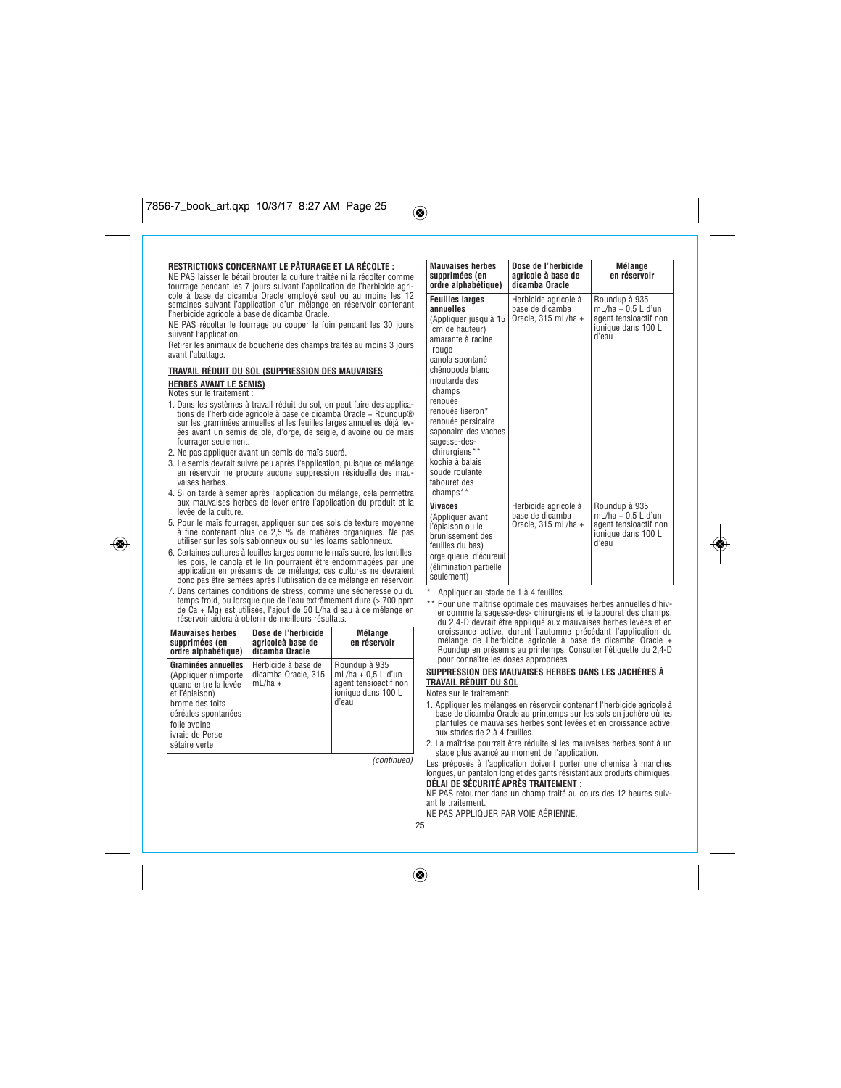### **RESTRICTIONS CONCERNANT LE PÂTURAGE ET LA RÉCOLTE :**

*NE PAS laisser le bétail brouter la culture traitée ni la récolter comme fourrage pendant les 7 jours suivant l'application de l'herbicide agricole à base de dicamba Oracle employé seul ou au moins les 12 semaines suivant l'application d'un mélange en réservoir contenant l'herbicide agricole à base de dicamba Oracle.*

*NE PAS récolter le fourrage ou couper le foin pendant les 30 jours suivant l'application.*

*Retirer les animaux de boucherie des champs traités au moins 3 jours avant l'abattage.*

### **TRAVAIL RÉDUIT DU SOL (SUPPRESSION DES MAUVAISES HERBES AVANT LE SEMIS)** *Notes sur le traitement :*

- *1. Dans les systèmes à travail réduit du sol, on peut faire des applica-tions de l'herbicide agricole à base de dicamba Oracle + Roundup® sur les graminées annuelles et les feuilles larges annuelles déjà levées avant un semis de blé, d'orge, de seigle, d'avoine ou de maïs fourrager seulement.*
- *2. Ne pas appliquer avant un semis de maïs sucré.*

۱

- *3. Le semis devrait suivre peu après l'application, puisque ce mélange en réservoir ne procure aucune suppression résiduelle des mauvaises herbes.*
- *4. Si on tarde à semer après l'application du mélange, cela permettra aux mauvaises herbes de lever entre l'application du produit et la levée de la culture.*
- *5. Pour le maïs fourrager, appliquer sur des sols de texture moyenne à fine contenant plus de 2,5 % de matières organiques. Ne pas utiliser sur les sols sablonneux ou sur les loams sablonneux.*
- 6. Certaines cultures à feuilles larges comme le maïs sucré, les lentilles,<br>les pois, le canola et le lin pourraient être endommagées par une<br>application en présemis de ce mélange; ces cultures ne devraient *donc pas être semées après l'utilisation de ce mélange en réservoir.*
- *7. Dans certaines conditions de stress, comme une sécheresse ou du temps froid, ou lorsque que de l'eau extrêmement dure (> 700 ppm de Ca + Mg) est utilisée, l'ajout de 50 L/ha d'eau à ce mélange en réservoir aidera à obtenir de meilleurs résultats.*

| <b>Mauvaises herbes</b><br>supprimées (en<br>ordre alphabétique)                                                                                                                    | Dose de l'herbicide<br>agricoleà base de<br>dicamba Oracle | <b>Mélange</b><br>en réservoir                                                                |
|-------------------------------------------------------------------------------------------------------------------------------------------------------------------------------------|------------------------------------------------------------|-----------------------------------------------------------------------------------------------|
| Graminées annuelles<br>(Appliquer n'importe<br>quand entre la levée<br>et l'épiaison)<br>brome des toits<br>céréales spontanées<br>folle avoine<br>ivraie de Perse<br>sétaire verte | Herbicide à base de<br>dicamba Oracle, 315<br>$mL/ha +$    | Roundup à 935<br>$mL/ha + 0.5 L d'un$<br>agent tensioactif non<br>ionique dans 100 L<br>d'eau |

*(continued)*

**Mauvaises herbes supprimées (en ordre alphabétique) Dose de l'herbicide agricole à base de dicamba Oracle Mélange en réservoir Feuilles larges annuelles** *(Appliquer jusqu'à 15 cm de hauteur) amarante à racine rouge canola spontané chénopode blanc moutarde des champs renouée renouée liseron\* renouée persicaire saponaire des vaches sagesse-deschirurgiens\*\* kochia à balais soude roulante tabouret des champs\*\* Herbicide agricole à base de dicamba Oracle, 315 mL/ha + Roundup à 935 mL/ha + 0,5 L d'un agent tensioactif non ionique dans 100 L d'eau* **Vivaces** *(Appliquer avant l'épiaison ou le brunissement des feuilles du bas) orge queue d'écureuil (élimination partielle seulement) Herbicide agricole à base de dicamba Oracle, 315 mL/ha + Roundup à 935 mL/ha + 0,5 L d'un agent tensioactif non ionique dans 100 L d'eau*

*\* Appliquer au stade de 1 à 4 feuilles.*

*\*\* Pour une maîtrise optimale des mauvaises herbes annuelles d'hiver comme la sagesse-des- chirurgiens et le tabouret des champs, du 2,4-D devrait être appliqué aux mauvaises herbes levées et en croissance active, durant l'automne précédant l'application du mélange de l'herbicide agricole à base de dicamba Oracle + Roundup en présemis au printemps. Consulter l'étiquette du 2,4-D pour connaître les doses appropriées.*

# **SUPPRESSION DES MAUVAISES HERBES DANS LES JACHÈRES À TRAVAIL RÉDUIT DU SOL**

*Notes sur le traitement:*

- *1. Appliquer les mélanges en réservoir contenant l'herbicide agricole à base de dicamba Oracle au printemps sur les sols en jachère où les plantules de mauvaises herbes sont levées et en croissance active, aux stades de 2 à 4 feuilles.*
- *2. La maîtrise pourrait être réduite si les mauvaises herbes sont à un stade plus avancé au moment de l'application.*

*Les préposés à l'application doivent porter une chemise à manches longues, un pantalon long et des gants résistant aux produits chimiques.* **DÉLAI DE SÉCURITÉ APRÈS TRAITEMENT :**

*NE PAS retourner dans un champ traité au cours des 12 heures suiv-*

- *ant le traitement.*
- *NE PAS APPLIQUER PAR VOIE AÉRIENNE.*
- *25*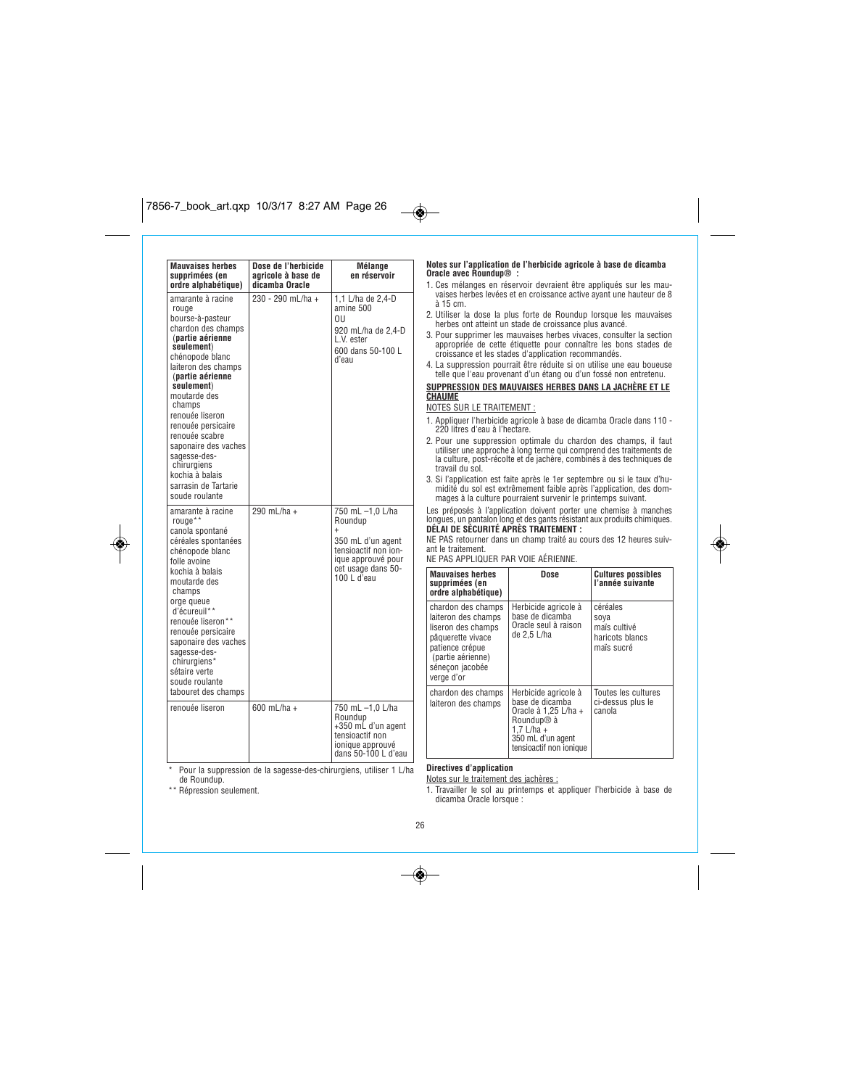

| Mauvaises herbes<br>supprimées (en<br>ordre alphabétique)                                                                                                                                                                                                                                                                                                                                   | Dose de l'herbicide<br>agricole à base de<br>dicamba Oracle | Mélange<br>en réservoir                                                                                                                          |
|---------------------------------------------------------------------------------------------------------------------------------------------------------------------------------------------------------------------------------------------------------------------------------------------------------------------------------------------------------------------------------------------|-------------------------------------------------------------|--------------------------------------------------------------------------------------------------------------------------------------------------|
| amarante à racine<br>rouge<br>bourse-à-pasteur<br>chardon des champs<br>(partie aérienne<br>seulement)<br>chénopode blanc<br>laiteron des champs<br>(partie aérienne<br>seulement)<br>moutarde des<br>champs<br>renouée liseron<br>renouée persicaire<br>renouée scabre<br>saponaire des vaches<br>sagesse-des-<br>chirurgiens<br>kochia à balais<br>sarrasin de Tartarie<br>soude roulante | 230 - 290 mL/ha +                                           | 1.1 L/ha de 2.4-D<br>amine 500<br>ΟU<br>920 mL/ha de 2,4-D<br>L.V. ester<br>600 dans 50-100 L<br>d'eau                                           |
| amarante à racine<br>rouge**<br>canola spontané<br>céréales spontanées<br>chénopode blanc<br>folle avoine<br>kochia à balais<br>moutarde des<br>champs<br>orge gueue<br>d'écureuil**<br>renouée liseron**<br>renouée persicaire<br>saponaire des vaches<br>sagesse-des-<br>chirurgiens*<br>sétaire verte<br>soude roulante<br>tabouret des champs                                           | 290 mL/ha +                                                 | 750 mL -1,0 L/ha<br>Roundup<br>$\ddot{}$<br>350 mL d'un agent<br>tensioactif non ion-<br>ique approuvé pour<br>cet usage dans 50-<br>100 L d'eau |
| renouée liseron                                                                                                                                                                                                                                                                                                                                                                             | 600 mL/ha +                                                 | 750 mL -1,0 L/ha<br>Roundup<br>+350 mL d'un agent<br>tensioactif non<br>ionique approuvé<br>dans 50-100 L d'eau                                  |

### **Notes sur l'application de l'herbicide agricole à base de dicamba Oracle avec Roundup® :**

- *1. Ces mélanges en réservoir devraient être appliqués sur les mau-vaises herbes levées et en croissance active ayant une hauteur de 8 à 15 cm.*
- *2. Utiliser la dose la plus forte de Roundup lorsque les mauvaises herbes ont atteint un stade de croissance plus avancé.*
- *3. Pour supprimer les mauvaises herbes vivaces, consulter la section appropriée de cette étiquette pour connaître les bons stades de croissance et les stades d'application recommandés.*
- *4. La suppression pourrait être réduite si on utilise une eau boueuse telle que l'eau provenant d'un étang ou d'un fossé non entretenu.*

# **SUPPRESSION DES MAUVAISES HERBES DANS LA JACHÈRE ET LE CHAUME**

*NOTES SUR LE TRAITEMENT :*

 $\overline{\bullet}$ 

- *1. Appliquer l'herbicide agricole à base de dicamba Oracle dans 110 - 220 litres d'eau à l'hectare.*
- *2. Pour une suppression optimale du chardon des champs, il faut utiliser une approche à long terme qui comprend des traitements de la culture, post-récolte et de jachère, combinés à des techniques de travail du sol.*
- *3. Si l'application est faite après le 1er septembre ou si le taux d'humidité du sol est extrêmement faible après l'application, des dommages à la culture pourraient survenir le printemps suivant.*

*Les préposés à l'application doivent porter une chemise à manches longues, un pantalon long et des gants résistant aux produits chimiques.* **DÉLAI DE SÉCURITÉ APRÈS TRAITEMENT :**

# *NE PAS retourner dans un champ traité au cours des 12 heures suiv-*

*ant le traitement.*

*NE PAS APPLIQUER PAR VOIE AÉRIENNE.*

| <b>Mauvaises herbes</b><br>supprimées (en<br>ordre alphabétique)                                                                                              | Dose                                                                                                                                                      | <b>Cultures possibles</b><br>l'année suivante                     |
|---------------------------------------------------------------------------------------------------------------------------------------------------------------|-----------------------------------------------------------------------------------------------------------------------------------------------------------|-------------------------------------------------------------------|
| chardon des champs<br>laiteron des champs<br>liseron des champs<br>pâquerette vivace<br>patience crépue<br>(partie aérienne)<br>sénecon jacobée<br>verge d'or | Herbicide agricole à<br>base de dicamba<br>Oracle seul à raison<br>de 2,5 L/ha                                                                            | céréales<br>soya<br>maïs cultivé<br>haricots blancs<br>maïs sucré |
| chardon des champs<br>laiteron des champs                                                                                                                     | Herbicide agricole à<br>base de dicamba<br>Oracle à 1.25 L/ha +<br>Roundup <sup>®</sup> à<br>$1.7$ L/ha +<br>350 mL d'un agent<br>tensioactif non ionique | Toutes les cultures<br>ci-dessus plus le<br>canola                |

*\* Pour la suppression de la sagesse-des-chirurgiens, utiliser 1 L/ha de Roundup.*

*\*\* Répression seulement.*

**Directives d'application**

*Notes sur le traitement des jachères :*

*1. Travailler le sol au printemps et appliquer l'herbicide à base de dicamba Oracle lorsque :* 

*26*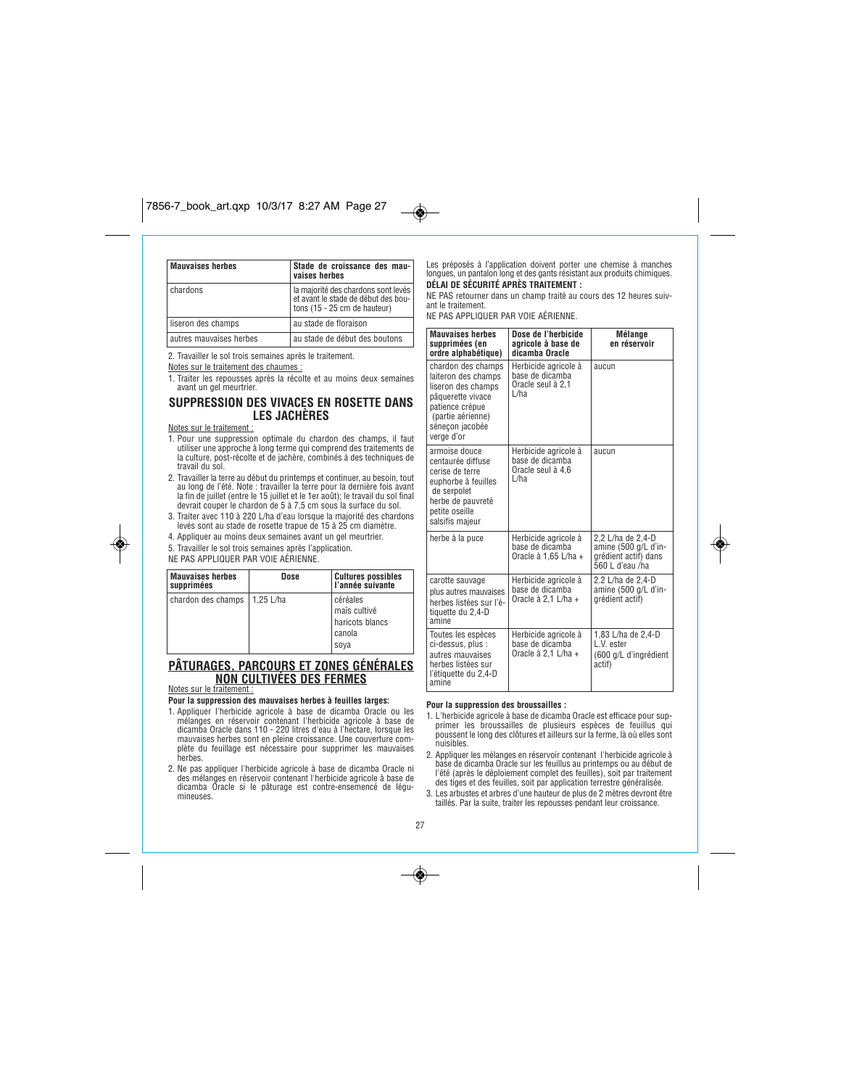# $7856-7.17$  art.  $7.7$   $3.7$   $3.7$

| <b>Mauvaises herbes</b> | Stade de croissance des mau-<br>vaises herbes                                                              |
|-------------------------|------------------------------------------------------------------------------------------------------------|
| chardons                | la majorité des chardons sont levés<br>et avant le stade de début des bou-<br>tons (15 - 25 cm de hauteur) |
| liseron des champs      | au stade de floraison                                                                                      |
| autres mauvaises herbes | au stade de début des boutons                                                                              |

*2. Travailler le sol trois semaines après le traitement.*

### *Notes sur le traitement des chaumes :*

*1. Traiter les repousses après la récolte et au moins deux semaines avant un gel meurtrier.*

## **SUPPRESSION DES VIVACES EN ROSETTE DANS LES JACHÈRES**

*Notes sur le traitement :*

- *1. Pour une suppression optimale du chardon des champs, il faut utiliser une approche à long terme qui comprend des traitements de la culture, post-récolte et de jachère, combinés à des techniques de travail du sol.*
- *2. Travailler la terre au début du printemps et continuer, au besoin, tout* au long de l'été. Note : travailler la terre pour la dernière fois avant<br>la fin de juillet (entre le 15 juillet et le 1er août); le travail du sol final<br>devrait couper le chardon de 5 à 7,5 cm sous la surface du sol.
- *3. Traiter avec 110 à 220 L/ha d'eau lorsque la majorité des chardons levés sont au stade de rosette trapue de 15 à 25 cm diamètre.*
- *4. Appliquer au moins deux semaines avant un gel meurtrier.*

*5. Travailler le sol trois semaines après l'application.*

*NE PAS APPLIQUER PAR VOIE AÉRIENNE.*

| <b>Mauvaises herbes</b><br>supprimées | Dose       | <b>Cultures possibles</b><br>l'année suivante                 |
|---------------------------------------|------------|---------------------------------------------------------------|
| chardon des champs                    | 11.25 L/ha | céréales<br>maïs cultivé<br>haricots blancs<br>canola<br>soya |

# **PÂTURAGES, PARCOURS ET ZONES GÉNÉRALES NON CULTIVÉES DES FERMES**

*Notes sur le traitement :*

◈

### **Pour la suppression des mauvaises herbes à feuilles larges:**

- *1. Appliquer l'herbicide agricole à base de dicamba Oracle ou les mélanges en réservoir contenant l'herbicide agricole à base de dicamba Oracle dans 110 - 220 litres d'eau à l'hectare, lorsque les mauvaises herbes sont en pleine croissance. Une couverture complète du feuillage est nécessaire pour supprimer les mauvaises herbes.*
- *2. Ne pas appliquer l'herbicide agricole à base de dicamba Oracle ni des mélanges en réservoir contenant l'herbicide agricole à base de dicamba Oracle si le pâturage est contre-ensemencé de légumineuses.*

### *Les préposés à l'application doivent porter une chemise à manches longues, un pantalon long et des gants résistant aux produits chimiques.* **DÉLAI DE SÉCURITÉ APRÈS TRAITEMENT :**

*NE PAS retourner dans un champ traité au cours des 12 heures suivant le traitement.*

*NE PAS APPLIQUER PAR VOIE AÉRIENNE.*

 $\bigcirc$ 

| <b>Mauvaises herbes</b><br>supprimées (en<br>ordre alphabétique)                                                                                              | Dose de l'herbicide<br>agricole à base de<br>dicamba Oracle          | <b>Mélange</b><br>en réservoir                                                       |
|---------------------------------------------------------------------------------------------------------------------------------------------------------------|----------------------------------------------------------------------|--------------------------------------------------------------------------------------|
| chardon des champs<br>laiteron des champs<br>liseron des champs<br>pâquerette vivace<br>patience crépue<br>(partie aérienne)<br>sénecon jacobée<br>verge d'or | Herbicide agricole à<br>base de dicamba<br>Oracle seul à 2.1<br>L/ha | aucun                                                                                |
| armoise douce<br>centaurée diffuse<br>cerise de terre<br>euphorbe à feuilles<br>de serpolet<br>herbe de pauvreté<br>petite oseille<br>salsifis majeur         | Herbicide agricole à<br>base de dicamba<br>Oracle seul à 4,6<br>L/ha | aucun                                                                                |
| herbe à la puce                                                                                                                                               | Herbicide agricole à<br>base de dicamba<br>Oracle à 1,65 L/ha +      | 2,2 L/ha de 2,4-D<br>amine (500 g/L d'in-<br>grédient actif) dans<br>560 L d'eau /ha |
| carotte sauvage<br>plus autres mauvaises<br>herbes listées sur l'é-<br>tiquette du 2,4-D<br>amine                                                             | Herbicide agricole à<br>base de dicamba<br>Oracle à 2,1 L/ha +       | 2.2 L/ha de 2.4-D<br>amine (500 g/L d'in-<br>grédient actif)                         |
| Toutes les espèces<br>ci-dessus, plus :<br>autres mauvaises<br>herbes listées sur<br>l'étiquette du 2,4-D<br>amine                                            | Herbicide agricole à<br>base de dicamba<br>Oracle à 2,1 L/ha +       | 1,83 L/ha de 2,4-D<br>L.V. ester<br>(600 g/L d'ingrédient<br>actif)                  |

### **Pour la suppression des broussailles :**

*1. L'herbicide agricole à base de dicamba Oracle est efficace pour supprimer les broussailles de plusieurs espèces de feuillus qui poussent le long des clôtures et ailleurs sur la ferme, là où elles sont nuisibles.*

*2. Appliquer les mélanges en réservoir contenant l'herbicide agricole à base de dicamba Oracle sur les feuillus au printemps ou au début de l'été (après le déploiement complet des feuilles), soit par traitement des tiges et des feuilles, soit par application terrestre généralisée.*

*3. Les arbustes et arbres d'une hauteur de plus de 2 mètres devront être taillés. Par la suite, traiter les repousses pendant leur croissance.*

*27*

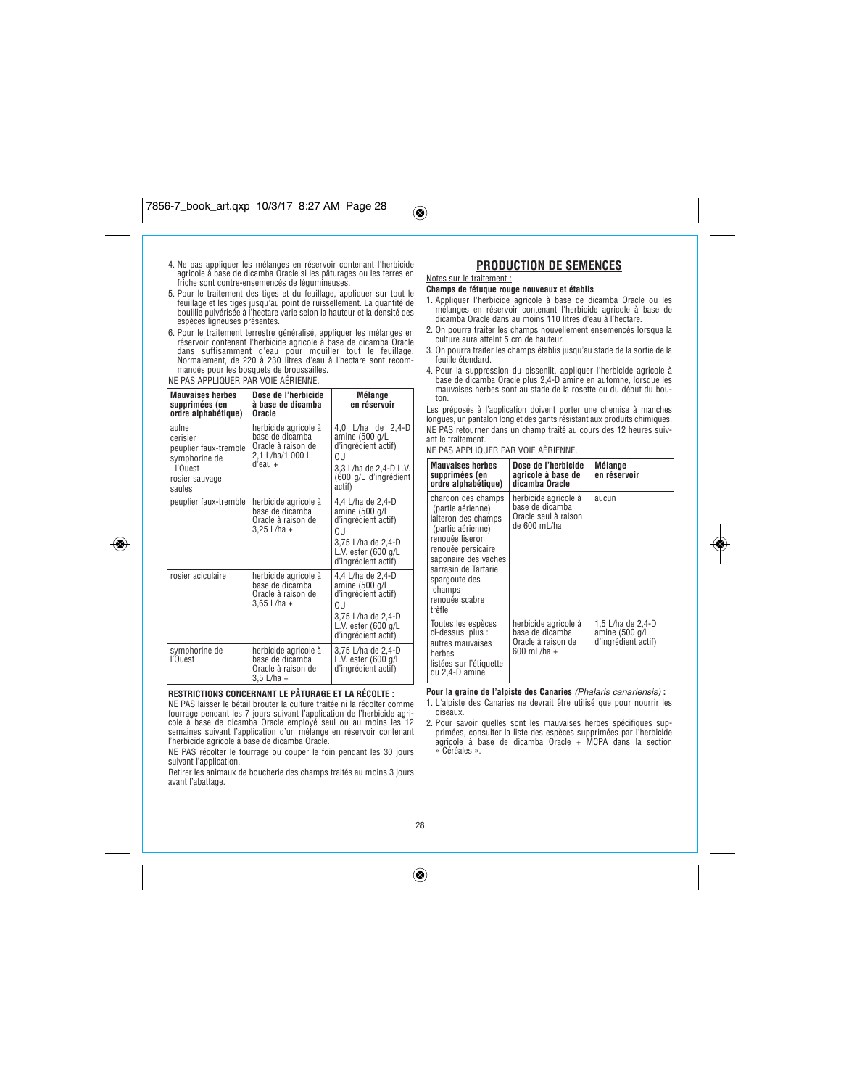- *4. Ne pas appliquer les mélanges en réservoir contenant l'herbicide agricole à base de dicamba Oracle si les pâturages ou les terres en friche sont contre-ensemencés de légumineuses.*
- 5. Pour le traitement des tiges et du feuillage, appliquer sur tout le<br>feuillage et les tiges jusqu'au point de ruissellement. La quantité de<br>bouillie pulvérisée à l'hectare varie selon la hauteur et la densité des *espèces ligneuses présentes.*
- 6. Pour le traitement terrestre généralisé, appliquer les mélanges en<br>réservoir contenant l'herbicide agricole à base de dicamba Oracle<br>dans suffisamment d'eau pour mouiller tout le feuillage.<br>Normalement, de 220 à 230 lit *mandés pour les bosquets de broussailles.*

# *NE PAS APPLIQUER PAR VOIE AÉRIENNE.*

◈

| <b>Mauvaises herbes</b><br>supprimées (en<br>ordre alphabétique)                                   | Dose de l'herbicide<br>à base de dicamba<br>Oracle                                           | Mélange<br>en réservoir                                                                                                                          |
|----------------------------------------------------------------------------------------------------|----------------------------------------------------------------------------------------------|--------------------------------------------------------------------------------------------------------------------------------------------------|
| aulne<br>cerisier<br>peuplier faux-tremble<br>symphorine de<br>l'Ouest<br>rosier sauvage<br>saules | herbicide agricole à<br>base de dicamba<br>Oracle à raison de<br>2,1 L/ha/1 000 L<br>d'eau + | 4,0 L/ha de 2,4-D<br>amine (500 g/L<br>d'ingrédient actif)<br>011<br>3,3 L/ha de 2,4-D L.V.<br>(600 g/L d'ingrédient<br>actif)                   |
| peuplier faux-tremble                                                                              | herbicide agricole à<br>base de dicamba<br>Oracle à raison de<br>$3,25$ L/ha +               | 4,4 L/ha de 2,4-D<br>amine (500 g/L<br>d'ingrédient actif)<br>011<br>3,75 L/ha de 2,4-D<br>L.V. ester $(600 g/L)$<br>d'ingrédient actif)         |
| rosier aciculaire                                                                                  | herbicide agricole à<br>base de dicamba<br>Oracle à raison de<br>$3,65$ L/ha +               | 4,4 L/ha de 2,4-D<br>amine (500 g/L<br>d'ingrédient actif)<br>011<br>3,75 L/ha de 2,4-D<br>L.V. ester $(600 \text{ g/L})$<br>d'ingrédient actif) |
| symphorine de<br>l'Ouest                                                                           | herbicide agricole à<br>base de dicamba<br>Oracle à raison de<br>$3.5$ L/ha +                | 3,75 L/ha de 2,4-D<br>L.V. ester (600 g/L<br>d'ingrédient actif)                                                                                 |

## **RESTRICTIONS CONCERNANT LE PÂTURAGE ET LA RÉCOLTE :**

*NE PAS laisser le bétail brouter la culture traitée ni la récolter comme* fourrage pendant les 7 jours suivant l'application de l'herbicide agri-<br>cole à base de dicamba Oracle employé seul ou au moins les 12<br>semaines suivant l'application d'un mélange en réservoir contenant<br>l'herbicide agricole

*NE PAS récolter le fourrage ou couper le foin pendant les 30 jours suivant l'application.*

*Retirer les animaux de boucherie des champs traités au moins 3 jours avant l'abattage.*

# **PRODUCTION DE SEMENCES**

### *Notes sur le traitement :* **Champs de fétuque rouge nouveaux et établis**

 $\bigcirc$ 

- *1. Appliquer l'herbicide agricole à base de dicamba Oracle ou les mélanges en réservoir contenant l'herbicide agricole à base de*
- *dicamba Oracle dans au moins 110 litres d'eau à l'hectare. 2. On pourra traiter les champs nouvellement ensemencés lorsque la*
- *culture aura atteint 5 cm de hauteur.*
- *3. On pourra traiter les champs établis jusqu'au stade de la sortie de la feuille étendard.*
- *4. Pour la suppression du pissenlit, appliquer l'herbicide agricole à base de dicamba Oracle plus 2,4-D amine en automne, lorsque les mauvaises herbes sont au stade de la rosette ou du début du bouton.*

*Les préposés à l'application doivent porter une chemise à manches longues, un pantalon long et des gants résistant aux produits chimiques. NE PAS retourner dans un champ traité au cours des 12 heures suiv-*

*ant le traitement.*

*NE PAS APPLIQUER PAR VOIE AÉRIENNE.*

| <b>Mauvaises herbes</b><br>supprimées (en<br>ordre alphabétique)                                                                                                                                                                    | Dose de l'herbicide<br>agricole à base de<br>dicamba Oracle                     | Mélange<br>en réservoir                                    |
|-------------------------------------------------------------------------------------------------------------------------------------------------------------------------------------------------------------------------------------|---------------------------------------------------------------------------------|------------------------------------------------------------|
| chardon des champs<br>(partie aérienne)<br>laiteron des champs<br>(partie aérienne)<br>renouée liseron<br>renouée persicaire<br>saponaire des vaches<br>sarrasin de Tartarie<br>spargoute des<br>champs<br>renouée scabre<br>trèfle | herbicide agricole à<br>base de dicamba<br>Oracle seul à raison<br>de 600 mL/ha | aucun                                                      |
| Toutes les espèces<br>ci-dessus, plus :<br>autres mauvaises<br>herbes<br>listées sur l'étiquette<br>du 2,4-D amine                                                                                                                  | herbicide agricole à<br>base de dicamba<br>Oracle à raison de<br>600 mL/ha +    | 1,5 L/ha de 2,4-D<br>amine (500 g/L<br>d'ingrédient actif) |

**Pour la graine de l'alpiste des Canaries** *(Phalaris canariensis)* **:** *1. L'alpiste des Canaries ne devrait être utilisé que pour nourrir les*

- *oiseaux.*
- *2. Pour savoir quelles sont les mauvaises herbes spécifiques supprimées, consulter la liste des espèces supprimées par l'herbicide agricole à base de dicamba Oracle + MCPA dans la section « Céréales ».*

### *28*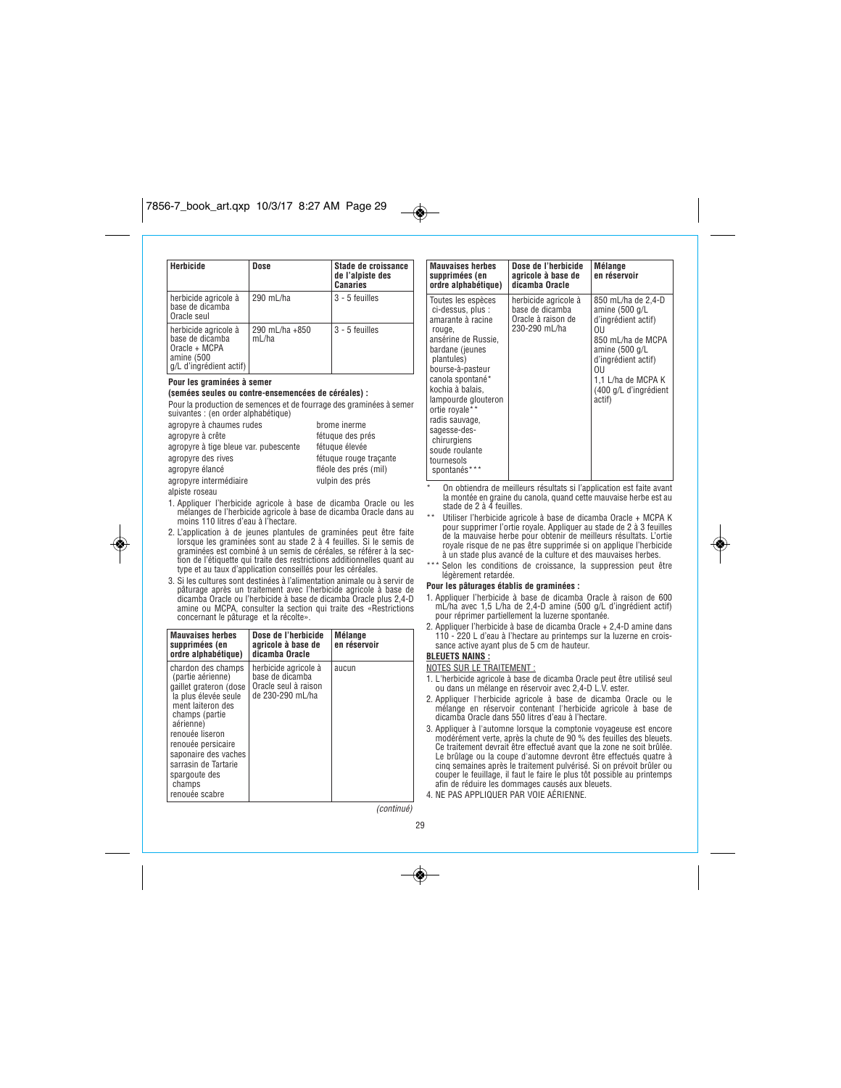| <b>Herbicide</b>                                                                                  | Dose                    | Stade de croissance<br>de l'alpiste des<br><b>Canaries</b>          |
|---------------------------------------------------------------------------------------------------|-------------------------|---------------------------------------------------------------------|
| herbicide agricole à<br>base de dicamba<br>Oracle seul                                            | 290 mL/ha               | 3 - 5 feuilles                                                      |
| herbicide agricole à<br>base de dicamba<br>Oracle + MCPA<br>amine (500<br>g/L d'ingrédient actif) | 290 mL/ha +850<br>mL/ha | 3 - 5 feuilles                                                      |
| Pour les graminées à semer                                                                        |                         |                                                                     |
| (semées seules ou contre-ensemencées de céréales) :                                               |                         |                                                                     |
|                                                                                                   |                         | Pour la production de semences et de fourrage des graminées à semer |
| suivantes : (en order alphabétique)                                                               |                         |                                                                     |
| agropyre à chaumes rudes                                                                          |                         | brome inerme                                                        |
| agropyre à crête                                                                                  |                         | fétuque des prés                                                    |

*agropyre à tige bleue var. pubescente fétuque élevée agropyre des rives fétuque rouge traçante agropyre élancé fléole des prés (mil) agropyre intermédiaire vulpin des prés alpiste roseau*

◈

- *1. Appliquer l'herbicide agricole à base de dicamba Oracle ou les mélanges de l'herbicide agricole à base de dicamba Oracle dans au moins 110 litres d'eau à l'hectare.*
- *2. L'application à de jeunes plantules de graminées peut être faite lorsque les graminées sont au stade 2 à 4 feuilles. Si le semis de graminées est combiné à un semis de céréales, se référer à la section de l'étiquette qui traite des restrictions additionnelles quant au type et au taux d'application conseillés pour les céréales.*
- *3. Si les cultures sont destinées à l'alimentation animale ou à servir de pâturage après un traitement avec l'herbicide agricole à base de dicamba Oracle ou l'herbicide à base de dicamba Oracle plus 2,4-D amine ou MCPA, consulter la section qui traite des «Restrictions concernant le pâturage et la récolte».*

| <b>Mauvaises herbes</b><br>supprimées (en<br>ordre alphabétique)                                                                                                                                                                                                                    | Dose de l'herbicide<br>agricole à base de<br>dicamba Oracle                         | <b>Mélange</b><br>en réservoir |
|-------------------------------------------------------------------------------------------------------------------------------------------------------------------------------------------------------------------------------------------------------------------------------------|-------------------------------------------------------------------------------------|--------------------------------|
| chardon des champs<br>(partie aérienne)<br>gaillet grateron (dose<br>la plus élevée seule<br>ment laiteron des<br>champs (partie<br>aérienne)<br>renouée liseron<br>renouée persicaire<br>saponaire des vaches<br>sarrasin de Tartarie<br>spargoute des<br>champs<br>renouée scabre | herbicide agricole à<br>base de dicamba<br>Oracle seul à raison<br>de 230-290 mL/ha | aucun                          |

*(continué)*

| supprimées (en<br>ordre alphabétique)                                                                                                                                                                                                                                                                                                | agricole à base de<br>dicamba Oracle                                           | en réservoir                                                                                                                                                                                     |
|--------------------------------------------------------------------------------------------------------------------------------------------------------------------------------------------------------------------------------------------------------------------------------------------------------------------------------------|--------------------------------------------------------------------------------|--------------------------------------------------------------------------------------------------------------------------------------------------------------------------------------------------|
| Toutes les espèces<br>ci-dessus, plus :<br>amarante à racine<br>rouge,<br>ansérine de Russie,<br>bardane (jeunes<br>plantules)<br>bourse-à-pasteur<br>canola spontané*<br>kochia à balais,<br>lampourde glouteron<br>ortie rovale**<br>radis sauvage,<br>sagesse-des-<br>chirurgiens<br>soude roulante<br>tournesols<br>spontanés*** | herbicide agricole à<br>base de dicamba<br>Oracle à raison de<br>230-290 mL/ha | 850 mL/ha de 2.4-D<br>amine (500 g/L<br>d'ingrédient actif)<br>011<br>850 mL/ha de MCPA<br>amine (500 g/L<br>d'ingrédient actif)<br>0IJ<br>1.1 L/ha de MCPA K<br>(400 g/L d'ingrédient<br>actif) |

*\* On obtiendra de meilleurs résultats si l'application est faite avant la montée en graine du canola, quand cette mauvaise herbe est au stade de 2 à 4 feuilles.*

- *\*\* Utiliser l'herbicide agricole à base de dicamba Oracle + MCPA K pour supprimer l'ortie royale. Appliquer au stade de 2 à 3 feuilles de la mauvaise herbe pour obtenir de meilleurs résultats. L'ortie royale risque de ne pas être supprimée si on applique l'herbicide à un stade plus avancé de la culture et des mauvaises herbes.*
- *\*\*\* Selon les conditions de croissance, la suppression peut être légèrement retardée.*

### **Pour les pâturages établis de graminées :**

- *1. Appliquer l'herbicide à base de dicamba Oracle à raison de 600 mL/ha avec 1,5 L/ha de 2,4-D amine (500 g/L d'ingrédient actif) pour réprimer partiellement la luzerne spontanée.*
- *2. Appliquer l'herbicide à base de dicamba Oracle + 2,4-D amine dans 110 - 220 L d'eau à l'hectare au printemps sur la luzerne en crois-sance active ayant plus de 5 cm de hauteur.*

# **BLEUETS NAINS :**

- *NOTES SUR LE TRAITEMENT :*
- *1. L'herbicide agricole à base de dicamba Oracle peut être utilisé seul ou dans un mélange en réservoir avec 2,4-D L.V. ester.*
- *2. Appliquer l'herbicide agricole à base de dicamba Oracle ou le mélange en réservoir contenant l'herbicide agricole à base de dicamba Oracle dans 550 litres d'eau à l'hectare.*
- *3. Appliquer à l'automne lorsque la comptonie voyageuse est encore modérément verte, après la chute de 90 % des feuilles des bleuets. Ce traitement devrait être effectué avant que la zone ne soit brûlée. Le brûlage ou la coupe d'automne devront être effectués quatre à cinq semaines après le traitement pulvérisé. Si on prévoit brûler ou couper le feuillage, il faut le faire le plus tôt possible au printemps afin de réduire les dommages causés aux bleuets.*
- *4. NE PAS APPLIQUER PAR VOIE AÉRIENNE.*



◈

 $\overline{\bullet}$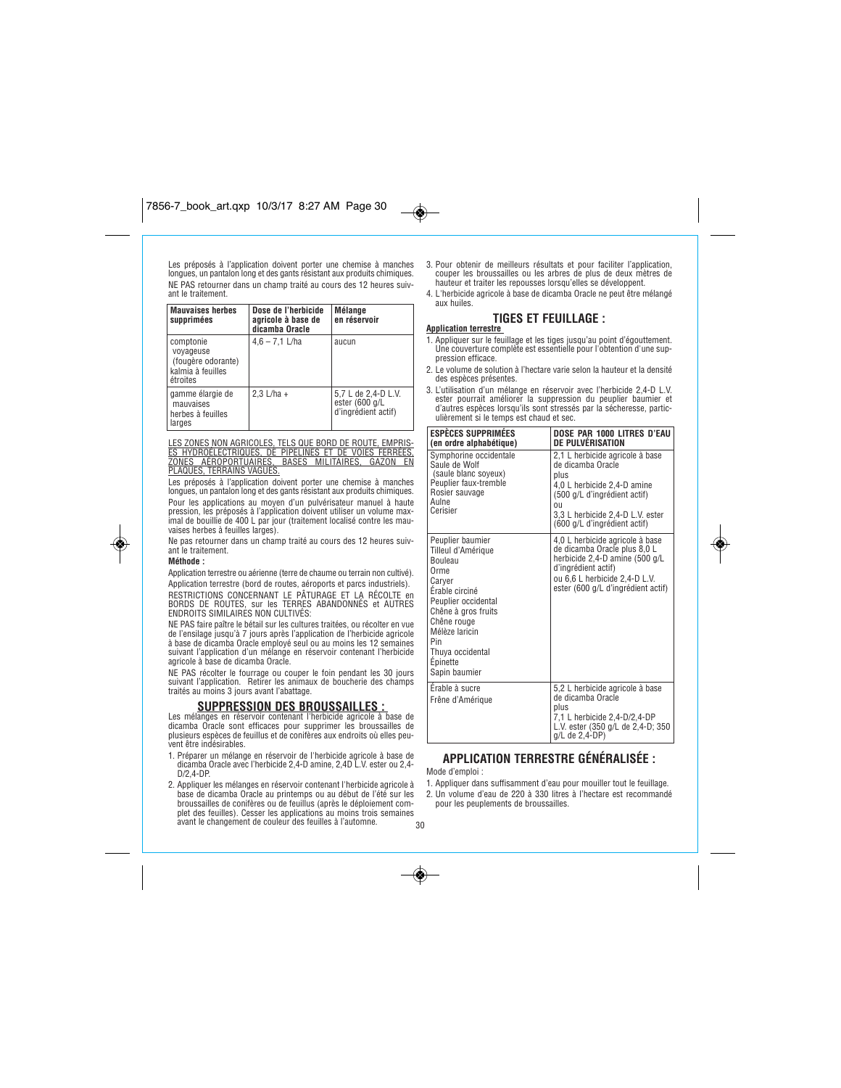*Les préposés à l'application doivent porter une chemise à manches longues, un pantalon long et des gants résistant aux produits chimiques. NE PAS retourner dans un champ traité au cours des 12 heures suivant le traitement.*

| <b>Mauvaises herbes</b><br>supprimées                                         | Dose de l'herbicide<br>agricole à base de<br>dicamba Oracle | Mélange<br>en réservoir                                      |
|-------------------------------------------------------------------------------|-------------------------------------------------------------|--------------------------------------------------------------|
| comptonie<br>voyageuse<br>(fougère odorante)<br>kalmia à feuilles<br>étroites | $4.6 - 7.1$ L/ha                                            | aucun                                                        |
| gamme élargie de<br>mauvaises<br>herbes à feuilles<br>larges                  | $2.3$ L/ha +                                                | 5,7 L de 2,4-D L.V.<br>ester (600 g/L<br>d'ingrédient actif) |

L<u>ES ZONES NON AGRICOLES, TELS QUE BORD DE ROUTE, EMPRIS-<br><u>ES HYDROÉLECTRIQUES, DE PIPELINES ET DE VOIES FERRÉES,</u><br>ZO<u>NES - AÉROPORTUAIRES, BASES - MILITAIRES, GAZON - EN<br>PLAQUES, TERRAINS VAGUES<u>.</u></u></u>

*Les préposés à l'application doivent porter une chemise à manches longues, un pantalon long et des gants résistant aux produits chimiques.* Pour les applications au moyen d'un pulvérisateur manuel à haute<br>pression, les préposés à l'application doivent utiliser un volume max-<br>imal de bouillie de 400 L par jour (traitement localisé contre les mau-<br>vaises herbes

*Ne pas retourner dans un champ traité au cours des 12 heures suivant le traitement.*

### **Méthode :**

۱

*Application terrestre ou aérienne (terre de chaume ou terrain non cultivé). Application terrestre (bord de routes, aéroports et parcs industriels). RESTRICTIONS CONCERNANT LE PÂTURAGE ET LA RÉCOLTE en BORDS DE ROUTES, sur les TERRES ABANDONNÉS et AUTRES ENDROITS SIMILAIRES NON CULTIVÉS:*

*NE PAS faire paître le bétail sur les cultures traitées, ou récolter en vue de l'ensilage jusqu'à 7 jours après l'application de l'herbicide agricole à base de dicamba Oracle employé seul ou au moins les 12 semaines suivant l'application d'un mélange en réservoir contenant l'herbicide agricole à base de dicamba Oracle.*

*NE PAS récolter le fourrage ou couper le foin pendant les 30 jours suivant l'application. Retirer les animaux de boucherie des champs traités au moins 3 jours avant l'abattage.*

### **SUPPRESSION DES BROUSSAILLES :**

*Les mélanges en réservoir contenant l'herbicide agricole à base de dicamba Oracle sont efficaces pour supprimer les broussailles de plusieurs espèces de feuillus et de conifères aux endroits où elles peuvent être indésirables.*

- *1. Préparer un mélange en réservoir de l'herbicide agricole à base de dicamba Oracle avec l'herbicide 2,4-D amine, 2,4D L.V. ester ou 2,4- D/2,4-DP.*
- *2. Appliquer les mélanges en réservoir contenant l'herbicide agricole à base de dicamba Oracle au printemps ou au début de l'été sur les broussailles de conifères ou de feuillus (après le déploiement complet des feuilles). Cesser les applications au moins trois semaines avant le changement de couleur des feuilles à l'automne.*
- *3. Pour obtenir de meilleurs résultats et pour faciliter l'application, couper les broussailles ou les arbres de plus de deux mètres de hauteur et traiter les repousses lorsqu'elles se développent.*
- *4. L'herbicide agricole à base de dicamba Oracle ne peut être mélangé aux huiles.*

### **TIGES ET FEUILLAGE :**

- **Application terrestre**  *1. Appliquer sur le feuillage et les tiges jusqu'au point d'égouttement. Une couverture complète est essentielle pour l'obtention d'une suppression efficace.*
- *2. Le volume de solution à l'hectare varie selon la hauteur et la densité des espèces présentes.*
- *3. L'utilisation d'un mélange en réservoir avec l'herbicide 2,4-D L.V. ester pourrait améliorer la suppression du peuplier baumier et d'autres espèces lorsqu'ils sont stressés par la sécheresse, particulièrement si le temps est chaud et sec.*

| <b>ESPÈCES SUPPRIMÉES</b><br>(en ordre alphabétique)                                                                                                                                                                                | DOSE PAR 1000 LITRES D'EAU<br>DE PULVÉRISATION                                                                                                                                                                     |
|-------------------------------------------------------------------------------------------------------------------------------------------------------------------------------------------------------------------------------------|--------------------------------------------------------------------------------------------------------------------------------------------------------------------------------------------------------------------|
| Symphorine occidentale<br>Saule de Wolf<br>(saule blanc soyeux)<br>Peuplier faux-tremble<br>Rosier sauvage<br>Aulne<br>Cerisier                                                                                                     | 2,1 L herbicide agricole à base<br>de dicamba Oracle<br>plus<br>4.0 L herbicide 2.4-D amine<br>(500 g/L d'ingrédient actif)<br>0 <sub>II</sub><br>3.3 L herbicide 2.4-D L.V. ester<br>(600 g/L d'ingrédient actif) |
| Peuplier baumier<br>Tilleul d'Amérique<br><b>Bouleau</b><br>Orme<br>Carver<br>Érable circiné<br>Peuplier occidental<br>Chêne à gros fruits<br>Chêne rouge<br>Mélèze laricin<br>Pin<br>Thuya occidental<br>Epinette<br>Sapin baumier | 4,0 L herbicide agricole à base<br>de dicamba Oracle plus 8,0 L<br>herbicide 2,4-D amine (500 g/L<br>d'ingrédient actif)<br>ou 6.6 L herbicide 2.4-D L.V.<br>ester (600 g/L d'ingrédient actif)                    |
| Érable à sucre<br>Frêne d'Amérique                                                                                                                                                                                                  | 5.2 L herbicide agricole à base<br>de dicamba Oracle<br>plus<br>7.1 L herbicide 2.4-D/2.4-DP<br>L.V. ester (350 g/L de 2,4-D; 350<br>g/L de 2,4-DP)                                                                |

# **APPLICATION TERRESTRE GÉNÉRALISÉE :**

*Mode d'emploi :*

- *1. Appliquer dans suffisamment d'eau pour mouiller tout le feuillage. 2. Un volume d'eau de 220 à 330 litres à l'hectare est recommandé*
- *pour les peuplements de broussailles.*
- *30*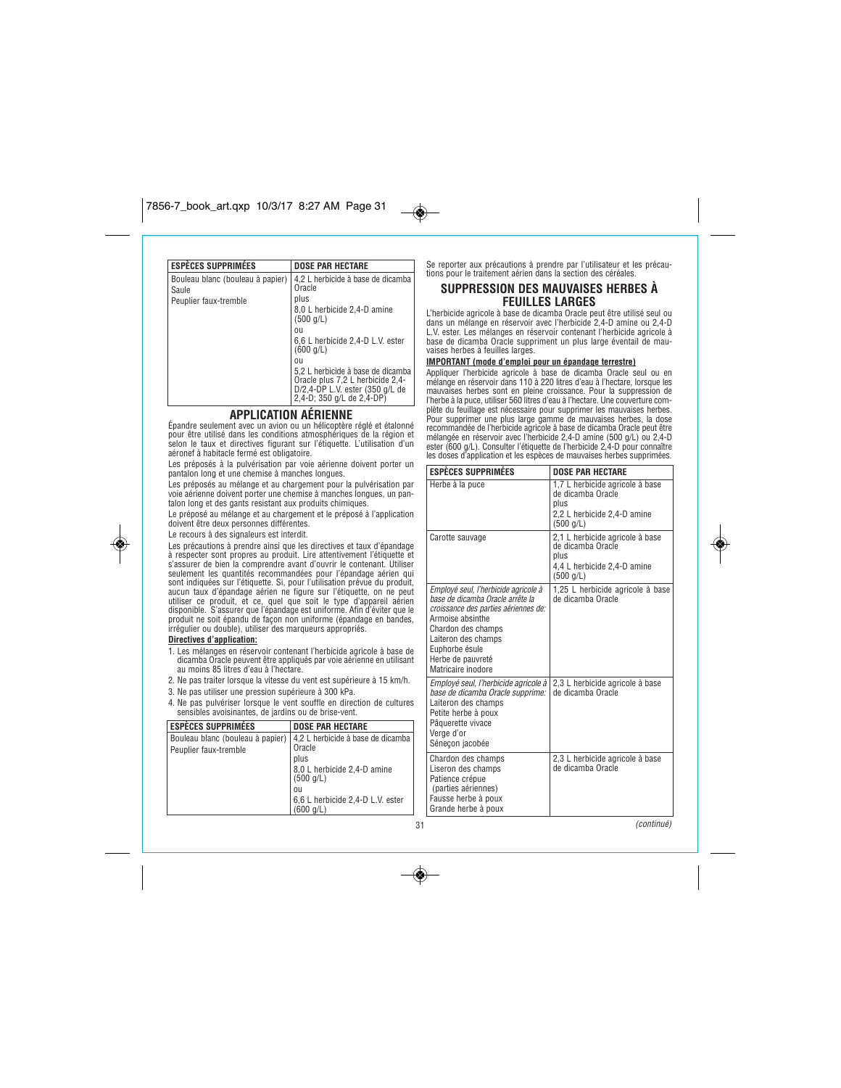| <b>ESPÈCES SUPPRIMÉES</b>                 | <b>DOSE PAR HECTARE</b>                                                                                                               |
|-------------------------------------------|---------------------------------------------------------------------------------------------------------------------------------------|
| Bouleau blanc (bouleau à papier)<br>Saule | 4,2 L herbicide à base de dicamba<br>Oracle                                                                                           |
| Peuplier faux-tremble                     | plus                                                                                                                                  |
|                                           | 8,0 L herbicide 2,4-D amine<br>(500 q/L)                                                                                              |
|                                           | 011                                                                                                                                   |
|                                           | 6,6 L herbicide 2,4-D L.V. ester<br>(600 q/L)                                                                                         |
|                                           | 011                                                                                                                                   |
|                                           | 5,2 L herbicide à base de dicamba<br>Oracle plus 7,2 L herbicide 2,4-<br>D/2,4-DP L.V. ester (350 g/L de<br>2,4-D; 350 g/L de 2,4-DP) |

# **APPLICATION AÉRIENNE**

*Épandre seulement avec un avion ou un hélicoptère réglé et étalonné pour être utilisé dans les conditions atmosphériques de la région et selon le taux et directives figurant sur l'étiquette. L'utilisation d'un aéronef à habitacle fermé est obligatoire.* 

*Les préposés à la pulvérisation par voie aérienne doivent porter un pantalon long et une chemise à manches longues.*

*Les préposés au mélange et au chargement pour la pulvérisation par voie aérienne doivent porter une chemise à manches longues, un pantalon long et des gants resistant aux produits chimiques.*

*Le préposé au mélange et au chargement et le préposé à l'application doivent être deux personnes différentes.*

*Le recours à des signaleurs est interdit.*

*Les précautions à prendre ainsi que les directives et taux d'épandage à respecter sont propres au produit. Lire attentivement l'étiquette et s'assurer de bien la comprendre avant d'ouvrir le contenant. Utiliser seulement les quantités recommandées pour l'épandage aérien qui* sont indiquées sur l'étiquette. Si, pour l'utilisation prévue du produit,<br>aucun taux d'épandage aérien ne figure sur l'étiquette, on ne peut<br>utiliser ce produit, et ce, quel que soit le type d'appareil aérien<br>disponible. S

### **Directives d'application:**

◈

- *1. Les mélanges en réservoir contenant l'herbicide agricole à base de dicamba Oracle peuvent être appliqués par voie aérienne en utilisant au moins 85 litres d'eau à l'hectare.*
- *2. Ne pas traiter lorsque la vitesse du vent est supérieure à 15 km/h.*
- *3. Ne pas utiliser une pression supérieure à 300 kPa.*
- *4. Ne pas pulvériser lorsque le vent souffle en direction de cultures sensibles avoisinantes, de jardins ou de brise-vent.*

| <b>ESPÈCES SUPPRIMÉES</b>                                 | <b>DOSE PAR HECTARE</b>                                                                                          |
|-----------------------------------------------------------|------------------------------------------------------------------------------------------------------------------|
| Bouleau blanc (bouleau à papier)<br>Peuplier faux-tremble | 4,2 L herbicide à base de dicamba<br>Oracle<br>plus<br>8,0 L herbicide 2,4-D amine<br>$(500 \text{ q/L})$<br>011 |
|                                                           | 6,6 L herbicide 2,4-D L.V. ester<br>(600 q/L)                                                                    |

*Se reporter aux précautions à prendre par l'utilisateur et les précautions pour le traitement aérien dans la section des céréales.*

### **SUPPRESSION DES MAUVAISES HERBES À FEUILLES LARGES**

L'herbicide agricole à base de dicamba Oracle peut être utilisé seul ou<br>dans un mélange en réservoir avec l'herbicide 2,4-D amine ou 2,4-D<br>L.V. ester. Les mélanges en réservoir contenant l'herbicide agricole à<br>base de dica *vaises herbes à feuilles larges.* 

### **IMPORTANT (mode d'emploi pour un épandage terrestre)**

Appliquer l'herbicide agricole à base de dicamba Oracle seul ou en<br>mélange en réservoir dans 110 à 220 litres d'eau à l'hectare, lorsque les<br>mauvaises herbes sont en pleine croissance. Pour la suppression de<br>l'herbe à la p Pour supprimer une plus large gamme de mauvaises herbes, la dose<br>recommandée de l'herbicide agrícole à base de dicamba Oracle peut être<br>mélangée en réservoir avec l'herbicide 2,4-D amine (500 g/L) ou 2,4-D<br>ester (600 g/L).

| <b><i>ESPECES SUPPRIMEES</i></b>                                                                                                                                                                                                               | DOSE PAR HECTARE                                                                                         |  |
|------------------------------------------------------------------------------------------------------------------------------------------------------------------------------------------------------------------------------------------------|----------------------------------------------------------------------------------------------------------|--|
| Herbe à la puce                                                                                                                                                                                                                                | 1,7 L herbicide agricole à base<br>de dicamba Oracle<br>plus<br>2,2 L herbicide 2,4-D amine<br>(500 q/L) |  |
| Carotte sauvage                                                                                                                                                                                                                                | 2,1 L herbicide agricole à base<br>de dicamba Oracle<br>plus<br>4,4 L herbicide 2,4-D amine<br>(500 q/L) |  |
| Employé seul, l'herbicide agricole à<br>base de dicamba Oracle arrête la<br>croissance des parties aériennes de:<br>Armoise absinthe<br>Chardon des champs<br>Laiteron des champs<br>Euphorbe ésule<br>Herbe de pauvreté<br>Matricaire inodore | 1,25 L herbicide agricole à base<br>de dicamba Oracle                                                    |  |
| Employé seul, l'herbicide agricole à<br>base de dicamba Oracle supprime:<br>Laiteron des champs<br>Petite herbe à poux<br>Pâquerette vivace<br>Verge d'or<br>Sénecon jacobée                                                                   | 2,3 L herbicide agricole à base<br>de dicamba Oracle                                                     |  |
| Chardon des champs<br>Liseron des champs<br>Patience crépue<br>(parties aériennes)<br>Fausse herbe à poux<br>Grande herbe à poux                                                                                                               | 2,3 L herbicide agricole à base<br>de dicamba Oracle                                                     |  |
|                                                                                                                                                                                                                                                | (continué)                                                                                               |  |

*31*

◈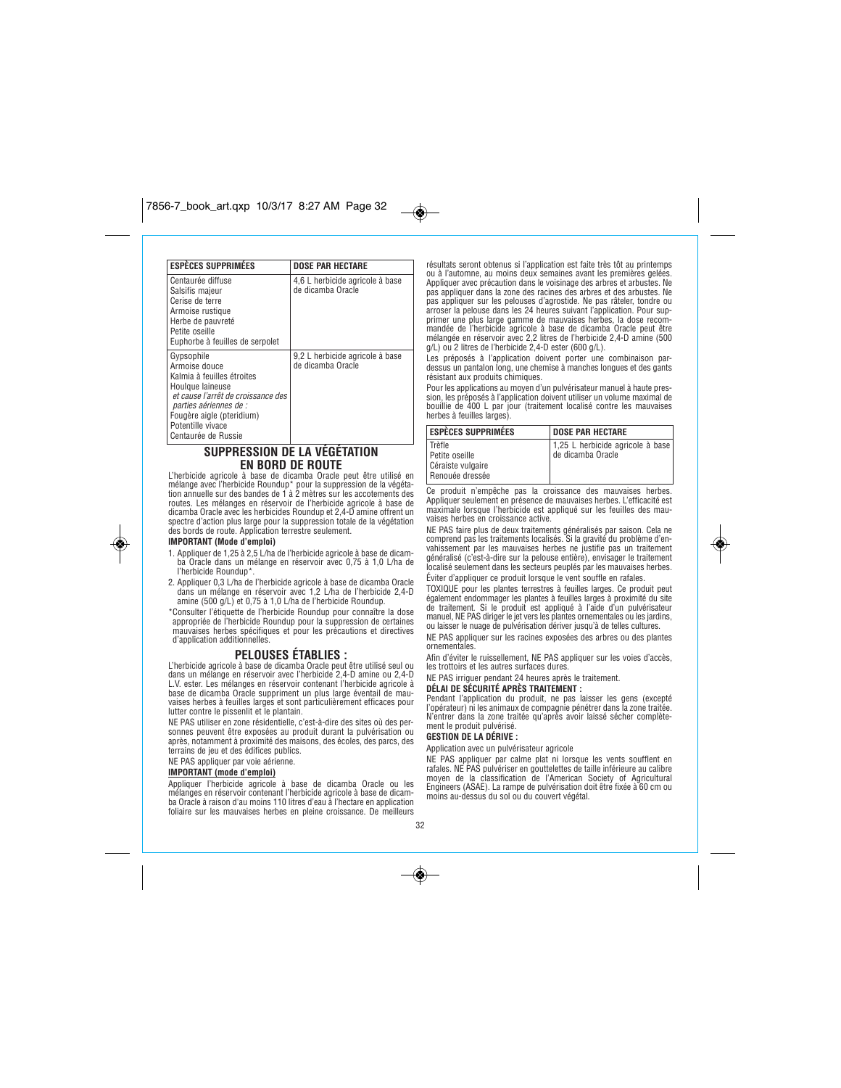| <b>ESPÈCES SUPPRIMÉES</b>                                                                                                                                                                                              | <b>DOSE PAR HECTARE</b>                              |
|------------------------------------------------------------------------------------------------------------------------------------------------------------------------------------------------------------------------|------------------------------------------------------|
| Centaurée diffuse<br>Salsifis majeur<br>Cerise de terre<br>Armoise rustique<br>Herbe de pauvreté<br>Petite oseille<br>Euphorbe à feuilles de serpolet                                                                  | 4,6 L herbicide agricole à base<br>de dicamba Oracle |
| Gypsophile<br>Armoise douce<br>Kalmia à feuilles étroites<br>Houlque laineuse<br>et cause l'arrêt de croissance des<br>parties aériennes de :<br>Fougère aigle (pteridium)<br>Potentille vivace<br>Centaurée de Russie | 9,2 L herbicide agricole à base<br>de dicamba Oracle |

# **SUPPRESSION DE LA VÉGÉTATION EN BORD DE ROUTE**

*L'herbicide agricole à base de dicamba Oracle peut être utilisé en mélange avec l'herbicide Roundup\* pour la suppression de la végéta-tion annuelle sur des bandes de 1 à 2 mètres sur les accotements des routes. Les mélanges en réservoir de l'herbicide agricole à base de dicamba Oracle avec les herbicides Roundup et 2,4-D amine offrent un spectre d'action plus large pour la suppression totale de la végétation des bords de route. Application terrestre seulement.*

### **IMPORTANT (Mode d'emploi)**

◈

- *1. Appliquer de 1,25 à 2,5 L/ha de l'herbicide agricole à base de dicamba Oracle dans un mélange en réservoir avec 0,75 à 1,0 L/ha de l'herbicide Roundup\*.*
- *2. Appliquer 0,3 L/ha de l'herbicide agricole à base de dicamba Oracle dans un mélange en réservoir avec 1,2 L/ha de l'herbicide 2,4-D amine (500 g/L) et 0,75 à 1,0 L/ha de l'herbicide Roundup.*

*\*Consulter l'étiquette de l'herbicide Roundup pour connaître la dose appropriée de l'herbicide Roundup pour la suppression de certaines mauvaises herbes spécifiques et pour les précautions et directives d'application additionnelles.*

# **PELOUSES ÉTABLIES :**

*L'herbicide agricole à base de dicamba Oracle peut être utilisé seul ou dans un mélange en réservoir avec l'herbicide 2,4-D amine ou 2,4-D L.V. ester. Les mélanges en réservoir contenant l'herbicide agricole à base de dicamba Oracle suppriment un plus large éventail de mauvaises herbes à feuilles larges et sont particulièrement efficaces pour lutter contre le pissenlit et le plantain.* 

*NE PAS utiliser en zone résidentielle, c'est-à-dire des sites où des personnes peuvent être exposées au produit durant la pulvérisation ou après, notamment à proximité des maisons, des écoles, des parcs, des terrains de jeu et des édifices publics.*

*NE PAS appliquer par voie aérienne.*

### **IMPORTANT (mode d'emploi)**

*Appliquer l'herbicide agricole à base de dicamba Oracle ou les mélanges en réservoir contenant l'herbicide agricole à base de dicam-ba Oracle à raison d'au moins 110 litres d'eau à l'hectare en application foliaire sur les mauvaises herbes en pleine croissance. De meilleurs*

*résultats seront obtenus si l'application est faite très tôt au printemps ou à l'automne, au moins deux semaines avant les premières gelées. Appliquer avec précaution dans le voisinage des arbres et arbustes. Ne pas appliquer dans la zone des racines des arbres et des arbustes. Ne pas appliquer sur les pelouses d'agrostide. Ne pas râteler, tondre ou arroser la pelouse dans les 24 heures suivant l'application. Pour sup-primer une plus large gamme de mauvaises herbes, la dose recommandée de l'herbicide agricole à base de dicamba Oracle peut être mélangée en réservoir avec 2,2 litres de l'herbicide 2,4-D amine (500 g/L) ou 2 litres de l'herbicide 2,4-D ester (600 g/L).*

*Les préposés à l'application doivent porter une combinaison par-dessus un pantalon long, une chemise à manches longues et des gants résistant aux produits chimiques.*

*Pour les applications au moyen d'un pulvérisateur manuel à haute pression, les préposés à l'application doivent utiliser un volume maximal de bouillie de 400 L par jour (traitement localisé contre les mauvaises herbes à feuilles larges).*

| <b>DOSE PAR HECTARE</b>                                 |
|---------------------------------------------------------|
|                                                         |
| 1,25 L herbicide agricole à base<br>l de dicamba Oracle |
|                                                         |
|                                                         |

*Ce produit n'empêche pas la croissance des mauvaises herbes. Appliquer seulement en présence de mauvaises herbes. L'efficacité est maximale lorsque l'herbicide est appliqué sur les feuilles des mauvaises herbes en croissance active.*

*NE PAS faire plus de deux traitements généralisés par saison. Cela ne comprend pas les traitements localisés. Si la gravité du problème d'en*vahissement par les mauvaises herbes ne justifie pas un traitement<br>généralisé (c'est-à-dire sur la pelouse entière), envisager le traitement<br>localisé seulement dans les secteurs peuplés par les mauvaises herbes. *Éviter d'appliquer ce produit lorsque le vent souffle en rafales.*

*TOXIQUE pour les plantes terrestres à feuilles larges. Ce produit peut également endommager les plantes à feuilles larges à proximité du site de traitement. Si le produit est appliqué à l'aide d'un pulvérisateur manuel, NE PAS diriger le jet vers les plantes ornementales ou les jardins, ou laisser le nuage de pulvérisation dériver jusqu'à de telles cultures.*

*NE PAS appliquer sur les racines exposées des arbres ou des plantes ornementales.*

*Afin d'éviter le ruissellement, NE PAS appliquer sur les voies d'accès, les trottoirs et les autres surfaces dures.*

## *NE PAS irriguer pendant 24 heures après le traitement.*

### **DÉLAI DE SÉCURITÉ APRÈS TRAITEMENT :**

*Pendant l'application du produit, ne pas laisser les gens (excepté l'opérateur) ni les animaux de compagnie pénétrer dans la zone traitée. N'entrer dans la zone traitée qu'après avoir laissé sécher complètement le produit pulvérisé.*

### **GESTION DE LA DÉRIVE :**

*Application avec un pulvérisateur agricole*

*NE PAS appliquer par calme plat ni lorsque les vents soufflent en rafales. NE PAS pulvériser en gouttelettes de taille inférieure au calibre moyen de la classification de l'American Society of Agricultural Engineers (ASAE). La rampe de pulvérisation doit être fixée à 60 cm ou moins au-dessus du sol ou du couvert végétal.*

*32*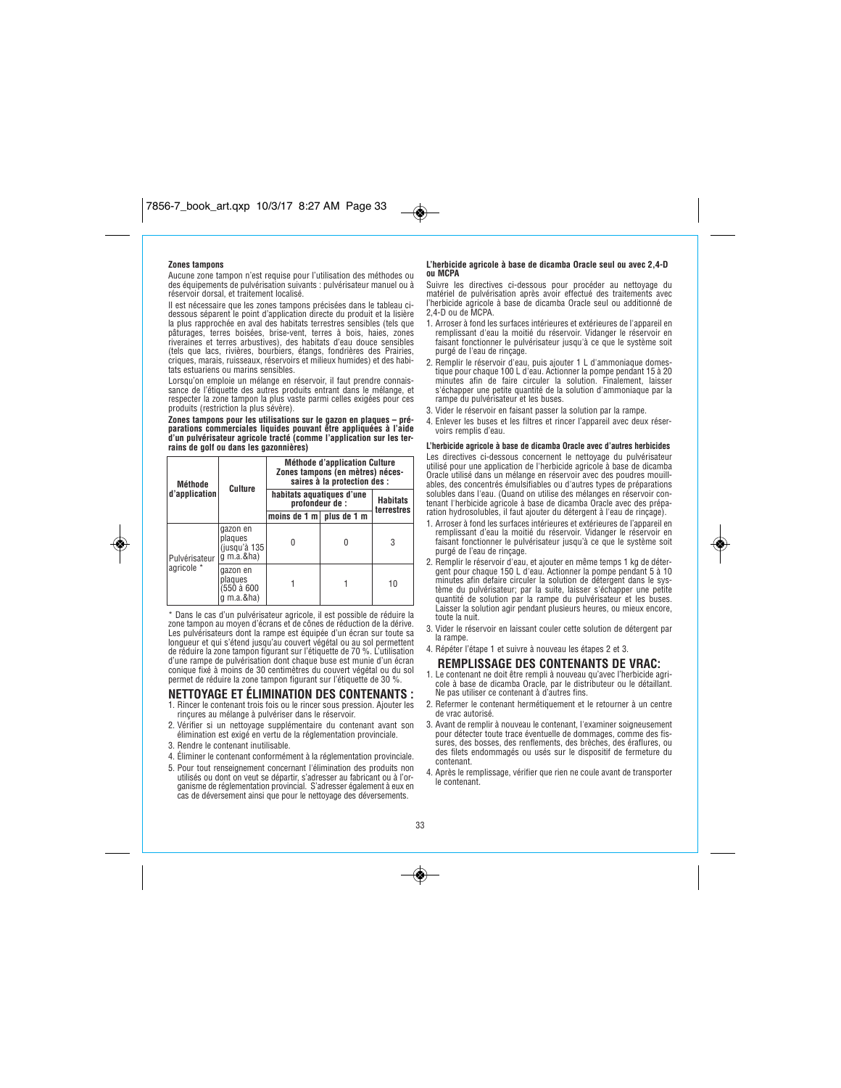### **Zones tampons**

◈

*Aucune zone tampon n'est requise pour l'utilisation des méthodes ou des équipements de pulvérisation suivants : pulvérisateur manuel ou à réservoir dorsal, et traitement localisé.* 

*Il est nécessaire que les zones tampons précisées dans le tableau cidessous séparent le point d'application directe du produit et la lisière la plus rapprochée en aval des habitats terrestres sensibles (tels que pâturages, terres boisées, brise-vent, terres à bois, haies, zones riveraines et terres arbustives), des habitats d'eau douce sensibles (tels que lacs, rivières, bourbiers, étangs, fondrières des Prairies, criques, marais, ruisseaux, réservoirs et milieux humides) et des habitats estuariens ou marins sensibles.*

*Lorsqu'on emploie un mélange en réservoir, il faut prendre connaissance de l'étiquette des autres produits entrant dans le mélange, et respecter la zone tampon la plus vaste parmi celles exigées pour ces produits (restriction la plus sévère).*

**Zones tampons pour les utilisations sur le gazon en plaques – pré-parations commerciales liquides pouvant être appliquées à l'aide d'un pulvérisateur agricole tracté (comme l'application sur les terrains de golf ou dans les gazonnières)**

| Méthode<br>d'application    | Culture                                                | Méthode d'application Culture<br>Zones tampons (en mètres) néces-<br>saires à la protection des : |   |                               |
|-----------------------------|--------------------------------------------------------|---------------------------------------------------------------------------------------------------|---|-------------------------------|
|                             |                                                        | habitats aquatiques d'une<br>profondeur de :                                                      |   | <b>Habitats</b><br>terrestres |
|                             |                                                        | moins de $1 \text{ m}$ plus de $1 \text{ m}$                                                      |   |                               |
| Pulvérisateur<br>agricole * | gazon en<br>plaques<br>(jusqu'à 135<br>$q$ m.a.&ha)    |                                                                                                   | 0 | 3                             |
|                             | gazon en<br>plaques<br>(550 à 600<br>$\alpha$ m.a.&ha) |                                                                                                   |   | 10                            |

*\* Dans le cas d'un pulvérisateur agricole, il est possible de réduire la zone tampon au moyen d'écrans et de cônes de réduction de la dérive. Les pulvérisateurs dont la rampe est équipée d'un écran sur toute sa longueur et qui s'étend jusqu'au couvert végétal ou au sol permettent de réduire la zone tampon figurant sur l'étiquette de 70 %. L'utilisation d'une rampe de pulvérisation dont chaque buse est munie d'un écran conique fixé à moins de 30 centimètres du couvert végétal ou du sol permet de réduire la zone tampon figurant sur l'étiquette de 30 %.*

# **NETTOYAGE ET ÉLIMINATION DES CONTENANTS :**

- *1. Rincer le contenant trois fois ou le rincer sous pression. Ajouter les rinçures au mélange à pulvériser dans le réservoir.*
- *2. Vérifier si un nettoyage supplémentaire du contenant avant son élimination est exigé en vertu de la réglementation provinciale. 3. Rendre le contenant inutilisable.*
- 
- *4. Éliminer le contenant conformément à la réglementation provinciale.*
- *5. Pour tout renseignement concernant l'élimination des produits non utilisés ou dont on veut se départir, s'adresser au fabricant ou à l'or-ganisme de réglementation provincial. S'adresser également à eux en cas de déversement ainsi que pour le nettoyage des déversements.*

#### **L'herbicide agricole à base de dicamba Oracle seul ou avec 2,4-D ou MCPA**

*Suivre les directives ci-dessous pour procéder au nettoyage du matériel de pulvérisation après avoir effectué des traitements avec l'herbicide agricole à base de dicamba Oracle seul ou additionné de 2,4-D ou de MCPA.*

- *1. Arroser à fond les surfaces intérieures et extérieures de l'appareil en remplissant d'eau la moitié du réservoir. Vidanger le réservoir en faisant fonctionner le pulvérisateur jusqu'à ce que le système soit purgé de l'eau de rinçage.*
- *2. Remplir le réservoir d'eau, puis ajouter 1 L d'ammoniaque domestique pour chaque 100 L d'eau. Actionner la pompe pendant 15 à 20 minutes afin de faire circuler la solution. Finalement, laisser s'échapper une petite quantité de la solution d'ammoniaque par la rampe du pulvérisateur et les buses.*
- *3. Vider le réservoir en faisant passer la solution par la rampe.*
- *4. Enlever les buses et les filtres et rincer l'appareil avec deux réservoirs remplis d'eau.*

**L'herbicide agricole à base de dicamba Oracle avec d'autres herbicides** *Les directives ci-dessous concernent le nettoyage du pulvérisateur utilisé pour une application de l'herbicide agricole à base de dicamba Oracle utilisé dans un mélange en réservoir avec des poudres mouillables, des concentrés émulsifiables ou d'autres types de préparations solubles dans l'eau. (Quand on utilise des mélanges en réservoir contenant l'herbicide agricole à base de dicamba Oracle avec des prépa-ration hydrosolubles, il faut ajouter du détergent à l'eau de rinçage).*

- *1. Arroser à fond les surfaces intérieures et extérieures de l'appareil en remplissant d'eau la moitié du réservoir. Vidanger le réservoir en faisant fonctionner le pulvérisateur jusqu'à ce que le système soit purgé de l'eau de rinçage.*
- *2. Remplir le réservoir d'eau, et ajouter en même temps 1 kg de détergent pour chaque 150 L d'eau. Actionner la pompe pendant 5 à 10 minutes afin defaire circuler la solution de détergent dans le système du pulvérisateur; par la suite, laisser s'échapper une petite quantité de solution par la rampe du pulvérisateur et les buses. Laisser la solution agir pendant plusieurs heures, ou mieux encore, toute la nuit.*
- *3. Vider le réservoir en laissant couler cette solution de détergent par la rampe.*
- *4. Répéter l'étape 1 et suivre à nouveau les étapes 2 et 3.* **REMPLISSAGE DES CONTENANTS DE VRAC:**
- *1. Le contenant ne doit être rempli à nouveau qu'avec l'herbicide agricole à base de dicamba Oracle, par le distributeur ou le détaillant. Ne pas utiliser ce contenant à d'autres fins.*
- *2. Refermer le contenant hermétiquement et le retourner à un centre de vrac autorisé.*
- *3. Avant de remplir à nouveau le contenant, l'examiner soigneusement pour détecter toute trace éventuelle de dommages, comme des fissures, des bosses, des renflements, des brèches, des éraflures, ou des filets endommagés ou usés sur le dispositif de fermeture du contenant.*
- *4. Après le remplissage, vérifier que rien ne coule avant de transporter le contenant.*



◈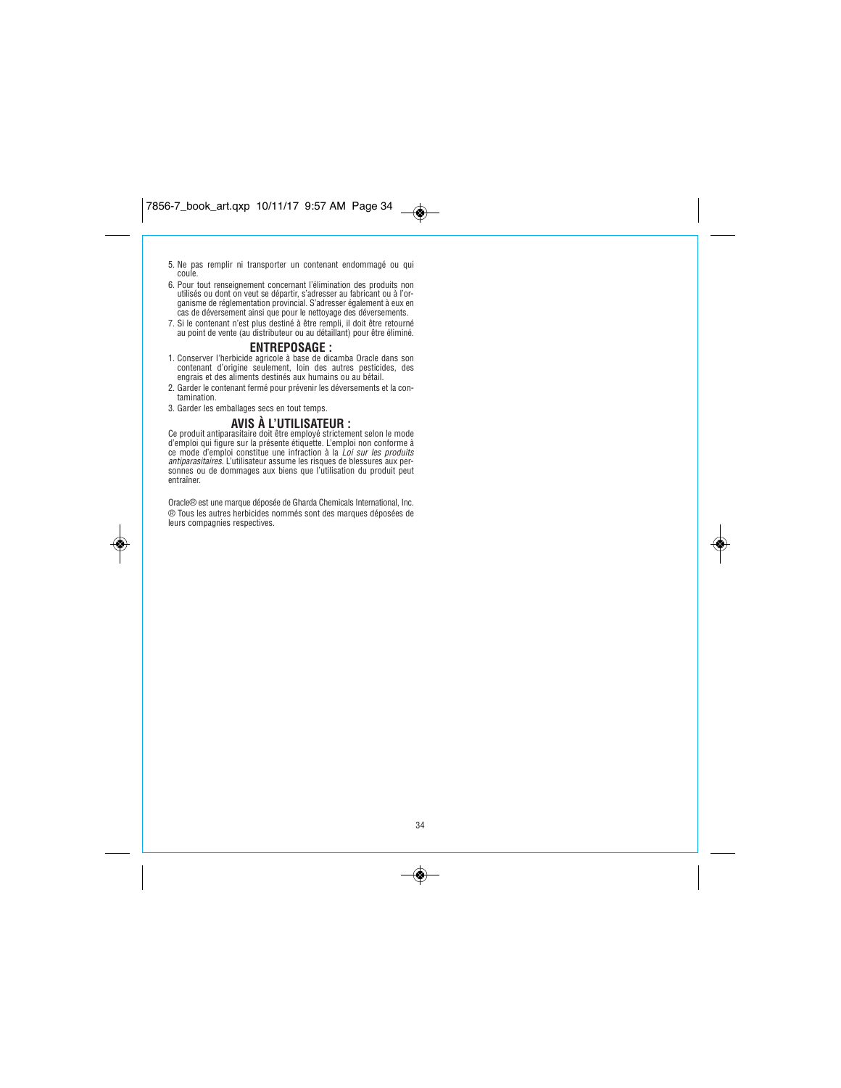7856-7\_book\_art.qxp 10/11/17 9:57 AM Page 34 $\rightarrow$ 

- *5. Ne pas remplir ni transporter un contenant endommagé ou qui coule.*
- 6. Pour tout renseignement concernant l'élimination des produits non<br>utilisés ou dont on veut se départir, s'adresser au fabricant ou à l'or-<br>ganisme de réglementation provincial. S'adresser également à eux en<br>cas de déver
- *7. Si le contenant n'est plus destiné à être rempli, il doit être retourné au point de vente (au distributeur ou au détaillant) pour être éliminé.*

# **ENTREPOSAGE :**

- *1. Conserver l'herbicide agricole à base de dicamba Oracle dans son contenant d'origine seulement, loin des autres pesticides, des engrais et des aliments destinés aux humains ou au bétail.*
- *2. Garder le contenant fermé pour prévenir les déversements et la contamination.*
- *3. Garder les emballages secs en tout temps.*

◈

# **AVIS À L'UTILISATEUR :**

Ce produit antiparasitaire doit être employé strictement selon le mode<br>d'emploi qui figure sur la présente étiquette. L'emploi non conforme à<br>ce mode d'emploi constitue une infraction à la *Loi sur les produits<br>antiparasit sonnes ou de dommages aux biens que l'utilisation du produit peut entraîner.*

*Oracle® est une marque déposée de Gharda Chemicals International, Inc. ® Tous les autres herbicides nommés sont des marques déposées de leurs compagnies respectives.*

*34*

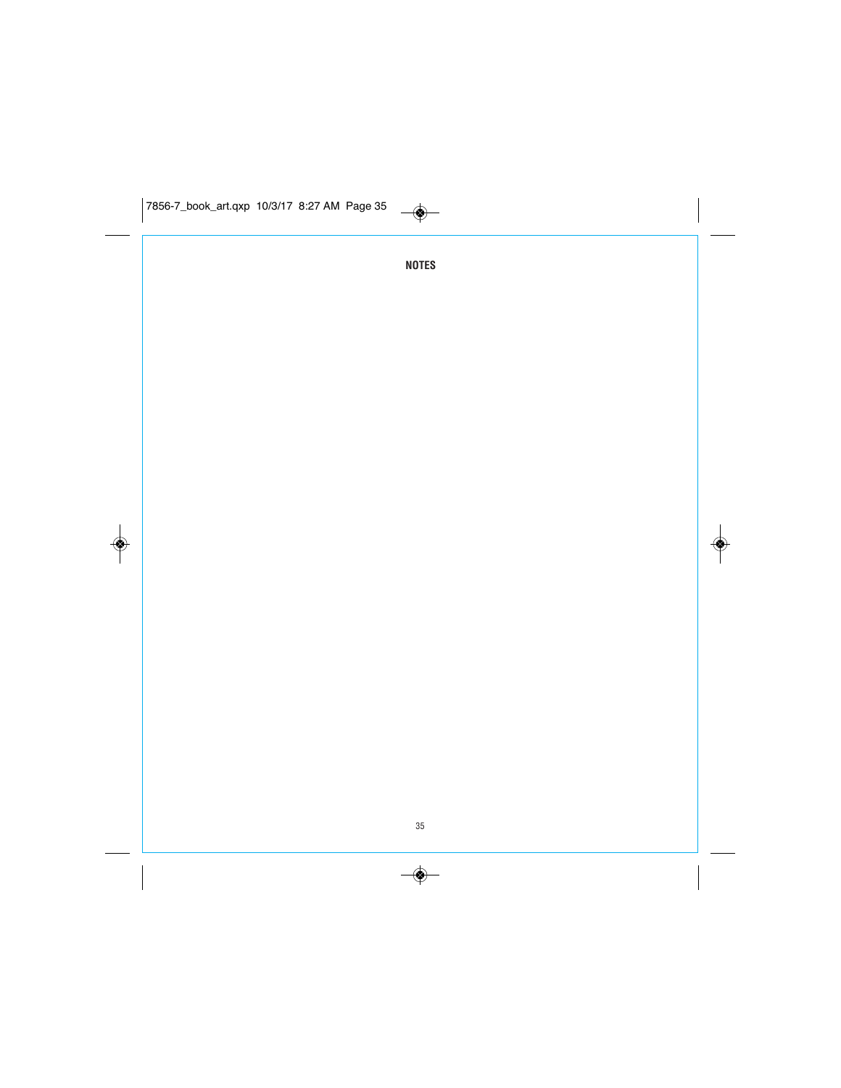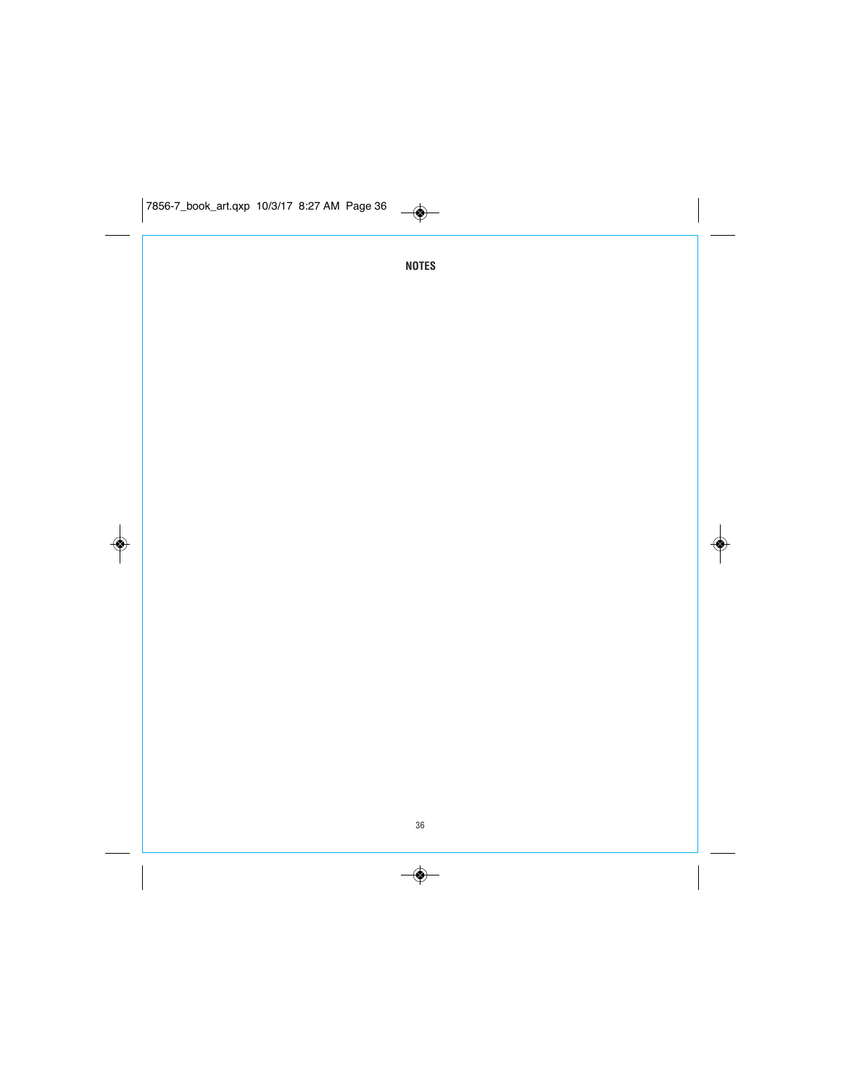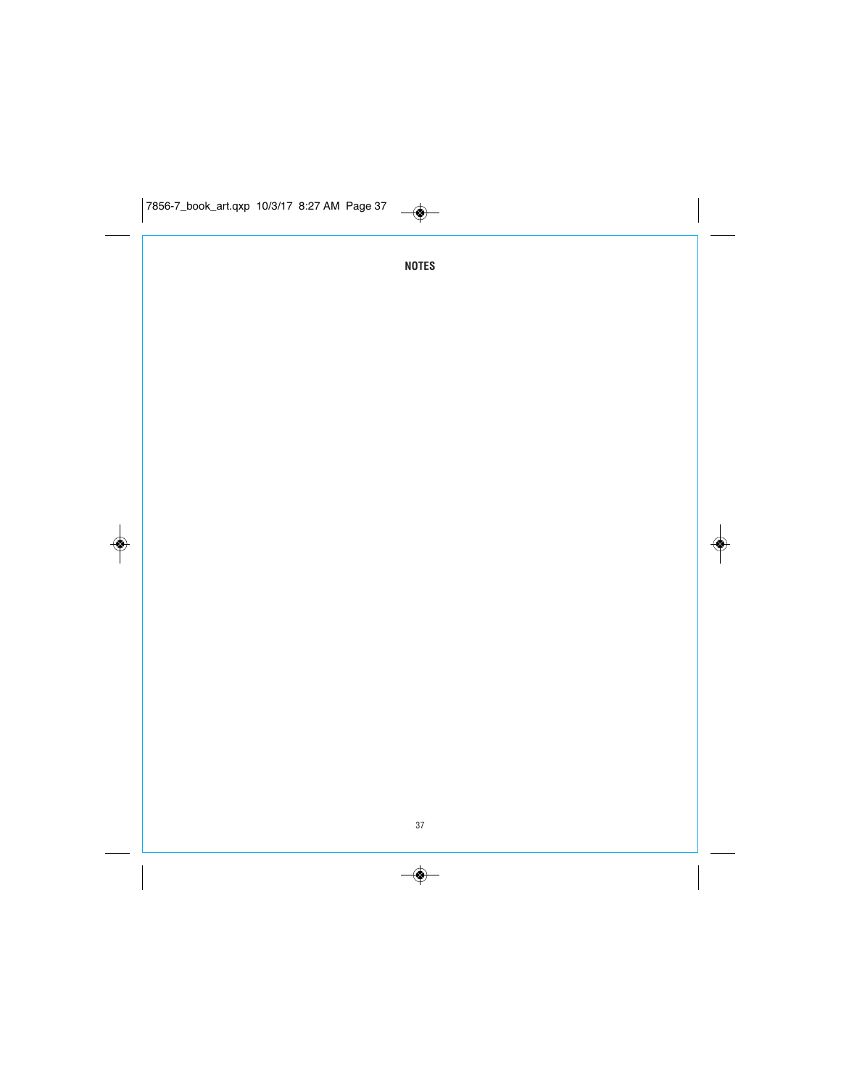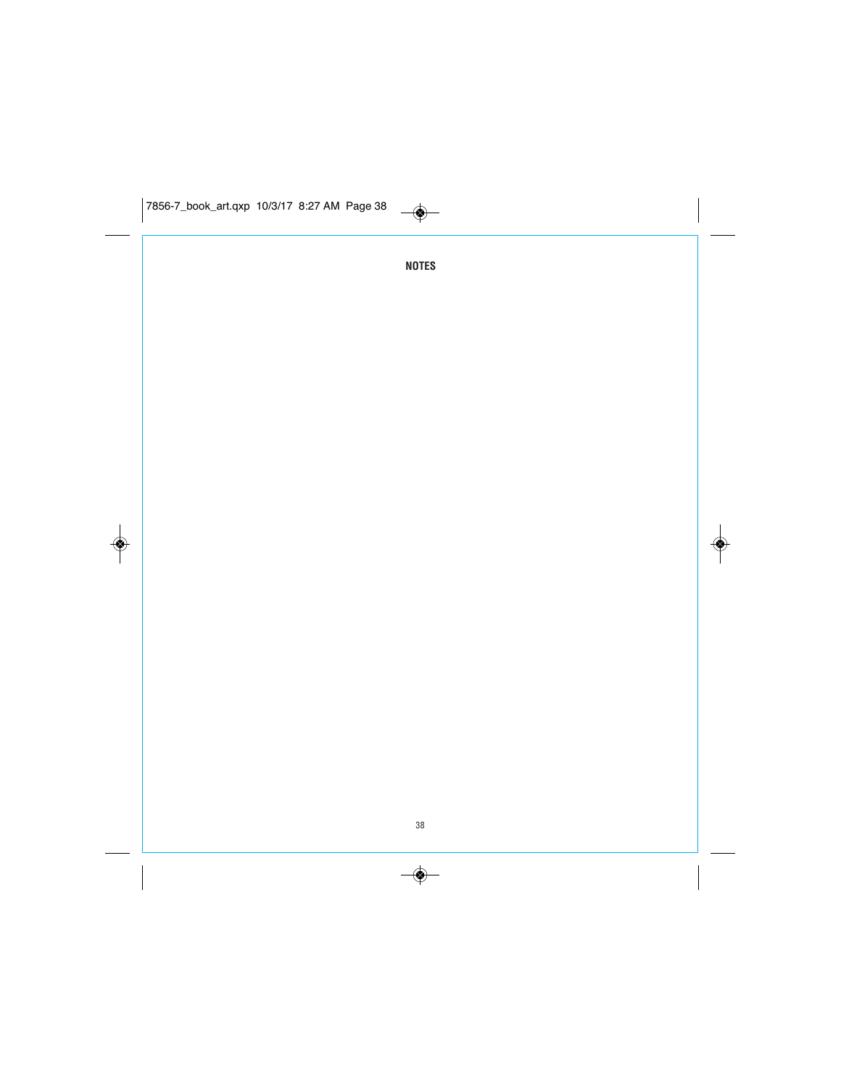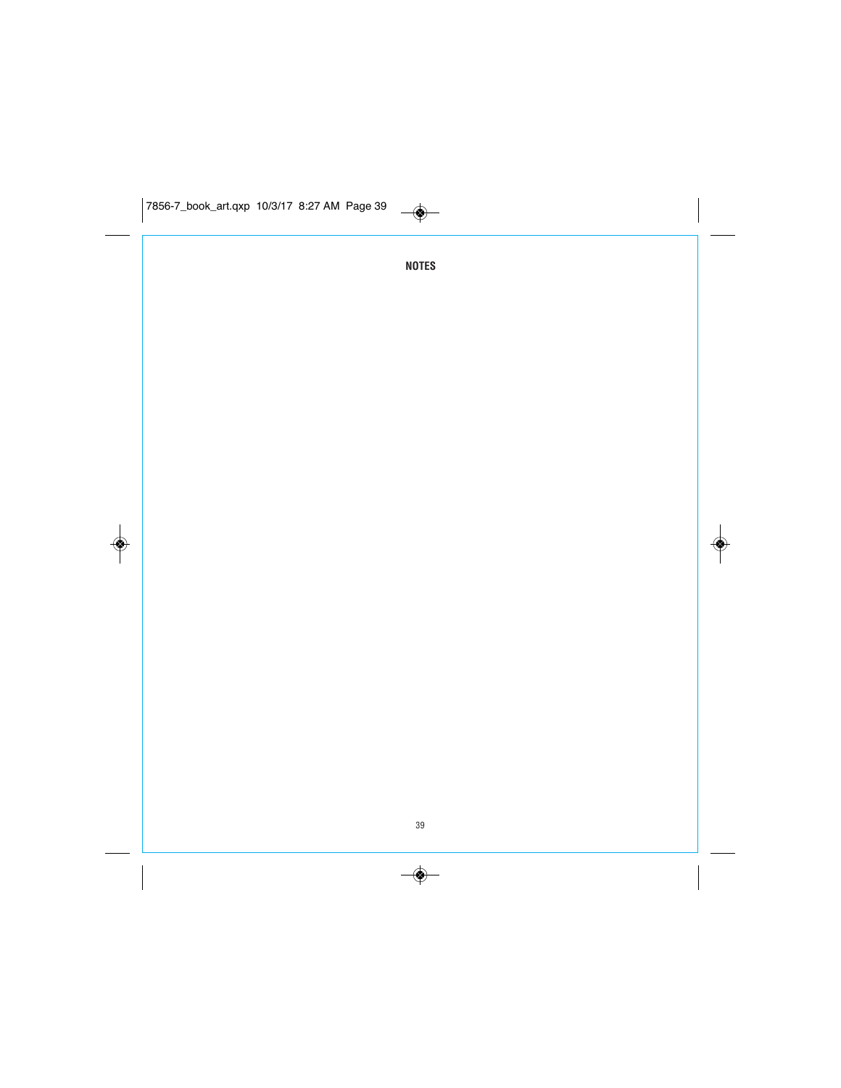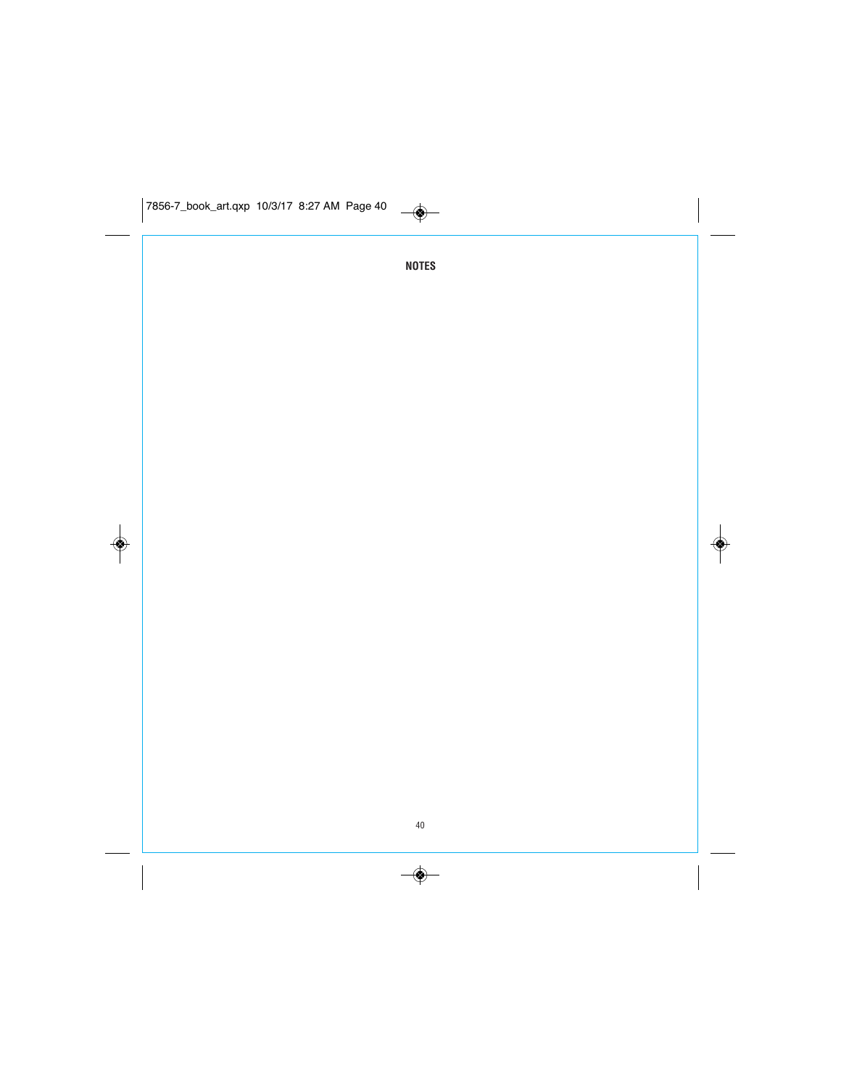